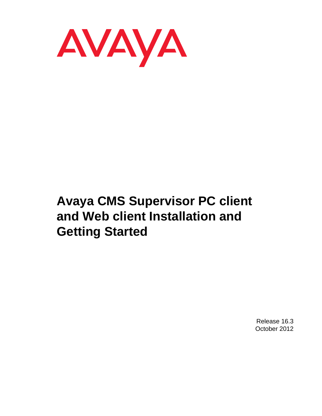

# **Avaya CMS Supervisor PC client and Web client Installation and Getting Started**

Release 16.3 October 2012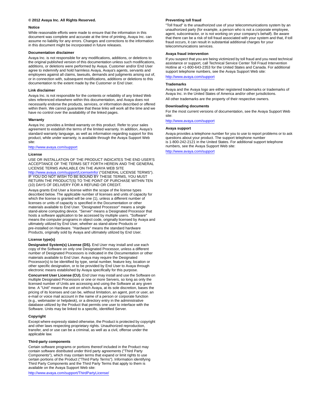#### **© 2012 Avaya Inc. All Rights Reserved.**

#### **Notice**

While reasonable efforts were made to ensure that the information in this document was complete and accurate at the time of printing, Avaya Inc. can assume no liability for any errors. Changes and corrections to the information in this document might be incorporated in future releases.

#### **Documentation disclaimer**

Avaya Inc. is not responsible for any modifications, additions, or deletions to the original published version of this documentation unless such modifications, additions, or deletions were performed by Avaya. Customer and/or End User agree to indemnify and hold harmless Avaya, Avaya's agents, servants and employees against all claims, lawsuits, demands and judgments arising out of, or in connection with, subsequent modifications, additions or deletions to this documentation to the extent made by the Customer or End User.

#### **Link disclaimer**

Avaya Inc. is not responsible for the contents or reliability of any linked Web sites referenced elsewhere within this documentation, and Avaya does not necessarily endorse the products, services, or information described or offered within them. We cannot guarantee that these links will work all the time and we have no control over the availability of the linked pages.

#### **Warranty**

Avaya Inc. provides a limited warranty on this product. Refer to your sales agreement to establish the terms of the limited warranty. In addition, Avaya's standard warranty language, as well as information regarding support for this product, while under warranty, is available through the Avaya Support Web site:

<http://www.avaya.com/support>

#### **License**

USE OR INSTALLATION OF THE PRODUCT INDICATES THE END USER'S ACCEPTANCE OF THE TERMS SET FORTH HEREIN AND THE GENERAL LICENSE TERMS AVAILABLE ON THE AVAYA WEB SITE<br><u>http://www.avaya.com/support/LicenseInfo</u>/ ("GENERAL LICENSE TERMS").<br>IF YOU DO NOT WISH TO BE BOUND BY THESE TERMS, YOU MUST

RETURN THE PRODUCT(S) TO THE POINT OF PURCHASE WITHIN TEN (10) DAYS OF DELIVERY FOR A REFUND OR CREDIT.

Avaya grants End User a license within the scope of the license types described below. The applicable number of licenses and units of capacity for which the license is granted will be one (1), unless a different number of licenses or units of capacity is specified in the Documentation or other materials available to End User. "Designated Processor" means a single stand-alone computing device. "Server" means a Designated Processor that hosts a software application to be accessed by multiple users. "Software" means the computer programs in object code, originally licensed by Avaya and ultimately utilized by End User, whether as stand-alone Products or pre-installed on Hardware. "Hardware" means the standard hardware Products, originally sold by Avaya and ultimately utilized by End User.

#### **License type(s)**

**Designated System(s) License (DS).** End User may install and use each copy of the Software on only one Designated Processor, unless a different number of Designated Processors is indicated in the Documentation or other materials available to End User. Avaya may require the Designated Processor(s) to be identified by type, serial number, feature key, location or other specific designation, or to be provided by End User to Avaya through electronic means established by Avaya specifically for this purpose.

**Concurrent User License (CU).** End User may install and use the Software on multiple Designated Processors or one or more Servers, so long as only the licensed number of Units are accessing and using the Software at any given time. A "Unit" means the unit on which Avaya, at its sole discretion, bases the pricing of its licenses and can be, without limitation, an agent, port or user, an e-mail or voice mail account in the name of a person or corporate function (e.g., webmaster or helpdesk), or a directory entry in the administrative database utilized by the Product that permits one user to interface with the Software. Units may be linked to a specific, identified Server.

#### **Copyright**

Except where expressly stated otherwise, the Product is protected by copyright and other laws respecting proprietary rights. Unauthorized reproduction, transfer, and or use can be a criminal, as well as a civil, offense under the applicable law.

#### **Third-party components**

Certain software programs or portions thereof included in the Product may contain software distributed under third party agreements ("Third Party Components"), which may contain terms that expand or limit rights to use certain portions of the Product ("Third Party Terms"). Information identifying Third Party Components and the Third Party Terms that apply to them is available on the Avaya Support Web site:

<http://www.avaya.com/support/ThirdPartyLicense/>

#### **Preventing toll fraud**

"Toll fraud" is the unauthorized use of your telecommunications system by an unauthorized party (for example, a person who is not a corporate employee, agent, subcontractor, or is not working on your company's behalf). Be aware that there can be a risk of toll fraud associated with your system and that, if toll fraud occurs, it can result in substantial additional charges for your telecommunications services.

#### **Avaya fraud intervention**

If you suspect that you are being victimized by toll fraud and you need technical assistance or support, call Technical Service Center Toll Fraud Intervention Hotline at +1-800-643-2353 for the United States and Canada. For additional support telephone numbers, see the Avaya Support Web site: <http://www.avaya.com/support>

#### **Trademarks**

Avaya and the Avaya logo are either registered trademarks or trademarks of Avaya Inc. in the United States of America and/or other jurisdictions. All other trademarks are the property of their respective owners.

#### **Downloading documents**

For the most current versions of documentation, see the Avaya Support Web site:

[http://www.avaya.com/support](http://www.avaya.com/support/)

#### **Avaya support**

Avaya provides a telephone number for you to use to report problems or to ask questions about your product. The support telephone number is 1-800-242-2121 in the United States. For additional support telephone numbers, see the Avaya Support Web site:

[http://www.avaya.com/support](http://www.avaya.com/support/)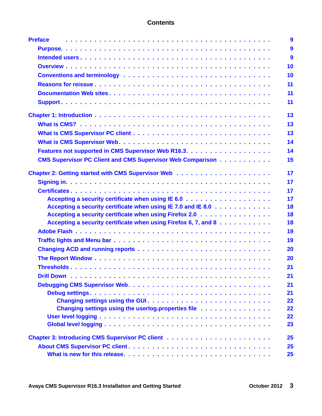| <b>Preface</b>                                                     | $\boldsymbol{9}$ |
|--------------------------------------------------------------------|------------------|
|                                                                    | 9                |
|                                                                    | 9                |
|                                                                    | 10               |
|                                                                    | 10               |
|                                                                    | 11               |
|                                                                    | 11               |
|                                                                    | 11               |
|                                                                    | 13               |
|                                                                    | 13               |
|                                                                    | 13               |
|                                                                    | 14               |
|                                                                    | 14               |
| <b>CMS Supervisor PC Client and CMS Supervisor Web Comparison </b> | 15               |
|                                                                    | 17               |
|                                                                    | 17               |
|                                                                    | 17               |
|                                                                    | 17               |
| Accepting a security certificate when using IE 7.0 and IE 8.0      | 18               |
| Accepting a security certificate when using Firefox 2.0            | 18               |
| Accepting a security certificate when using Firefox 6, 7, and 8    | 18               |
|                                                                    | 19               |
|                                                                    | 19               |
|                                                                    | 20               |
|                                                                    | 20               |
|                                                                    | 21               |
|                                                                    | 21               |
|                                                                    | 21               |
|                                                                    | 21               |
| Changing settings using the GUI                                    | 22               |
| Changing settings using the userlog.properties file                | 22<br>22         |
|                                                                    | 23               |
|                                                                    |                  |
|                                                                    | 25               |
|                                                                    | 25               |
|                                                                    | 25               |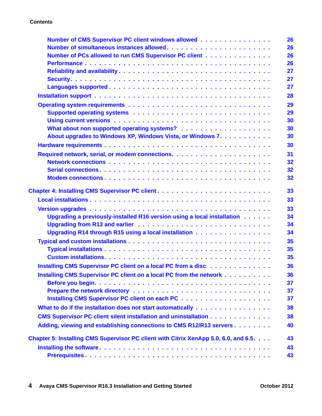| Number of CMS Supervisor PC client windows allowed                                   | 26 |
|--------------------------------------------------------------------------------------|----|
| Number of simultaneous instances allowed                                             | 26 |
| Number of PCs allowed to run CMS Supervisor PC client                                | 26 |
|                                                                                      | 26 |
|                                                                                      | 27 |
|                                                                                      | 27 |
|                                                                                      | 27 |
|                                                                                      | 28 |
|                                                                                      | 29 |
|                                                                                      | 29 |
|                                                                                      | 30 |
|                                                                                      | 30 |
| About upgrades to Windows XP, Windows Vista, or Windows 7.                           | 30 |
|                                                                                      | 30 |
|                                                                                      | 31 |
|                                                                                      | 32 |
|                                                                                      | 32 |
|                                                                                      | 32 |
|                                                                                      | 33 |
|                                                                                      | 33 |
|                                                                                      | 33 |
| Upgrading a previously-installed R16 version using a local installation              | 34 |
|                                                                                      | 34 |
| Upgrading R14 through R15 using a local installation                                 | 34 |
|                                                                                      | 35 |
|                                                                                      | 35 |
|                                                                                      | 35 |
| Installing CMS Supervisor PC client on a local PC from a disc                        | 36 |
| Installing CMS Supervisor PC client on a local PC from the network                   | 36 |
|                                                                                      | 37 |
|                                                                                      | 37 |
|                                                                                      | 37 |
| What to do if the installation does not start automatically                          | 38 |
| CMS Supervisor PC client silent installation and uninstallation                      | 38 |
| Adding, viewing and establishing connections to CMS R12/R13 servers                  | 40 |
|                                                                                      |    |
| Chapter 5: Installing CMS Supervisor PC client with Citrix XenApp 5.0, 6.0, and 6.5. | 43 |
|                                                                                      | 43 |
|                                                                                      | 43 |
|                                                                                      |    |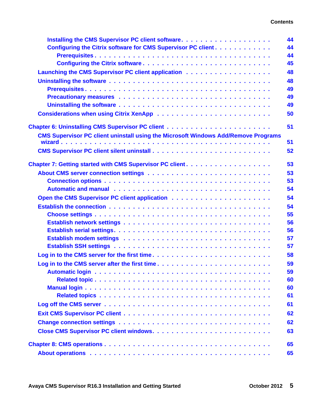|                                                                                                                | 44 |
|----------------------------------------------------------------------------------------------------------------|----|
| Configuring the Citrix software for CMS Supervisor PC client.                                                  | 44 |
|                                                                                                                | 44 |
| Configuring the Citrix software                                                                                | 45 |
|                                                                                                                | 48 |
|                                                                                                                | 48 |
|                                                                                                                | 49 |
|                                                                                                                | 49 |
|                                                                                                                | 49 |
|                                                                                                                | 50 |
| <b>Chapter 6: Uninstalling CMS Supervisor PC client </b>                                                       | 51 |
| <b>CMS Supervisor PC client uninstall using the Microsoft Windows Add/Remove Programs</b>                      |    |
|                                                                                                                | 51 |
|                                                                                                                | 52 |
| Chapter 7: Getting started with CMS Supervisor PC client.                                                      | 53 |
|                                                                                                                | 53 |
|                                                                                                                | 53 |
| Automatic and manual enterprise and a series of the series of the series and manual enterprise and a series of | 54 |
|                                                                                                                | 54 |
|                                                                                                                | 54 |
|                                                                                                                | 55 |
|                                                                                                                | 56 |
|                                                                                                                | 56 |
|                                                                                                                | 57 |
|                                                                                                                | 57 |
| Log in to the CMS server for the first time                                                                    | 58 |
| Log in to the CMS server after the first time                                                                  | 59 |
|                                                                                                                | 59 |
|                                                                                                                | 60 |
|                                                                                                                | 60 |
|                                                                                                                | 61 |
|                                                                                                                | 61 |
|                                                                                                                | 62 |
|                                                                                                                | 62 |
|                                                                                                                | 63 |
|                                                                                                                | 65 |
|                                                                                                                | 65 |
|                                                                                                                |    |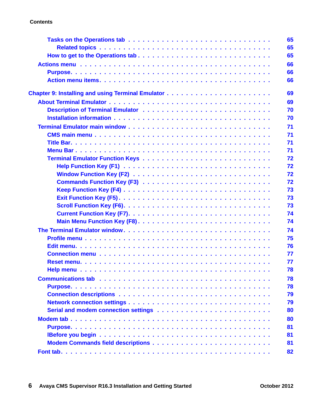|                                        | 65 |
|----------------------------------------|----|
|                                        | 65 |
|                                        | 65 |
|                                        | 66 |
|                                        | 66 |
|                                        | 66 |
|                                        |    |
|                                        | 69 |
|                                        | 69 |
|                                        | 70 |
|                                        | 70 |
|                                        | 71 |
|                                        | 71 |
|                                        | 71 |
|                                        | 71 |
| <b>Terminal Emulator Function Keys</b> | 72 |
|                                        | 72 |
|                                        | 72 |
|                                        | 72 |
|                                        | 73 |
|                                        | 73 |
|                                        | 73 |
|                                        | 74 |
|                                        | 74 |
|                                        | 74 |
|                                        | 75 |
|                                        | 76 |
|                                        | 77 |
|                                        | 77 |
|                                        | 78 |
|                                        | 78 |
|                                        | 78 |
|                                        | 79 |
|                                        | 79 |
|                                        | 80 |
|                                        | 80 |
|                                        | 81 |
|                                        | 81 |
|                                        | 81 |
|                                        | 82 |
|                                        |    |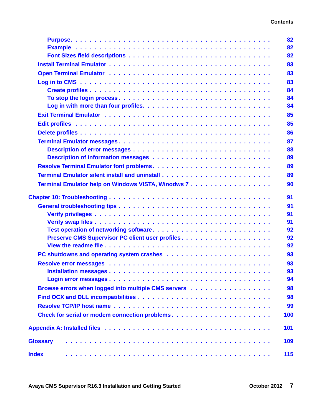|                                                                                                                | 82       |
|----------------------------------------------------------------------------------------------------------------|----------|
|                                                                                                                | 82       |
|                                                                                                                | 82       |
|                                                                                                                | 83       |
| Open Terminal Emulator (Alberta Alberta Alberta Alberta Alberta Alberta Alberta Alberta Alberta Alberta Albert | 83       |
|                                                                                                                | 83       |
|                                                                                                                | 84       |
|                                                                                                                | 84       |
|                                                                                                                | 84       |
|                                                                                                                | 85       |
|                                                                                                                | 85       |
|                                                                                                                | 86       |
|                                                                                                                | 87       |
|                                                                                                                | 88       |
|                                                                                                                | 89       |
|                                                                                                                | 89       |
|                                                                                                                | 89       |
| Terminal Emulator help on Windows VISTA, Winodws 7                                                             | 90       |
|                                                                                                                |          |
|                                                                                                                | 91       |
|                                                                                                                | 91       |
|                                                                                                                | 91       |
|                                                                                                                | 91       |
|                                                                                                                | 92       |
|                                                                                                                | 92<br>92 |
|                                                                                                                |          |
|                                                                                                                | 93       |
|                                                                                                                | 93       |
|                                                                                                                | 93<br>94 |
|                                                                                                                |          |
| Browse errors when logged into multiple CMS servers                                                            | 98       |
|                                                                                                                | 98       |
|                                                                                                                | 99       |
|                                                                                                                | 100      |
|                                                                                                                | 101      |
| <b>Glossary</b>                                                                                                | 109      |
| <b>Index</b>                                                                                                   | 115      |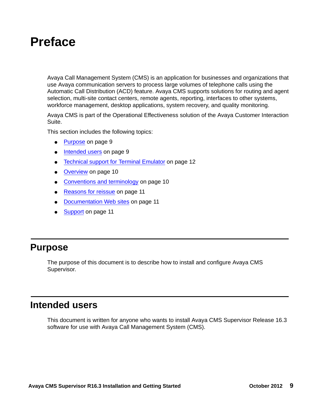# <span id="page-8-0"></span>**Preface**

Avaya Call Management System (CMS) is an application for businesses and organizations that use Avaya communication servers to process large volumes of telephone calls using the Automatic Call Distribution (ACD) feature. Avaya CMS supports solutions for routing and agent selection, multi-site contact centers, remote agents, reporting, interfaces to other systems, workforce management, desktop applications, system recovery, and quality monitoring.

Avaya CMS is part of the Operational Effectiveness solution of the Avaya Customer Interaction Suite.

This section includes the following topics:

- Purpose [on page 9](#page-8-1)
- [Intended users](#page-8-2) on page 9
- [Technical support for Terminal Emulator](#page-11-0) on page 12
- Overview [on page 10](#page-9-0)
- **[Conventions and terminology](#page-9-1) on page 10**
- [Reasons for reissue](#page-10-0) on page 11
- [Documentation Web sites](#page-10-1) on page 11
- **Support [on page 11](#page-10-2)**

### <span id="page-8-1"></span>**Purpose**

The purpose of this document is to describe how to install and configure Avaya CMS Supervisor.

### <span id="page-8-2"></span>**Intended users**

This document is written for anyone who wants to install Avaya CMS Supervisor Release 16.3 software for use with Avaya Call Management System (CMS).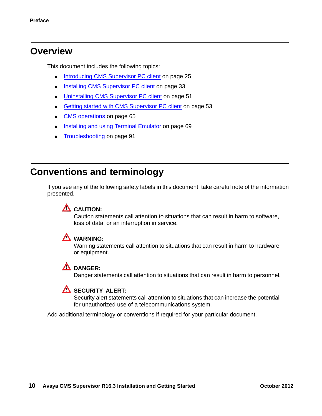### <span id="page-9-0"></span>**Overview**

This document includes the following topics:

- [Introducing CMS Supervisor PC client](#page-24-3) on page 25
- [Installing CMS Supervisor PC client](#page-32-3) on page 33
- [Uninstalling CMS Supervisor PC client](#page-50-2) on page 51
- [Getting started with CMS Supervisor PC client](#page-52-3) on page 53
- **CMS** operations on page 65
- [Installing and using Terminal Emulator](#page-68-2) on page 69
- **[Troubleshooting](#page-90-4) on page 91**

# <span id="page-9-1"></span>**Conventions and terminology**

If you see any of the following safety labels in this document, take careful note of the information presented.

### $\Delta$  CAUTION:

Caution statements call attention to situations that can result in harm to software, loss of data, or an interruption in service.

#### ! **WARNING: !**

Warning statements call attention to situations that can result in harm to hardware or equipment.

#### $\Delta$  DANGER:

Danger statements call attention to situations that can result in harm to personnel.

#### **1 SECURITY ALERT:**

Security alert statements call attention to situations that can increase the potential for unauthorized use of a telecommunications system.

Add additional terminology or conventions if required for your particular document.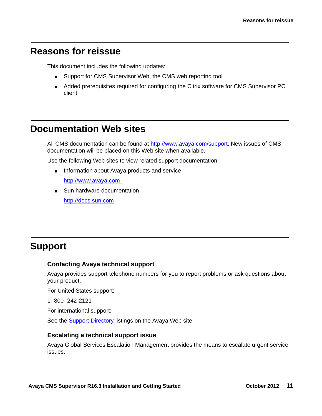## <span id="page-10-0"></span>**Reasons for reissue**

This document includes the following updates:

- Support for CMS Supervisor Web, the CMS web reporting tool
- Added prerequisites required for configuring the Citrix software for CMS Supervisor PC client.

# <span id="page-10-1"></span>**Documentation Web sites**

All CMS documentation can be found at<http://www.avaya.com/support>. New issues of CMS documentation will be placed on this Web site when available.

Use the following Web sites to view related support documentation:

● Information about Avaya products and service

<http://www.avaya.com>

● Sun hardware documentation <http://docs.sun.com>

# <span id="page-10-2"></span>**Support**

#### **Contacting Avaya technical support**

Avaya provides support telephone numbers for you to report problems or ask questions about your product.

For United States support:

1- 800- 242-2121

For international support:

See the [Support Directory](http://support.avaya.com/japple/css/japple?PAGE=avaya.css.OpenPage&temp.template.name=Directories) listings on the Avaya Web site.

#### **Escalating a technical support issue**

Avaya Global Services Escalation Management provides the means to escalate urgent service issues.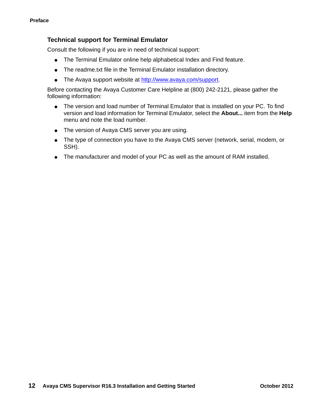#### <span id="page-11-0"></span>**Technical support for Terminal Emulator**

Consult the following if you are in need of technical support:

- The Terminal Emulator online help alphabetical Index and Find feature.
- The readme.txt file in the Terminal Emulator installation directory.
- The Avaya support website at <http://www.avaya.com/support>.

Before contacting the Avaya Customer Care Helpline at (800) 242-2121, please gather the following information:

- The version and load number of Terminal Emulator that is installed on your PC. To find version and load information for Terminal Emulator, select the **About...** item from the **Help** menu and note the load number.
- The version of Avaya CMS server you are using.
- The type of connection you have to the Avaya CMS server (network, serial, modem, or SSH).
- The manufacturer and model of your PC as well as the amount of RAM installed.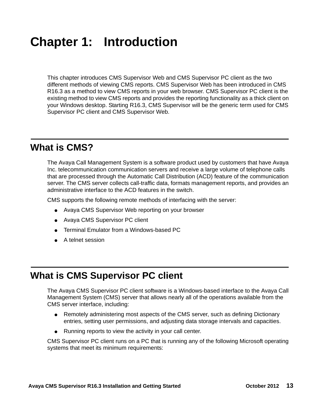# <span id="page-12-0"></span>**Chapter 1: Introduction**

This chapter introduces CMS Supervisor Web and CMS Supervisor PC client as the two different methods of viewing CMS reports. CMS Supervisor Web has been introduced in CMS R16.3 as a method to view CMS reports in your web browser. CMS Supervisor PC client is the existing method to view CMS reports and provides the reporting functionality as a thick client on your Windows desktop. Starting R16.3, CMS Supervisor will be the generic term used for CMS Supervisor PC client and CMS Supervisor Web.

### <span id="page-12-1"></span>**What is CMS?**

The Avaya Call Management System is a software product used by customers that have Avaya Inc. telecommunication communication servers and receive a large volume of telephone calls that are processed through the Automatic Call Distribution (ACD) feature of the communication server. The CMS server collects call-traffic data, formats management reports, and provides an administrative interface to the ACD features in the switch.

CMS supports the following remote methods of interfacing with the server:

- Avaya CMS Supervisor Web reporting on your browser
- Avaya CMS Supervisor PC client
- Terminal Emulator from a Windows-based PC
- A telnet session

### <span id="page-12-2"></span>**What is CMS Supervisor PC client**

The Avaya CMS Supervisor PC client software is a Windows-based interface to the Avaya Call Management System (CMS) server that allows nearly all of the operations available from the CMS server interface, including:

- Remotely administering most aspects of the CMS server, such as defining Dictionary entries, setting user permissions, and adjusting data storage intervals and capacities.
- Running reports to view the activity in your call center.

CMS Supervisor PC client runs on a PC that is running any of the following Microsoft operating systems that meet its minimum requirements: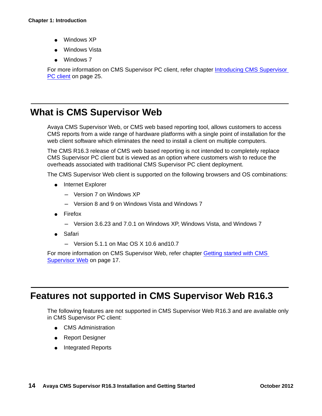- Windows XP
- **Windows Vista**
- Windows 7

For more information on CMS Supervisor PC client, refer chapter [Introducing CMS Supervisor](#page-24-3)  PC client [on page 25.](#page-24-3)

### <span id="page-13-0"></span>**What is CMS Supervisor Web**

Avaya CMS Supervisor Web, or CMS web based reporting tool, allows customers to access CMS reports from a wide range of hardware platforms with a single point of installation for the web client software which eliminates the need to install a client on multiple computers.

The CMS R16.3 release of CMS web based reporting is not intended to completely replace CMS Supervisor PC client but is viewed as an option where customers wish to reduce the overheads associated with traditional CMS Supervisor PC client deployment.

The CMS Supervisor Web client is supported on the following browsers and OS combinations:

- Internet Explorer
	- Version 7 on Windows XP
	- Version 8 and 9 on Windows Vista and Windows 7
- Firefox
	- Version 3.6.23 and 7.0.1 on Windows XP, Windows Vista, and Windows 7
- **Safari** 
	- $-$  Version 5.1.1 on Mac OS X 10.6 and 10.7

For more information on CMS Supervisor Web, refer chapter [Getting started with CMS](#page-16-4)  [Supervisor Web](#page-16-4) on page 17.

### <span id="page-13-1"></span>**Features not supported in CMS Supervisor Web R16.3**

The following features are not supported in CMS Supervisor Web R16.3 and are available only in CMS Supervisor PC client:

- CMS Administration
- Report Designer
- Integrated Reports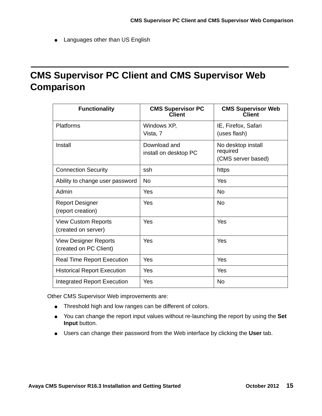● Languages other than US English

# <span id="page-14-0"></span>**CMS Supervisor PC Client and CMS Supervisor Web Comparison**

| <b>Functionality</b>                                   | <b>CMS Supervisor PC</b><br><b>Client</b> | <b>CMS Supervisor Web</b><br><b>Client</b>           |
|--------------------------------------------------------|-------------------------------------------|------------------------------------------------------|
| Platforms                                              | Windows XP,<br>Vista, 7                   | IE, Firefox, Safari<br>(uses flash)                  |
| Install                                                | Download and<br>install on desktop PC     | No desktop install<br>required<br>(CMS server based) |
| <b>Connection Security</b>                             | ssh                                       | https                                                |
| Ability to change user password                        | No                                        | Yes                                                  |
| Admin                                                  | Yes                                       | No                                                   |
| <b>Report Designer</b><br>(report creation)            | Yes                                       | <b>No</b>                                            |
| <b>View Custom Reports</b><br>(created on server)      | Yes                                       | Yes                                                  |
| <b>View Designer Reports</b><br>(created on PC Client) | Yes                                       | Yes                                                  |
| <b>Real Time Report Execution</b>                      | Yes                                       | Yes                                                  |
| <b>Historical Report Execution</b>                     | Yes                                       | Yes                                                  |
| Integrated Report Execution                            | Yes                                       | <b>No</b>                                            |

Other CMS Supervisor Web improvements are:

- Threshold high and low ranges can be different of colors.
- You can change the report input values without re-launching the report by using the **Set Input** button.
- Users can change their password from the Web interface by clicking the **User** tab.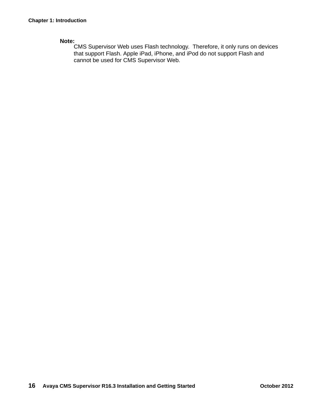#### **Note:**

CMS Supervisor Web uses Flash technology. Therefore, it only runs on devices that support Flash. Apple iPad, iPhone, and iPod do not support Flash and cannot be used for CMS Supervisor Web.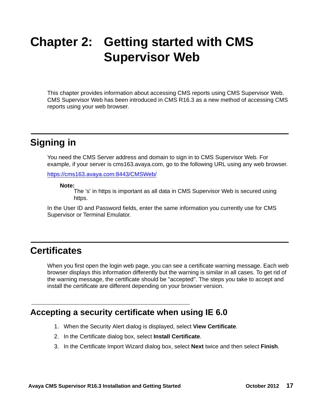# <span id="page-16-4"></span><span id="page-16-0"></span>**Chapter 2: Getting started with CMS Supervisor Web**

This chapter provides information about accessing CMS reports using CMS Supervisor Web. CMS Supervisor Web has been introduced in CMS R16.3 as a new method of accessing CMS reports using your web browser.

# <span id="page-16-1"></span>**Signing in**

You need the CMS Server address and domain to sign in to CMS Supervisor Web. For example, if your server is cms163.avaya.com, go to the following URL using any web browser.

<https://cms163.avaya.com:8443/CMSWeb/>

#### **Note:**

The 's' in https is important as all data in CMS Supervisor Web is secured using https.

In the User ID and Password fields, enter the same information you currently use for CMS Supervisor or Terminal Emulator.

## <span id="page-16-2"></span>**Certificates**

When you first open the login web page, you can see a certificate warning message. Each web browser displays this information differently but the warning is similar in all cases. To get rid of the warning message, the certificate should be "accepted". The steps you take to accept and install the certificate are different depending on your browser version.

#### <span id="page-16-3"></span>**Accepting a security certificate when using IE 6.0**

- 1. When the Security Alert dialog is displayed, select **View Certificate**.
- 2. In the Certificate dialog box, select **Install Certificate**.
- 3. In the Certificate Import Wizard dialog box, select **Next** twice and then select **Finish**.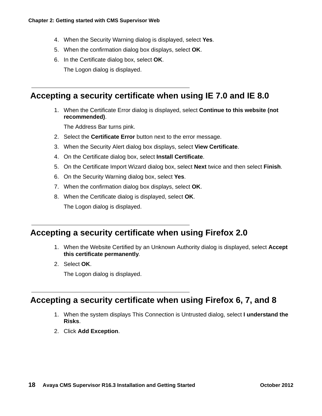- 4. When the Security Warning dialog is displayed, select **Yes**.
- 5. When the confirmation dialog box displays, select **OK**.
- 6. In the Certificate dialog box, select **OK**.

The Logon dialog is displayed.

#### <span id="page-17-0"></span>**Accepting a security certificate when using IE 7.0 and IE 8.0**

1. When the Certificate Error dialog is displayed, select **Continue to this website (not recommended)**.

The Address Bar turns pink.

- 2. Select the **Certificate Error** button next to the error message.
- 3. When the Security Alert dialog box displays, select **View Certificate**.
- 4. On the Certificate dialog box, select **Install Certificate**.
- 5. On the Certificate Import Wizard dialog box, select **Next** twice and then select **Finish**.
- 6. On the Security Warning dialog box, select **Yes**.
- 7. When the confirmation dialog box displays, select **OK**.
- 8. When the Certificate dialog is displayed, select **OK**. The Logon dialog is displayed.

#### <span id="page-17-1"></span>**Accepting a security certificate when using Firefox 2.0**

- 1. When the Website Certified by an Unknown Authority dialog is displayed, select **Accept this certificate permanently**.
- 2. Select **OK**.

The Logon dialog is displayed.

#### <span id="page-17-2"></span>**Accepting a security certificate when using Firefox 6, 7, and 8**

- 1. When the system displays This Connection is Untrusted dialog, select **I understand the Risks**.
- 2. Click **Add Exception**.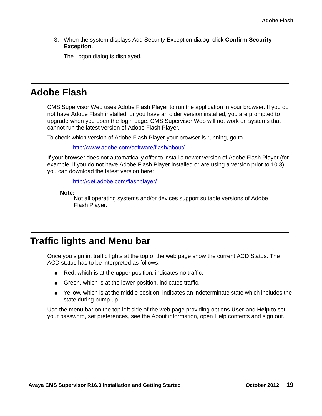3. When the system displays Add Security Exception dialog, click **Confirm Security Exception.**

The Logon dialog is displayed.

### <span id="page-18-0"></span>**Adobe Flash**

CMS Supervisor Web uses Adobe Flash Player to run the application in your browser. If you do not have Adobe Flash installed, or you have an older version installed, you are prompted to upgrade when you open the login page. CMS Supervisor Web will not work on systems that cannot run the latest version of Adobe Flash Player.

To check which version of Adobe Flash Player your browser is running, go to

<http://www.adobe.com/software/flash/about/>

If your browser does not automatically offer to install a newer version of Adobe Flash Player (for example, if you do not have Adobe Flash Player installed or are using a version prior to 10.3), you can download the latest version here:

[http://get.adobe.com/flashplayer/](
http://get.adobe.com/flashplayer/)

**Note:**

Not all operating systems and/or devices support suitable versions of Adobe Flash Player.

# <span id="page-18-1"></span>**Traffic lights and Menu bar**

Once you sign in, traffic lights at the top of the web page show the current ACD Status. The ACD status has to be interpreted as follows:

- Red, which is at the upper position, indicates no traffic.
- Green, which is at the lower position, indicates traffic.
- Yellow, which is at the middle position, indicates an indeterminate state which includes the state during pump up.

Use the menu bar on the top left side of the web page providing options **User** and **Help** to set your password, set preferences, see the About information, open Help contents and sign out.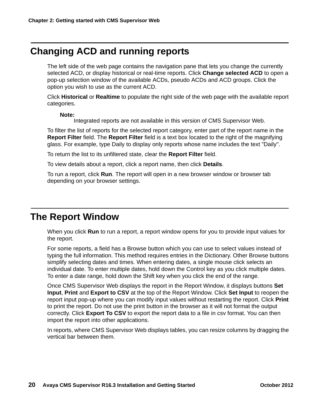# <span id="page-19-0"></span>**Changing ACD and running reports**

The left side of the web page contains the navigation pane that lets you change the currently selected ACD, or display historical or real-time reports. Click **Change selected ACD** to open a pop-up selection window of the available ACDs, pseudo ACDs and ACD groups. Click the option you wish to use as the current ACD.

Click **Historical** or **Realtime** to populate the right side of the web page with the available report categories.

**Note:**

Integrated reports are not available in this version of CMS Supervisor Web.

To filter the list of reports for the selected report category, enter part of the report name in the **Report Filter** field. The **Report Filter** field is a text box located to the right of the magnifying glass. For example, type Daily to display only reports whose name includes the text "Daily".

To return the list to its unfiltered state, clear the **Report Filter** field.

To view details about a report, click a report name, then click **Details**.

To run a report, click **Run**. The report will open in a new browser window or browser tab depending on your browser settings.

### <span id="page-19-1"></span>**The Report Window**

When you click **Run** to run a report, a report window opens for you to provide input values for the report.

For some reports, a field has a Browse button which you can use to select values instead of typing the full information. This method requires entries in the Dictionary. Other Browse buttons simplify selecting dates and times. When entering dates, a single mouse click selects an individual date. To enter multiple dates, hold down the Control key as you click multiple dates. To enter a date range, hold down the Shift key when you click the end of the range.

Once CMS Supervisor Web displays the report in the Report Window, it displays buttons **Set Input**, **Print** and **Export to CSV** at the top of the Report Window. Click **Set Input** to reopen the report input pop-up where you can modify input values without restarting the report. Click **Print** to print the report. Do not use the print button in the browser as it will not format the output correctly. Click **Export To CSV** to export the report data to a file in csv format. You can then import the report into other applications.

In reports, where CMS Supervisor Web displays tables, you can resize columns by dragging the vertical bar between them.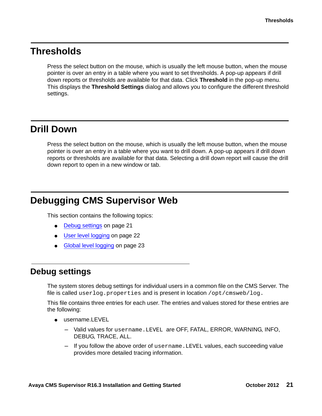### <span id="page-20-0"></span>**Thresholds**

Press the select button on the mouse, which is usually the left mouse button, when the mouse pointer is over an entry in a table where you want to set thresholds. A pop-up appears if drill down reports or thresholds are available for that data. Click **Threshold** in the pop-up menu. This displays the **Threshold Settings** dialog and allows you to configure the different threshold settings.

# <span id="page-20-1"></span>**Drill Down**

Press the select button on the mouse, which is usually the left mouse button, when the mouse pointer is over an entry in a table where you want to drill down. A pop-up appears if drill down reports or thresholds are available for that data. Selecting a drill down report will cause the drill down report to open in a new window or tab.

# <span id="page-20-2"></span>**Debugging CMS Supervisor Web**

This section contains the following topics:

- [Debug settings](#page-20-3) on page 21
- [User level logging](#page-21-2) on page 22
- [Global level logging](#page-22-0) on page 23

#### <span id="page-20-3"></span>**Debug settings**

The system stores debug settings for individual users in a common file on the CMS Server. The file is called userlog.properties and is present in location  $\sqrt{\text{opt}/\text{cm}}$ sweb $\sqrt{\text{log}}$ .

This file contains three entries for each user. The entries and values stored for these entries are the following:

- username.LEVEL
	- Valid values for username.LEVEL are OFF, FATAL, ERROR, WARNING, INFO, DEBUG, TRACE, ALL.
	- If you follow the above order of username.LEVEL values, each succeeding value provides more detailed tracing information.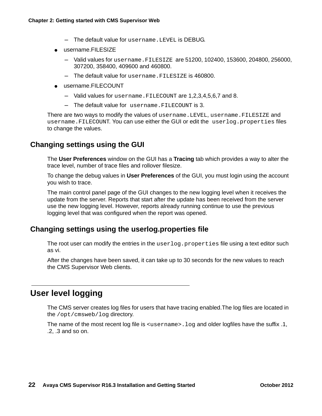- The default value for username. LEVEL is DEBUG.
- username.FILESIZE
	- Valid values for username.FILESIZE are 51200, 102400, 153600, 204800, 256000, 307200, 358400, 409600 and 460800.
	- The default value for username. FILESIZE is 460800.
- username.FILECOUNT
	- Valid values for username.FILECOUNT are 1,2,3,4,5,6,7 and 8.
	- The default value for username.FILECOUNT is 3.

There are two ways to modify the values of username.LEVEL, username.FILESIZE and username.FILECOUNT. You can use either the GUI or edit the userlog.properties files to change the values.

#### <span id="page-21-0"></span>**Changing settings using the GUI**

The **User Preferences** window on the GUI has a **Tracing** tab which provides a way to alter the trace level, number of trace files and rollover filesize.

To change the debug values in **User Preferences** of the GUI, you must login using the account you wish to trace.

The main control panel page of the GUI changes to the new logging level when it receives the update from the server. Reports that start after the update has been received from the server use the new logging level. However, reports already running continue to use the previous logging level that was configured when the report was opened.

#### <span id="page-21-1"></span>**Changing settings using the userlog.properties file**

The root user can modify the entries in the userlog.properties file using a text editor such as vi.

After the changes have been saved, it can take up to 30 seconds for the new values to reach the CMS Supervisor Web clients.

### <span id="page-21-2"></span>**User level logging**

The CMS server creates log files for users that have tracing enabled.The log files are located in the /opt/cmsweb/log directory.

The name of the most recent log file is  $\langle$ username>. log and older logfiles have the suffix .1, .2, .3 and so on.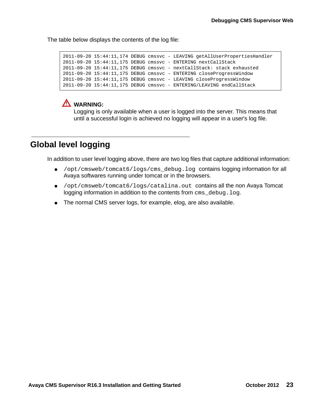The table below displays the contents of the log file:

```
2011-09-20 15:44:11,174 DEBUG cmssvc - LEAVING getAllUserPropertiesHandler
2011-09-20 15:44:11,175 DEBUG cmssvc - ENTERING nextCallStack
2011-09-20 15:44:11,175 DEBUG cmssvc - nextCallStack: stack exhausted
2011-09-20 15:44:11,175 DEBUG cmssvc - ENTERING closeProgressWindow
2011-09-20 15:44:11,175 DEBUG cmssvc - LEAVING closeProgressWindow
2011-09-20 15:44:11,175 DEBUG cmssvc - ENTERING/LEAVING endCallStack
```
# ! **WARNING: !**

Logging is only available when a user is logged into the server. This means that until a successful login is achieved no logging will appear in a user's log file.

### <span id="page-22-0"></span>**Global level logging**

In addition to user level logging above, there are two log files that capture additional information:

- /opt/cmsweb/tomcat6/logs/cms\_debug.log contains logging information for all Avaya softwares running under tomcat or in the browsers.
- /opt/cmsweb/tomcat6/logs/catalina.out contains all the non Avaya Tomcat logging information in addition to the contents from cms\_debug.log.
- The normal CMS server logs, for example, elog, are also available.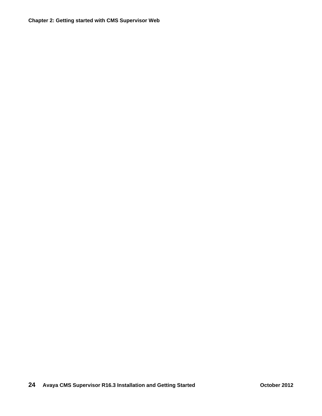**Chapter 2: Getting started with CMS Supervisor Web**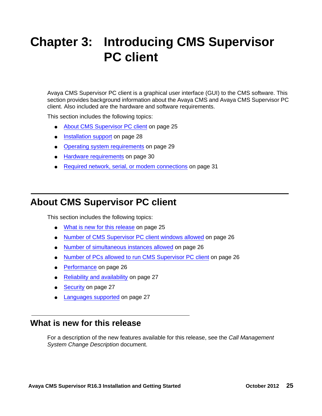# <span id="page-24-3"></span><span id="page-24-0"></span>**Chapter 3: Introducing CMS Supervisor PC client**

Avaya CMS Supervisor PC client is a graphical user interface (GUI) to the CMS software. This section provides background information about the Avaya CMS and Avaya CMS Supervisor PC client. Also included are the hardware and software requirements.

This section includes the following topics:

- [About CMS Supervisor PC client](#page-24-1) on page 25
- [Installation support](#page-27-0) on page 28
- [Operating system requirements](#page-28-0) on page 29
- **[Hardware requirements](#page-29-3) on page 30**
- [Required network, serial, or modem connections](#page-30-0) on page 31

### <span id="page-24-1"></span>**About CMS Supervisor PC client**

This section includes the following topics:

- [What is new for this release](#page-24-2) on page 25
- [Number of CMS Supervisor PC client windows allowed](#page-25-0) on page 26
- [Number of simultaneous instances allowed](#page-25-1) on page 26
- [Number of PCs allowed to run CMS Supervisor PC client](#page-25-2) on page 26
- **[Performance](#page-25-3) on page 26**
- [Reliability and availability](#page-26-0) on page 27
- Security [on page 27](#page-26-1)
- [Languages supported](#page-26-2) on page 27

#### <span id="page-24-2"></span>**What is new for this release**

For a description of the new features available for this release, see the *Call Management System Change Description* document.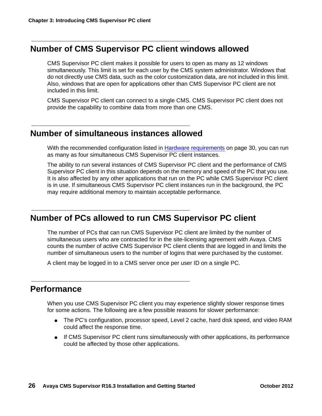### <span id="page-25-0"></span>**Number of CMS Supervisor PC client windows allowed**

CMS Supervisor PC client makes it possible for users to open as many as 12 windows simultaneously. This limit is set for each user by the CMS system administrator. Windows that do not directly use CMS data, such as the color customization data, are not included in this limit. Also, windows that are open for applications other than CMS Supervisor PC client are not included in this limit.

CMS Supervisor PC client can connect to a single CMS. CMS Supervisor PC client does not provide the capability to combine data from more than one CMS.

#### <span id="page-25-1"></span>**Number of simultaneous instances allowed**

With the recommended configuration listed in [Hardware requirements](#page-29-3) on page 30, you can run as many as four simultaneous CMS Supervisor PC client instances.

The ability to run several instances of CMS Supervisor PC client and the performance of CMS Supervisor PC client in this situation depends on the memory and speed of the PC that you use. It is also affected by any other applications that run on the PC while CMS Supervisor PC client is in use. If simultaneous CMS Supervisor PC client instances run in the background, the PC may require additional memory to maintain acceptable performance.

### <span id="page-25-2"></span>**Number of PCs allowed to run CMS Supervisor PC client**

The number of PCs that can run CMS Supervisor PC client are limited by the number of simultaneous users who are contracted for in the site-licensing agreement with Avaya. CMS counts the number of active CMS Supervisor PC client clients that are logged in and limits the number of simultaneous users to the number of logins that were purchased by the customer.

A client may be logged in to a CMS server once per user ID on a single PC.

#### <span id="page-25-3"></span>**Performance**

When you use CMS Supervisor PC client you may experience slightly slower response times for some actions. The following are a few possible reasons for slower performance:

- The PC's configuration, processor speed, Level 2 cache, hard disk speed, and video RAM could affect the response time.
- If CMS Supervisor PC client runs simultaneously with other applications, its performance could be affected by those other applications.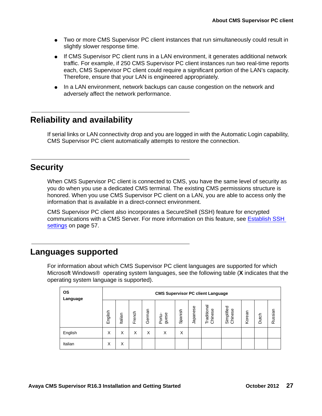- Two or more CMS Supervisor PC client instances that run simultaneously could result in slightly slower response time.
- If CMS Supervisor PC client runs in a LAN environment, it generates additional network traffic. For example, if 250 CMS Supervisor PC client instances run two real-time reports each, CMS Supervisor PC client could require a significant portion of the LAN's capacity. Therefore, ensure that your LAN is engineered appropriately.
- In a LAN environment, network backups can cause congestion on the network and adversely affect the network performance.

### <span id="page-26-0"></span>**Reliability and availability**

If serial links or LAN connectivity drop and you are logged in with the Automatic Login capability, CMS Supervisor PC client automatically attempts to restore the connection.

#### <span id="page-26-1"></span>**Security**

When CMS Supervisor PC client is connected to CMS, you have the same level of security as you do when you use a dedicated CMS terminal. The existing CMS permissions structure is honored. When you use CMS Supervisor PC client on a LAN, you are able to access only the information that is available in a direct-connect environment.

CMS Supervisor PC client also incorporates a SecureShell (SSH) feature for encrypted communications with a CMS Server. For more information on this feature, see [Establish SSH](#page-56-2)  settings [on page 57.](#page-56-2)

### <span id="page-26-3"></span><span id="page-26-2"></span>**Languages supported**

For information about which CMS Supervisor PC client languages are supported for which Microsoft Windows® operating system languages, see the following table (**X** indicates that the operating system language is supported).

| <b>OS</b><br>Language | <b>CMS Supervisor PC client Language</b> |         |        |        |                 |         |          |                            |                       |        |       |         |
|-----------------------|------------------------------------------|---------|--------|--------|-----------------|---------|----------|----------------------------|-----------------------|--------|-------|---------|
|                       | English                                  | Italian | French | German | guese<br>Portu- | Spanish | Japanese | raditional<br>Chinese<br>E | Simplified<br>Chinese | Korean | Dutch | Russian |
| English               | X                                        | X       | X      | X      | X               | X       |          |                            |                       |        |       |         |
| Italian               | х                                        | X       |        |        |                 |         |          |                            |                       |        |       |         |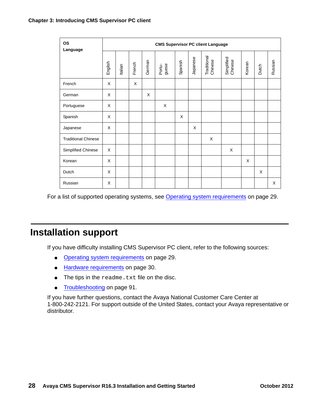| <b>OS</b><br>Language      |         | <b>CMS Supervisor PC client Language</b> |        |        |                 |         |          |                        |                       |        |       |         |
|----------------------------|---------|------------------------------------------|--------|--------|-----------------|---------|----------|------------------------|-----------------------|--------|-------|---------|
|                            | English | Italian                                  | French | German | Portu-<br>guese | Spanish | Japanese | Traditional<br>Chinese | Simplified<br>Chinese | Korean | Dutch | Russian |
| French                     | X       |                                          | X      |        |                 |         |          |                        |                       |        |       |         |
| German                     | X       |                                          |        | X      |                 |         |          |                        |                       |        |       |         |
| Portuguese                 | X       |                                          |        |        | X               |         |          |                        |                       |        |       |         |
| Spanish                    | X       |                                          |        |        |                 | X       |          |                        |                       |        |       |         |
| Japanese                   | X       |                                          |        |        |                 |         | X        |                        |                       |        |       |         |
| <b>Traditional Chinese</b> |         |                                          |        |        |                 |         |          | X                      |                       |        |       |         |
| Simplified Chinese         | X       |                                          |        |        |                 |         |          |                        | X                     |        |       |         |
| Korean                     | X       |                                          |        |        |                 |         |          |                        |                       | X      |       |         |
| Dutch                      | X       |                                          |        |        |                 |         |          |                        |                       |        | X     |         |
| Russian                    | X       |                                          |        |        |                 |         |          |                        |                       |        |       | X       |

For a list of supported operating systems, see [Operating system requirements](#page-28-0) on page 29.

# <span id="page-27-0"></span>**Installation support**

If you have difficulty installing CMS Supervisor PC client, refer to the following sources:

- [Operating system requirements](#page-28-0) on page 29.
- [Hardware requirements](#page-29-3) on page 30.
- $\bullet$  The tips in the  $\text{readme.txt}$  file on the disc.
- [Troubleshooting](#page-90-4) on page 91.

If you have further questions, contact the Avaya National Customer Care Center at 1-800-242-2121. For support outside of the United States, contact your Avaya representative or distributor.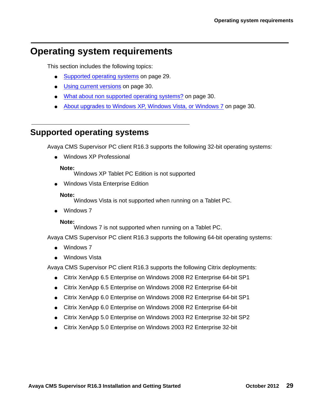# <span id="page-28-0"></span>**Operating system requirements**

This section includes the following topics:

- [Supported operating systems](#page-28-1) on page 29.
- [Using current versions](#page-29-0) on page 30.
- [What about non supported operating systems?](#page-29-1) on page 30.
- [About upgrades to Windows XP, Windows Vista, or Windows 7](#page-29-2) on page 30.

#### <span id="page-28-1"></span>**Supported operating systems**

Avaya CMS Supervisor PC client R16.3 supports the following 32-bit operating systems:

● Windows XP Professional

**Note:**

Windows XP Tablet PC Edition is not supported

**Windows Vista Enterprise Edition** 

#### **Note:**

Windows Vista is not supported when running on a Tablet PC.

Windows 7

#### **Note:**

Windows 7 is not supported when running on a Tablet PC.

Avaya CMS Supervisor PC client R16.3 supports the following 64-bit operating systems:

- Windows 7
- Windows Vista

Avaya CMS Supervisor PC client R16.3 supports the following Citrix deployments:

- Citrix XenApp 6.5 Enterprise on Windows 2008 R2 Enterprise 64-bit SP1
- Citrix XenApp 6.5 Enterprise on Windows 2008 R2 Enterprise 64-bit
- Citrix XenApp 6.0 Enterprise on Windows 2008 R2 Enterprise 64-bit SP1
- Citrix XenApp 6.0 Enterprise on Windows 2008 R2 Enterprise 64-bit
- Citrix XenApp 5.0 Enterprise on Windows 2003 R2 Enterprise 32-bit SP2
- Citrix XenApp 5.0 Enterprise on Windows 2003 R2 Enterprise 32-bit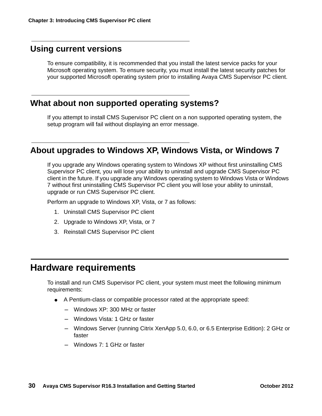#### <span id="page-29-0"></span>**Using current versions**

To ensure compatibility, it is recommended that you install the latest service packs for your Microsoft operating system. To ensure security, you must install the latest security patches for your supported Microsoft operating system prior to installing Avaya CMS Supervisor PC client.

#### <span id="page-29-1"></span>**What about non supported operating systems?**

If you attempt to install CMS Supervisor PC client on a non supported operating system, the setup program will fail without displaying an error message.

#### <span id="page-29-2"></span>**About upgrades to Windows XP, Windows Vista, or Windows 7**

If you upgrade any Windows operating system to Windows XP without first uninstalling CMS Supervisor PC client, you will lose your ability to uninstall and upgrade CMS Supervisor PC client in the future. If you upgrade any Windows operating system to Windows Vista or Windows 7 without first uninstalling CMS Supervisor PC client you will lose your ability to uninstall, upgrade or run CMS Supervisor PC client.

Perform an upgrade to Windows XP, Vista, or 7 as follows:

- 1. Uninstall CMS Supervisor PC client
- 2. Upgrade to Windows XP, Vista, or 7
- 3. Reinstall CMS Supervisor PC client

### <span id="page-29-3"></span>**Hardware requirements**

To install and run CMS Supervisor PC client, your system must meet the following minimum requirements:

- A Pentium-class or compatible processor rated at the appropriate speed:
	- Windows XP: 300 MHz or faster
	- Windows Vista: 1 GHz or faster
	- Windows Server (running Citrix XenApp 5.0, 6.0, or 6.5 Enterprise Edition): 2 GHz or faster
	- Windows 7: 1 GHz or faster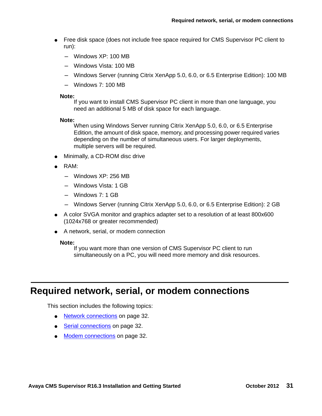- Free disk space (does not include free space required for CMS Supervisor PC client to run):
	- $-$  Windows XP: 100 MB
	- Windows Vista: 100 MB
	- Windows Server (running Citrix XenApp 5.0, 6.0, or 6.5 Enterprise Edition): 100 MB
	- $-$  Windows 7: 100 MB

#### **Note:**

If you want to install CMS Supervisor PC client in more than one language, you need an additional 5 MB of disk space for each language.

#### **Note:**

When using Windows Server running Citrix XenApp 5.0, 6.0, or 6.5 Enterprise Edition, the amount of disk space, memory, and processing power required varies depending on the number of simultaneous users. For larger deployments, multiple servers will be required.

- Minimally, a CD-ROM disc drive
- RAM:
	- Windows XP: 256 MB
	- Windows Vista: 1 GB
	- Windows 7: 1 GB
	- Windows Server (running Citrix XenApp 5.0, 6.0, or 6.5 Enterprise Edition): 2 GB
- A color SVGA monitor and graphics adapter set to a resolution of at least 800x600 (1024x768 or greater recommended)
- A network, serial, or modem connection

#### **Note:**

If you want more than one version of CMS Supervisor PC client to run simultaneously on a PC, you will need more memory and disk resources.

### <span id="page-30-0"></span>**Required network, serial, or modem connections**

This section includes the following topics:

- [Network connections](#page-31-0) on page 32.
- [Serial connections](#page-31-1) on page 32.
- [Modem connections](#page-31-2) on page 32.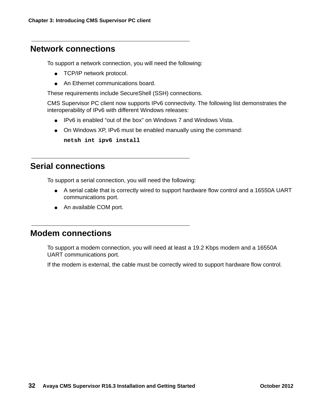#### <span id="page-31-0"></span>**Network connections**

To support a network connection, you will need the following:

- TCP/IP network protocol.
- An Ethernet communications board.

These requirements include SecureShell (SSH) connections.

CMS Supervisor PC client now supports IPv6 connectivity. The following list demonstrates the interoperability of IPv6 with different Windows releases:

- IPv6 is enabled "out of the box" on Windows 7 and Windows Vista.
- On Windows XP, IPv6 must be enabled manually using the command:

**netsh int ipv6 install**

#### <span id="page-31-1"></span>**Serial connections**

To support a serial connection, you will need the following:

- A serial cable that is correctly wired to support hardware flow control and a 16550A UART communications port.
- An available COM port.

#### <span id="page-31-2"></span>**Modem connections**

To support a modem connection, you will need at least a 19.2 Kbps modem and a 16550A UART communications port.

If the modem is external, the cable must be correctly wired to support hardware flow control.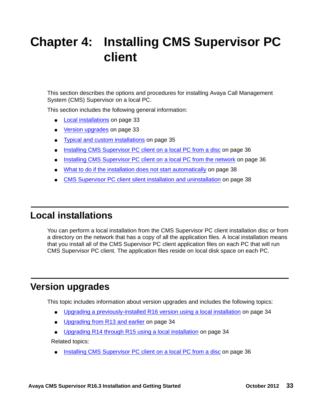# <span id="page-32-3"></span><span id="page-32-0"></span>**Chapter 4: Installing CMS Supervisor PC client**

This section describes the options and procedures for installing Avaya Call Management System (CMS) Supervisor on a local PC.

This section includes the following general information:

- [Local installations](#page-32-1) on page 33
- [Version upgrades](#page-32-2) on page 33
- **[Typical and custom installations](#page-34-0) on page 35**
- [Installing CMS Supervisor PC client on a local PC from a disc](#page-35-0) on page 36
- [Installing CMS Supervisor PC client on a local PC from the network](#page-35-1) on page 36
- [What to do if the installation does not start automatically](#page-37-0) on page 38
- **[CMS Supervisor PC client silent installation and uninstallation](#page-37-1) on page 38**

### <span id="page-32-1"></span>**Local installations**

You can perform a local installation from the CMS Supervisor PC client installation disc or from a directory on the network that has a copy of all the application files. A local installation means that you install all of the CMS Supervisor PC client application files on each PC that will run CMS Supervisor PC client. The application files reside on local disk space on each PC.

### <span id="page-32-2"></span>**Version upgrades**

This topic includes information about version upgrades and includes the following topics:

- [Upgrading a previously-installed R16 version using a local installation](#page-33-0) on page 34
- [Upgrading from R13 and earlier](#page-33-1) on page 34
- [Upgrading R14 through R15 using a local installation](#page-33-2) on page 34

Related topics:

● [Installing CMS Supervisor PC client on a local PC from a disc](#page-35-0) on page 36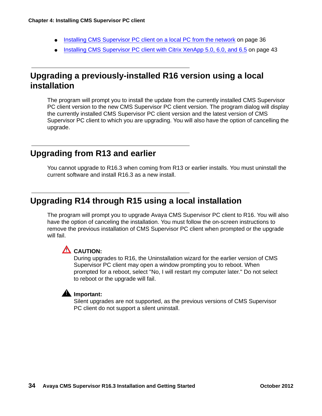- [Installing CMS Supervisor PC client on a local PC from the network](#page-35-1) on page 36
- [Installing CMS Supervisor PC client with Citrix XenApp 5.0, 6.0, and 6.5](#page-42-3) on page 43

### <span id="page-33-0"></span>**Upgrading a previously-installed R16 version using a local installation**

The program will prompt you to install the update from the currently installed CMS Supervisor PC client version to the new CMS Supervisor PC client version. The program dialog will display the currently installed CMS Supervisor PC client version and the latest version of CMS Supervisor PC client to which you are upgrading. You will also have the option of cancelling the upgrade.

#### <span id="page-33-1"></span>**Upgrading from R13 and earlier**

You cannot upgrade to R16.3 when coming from R13 or earlier installs. You must uninstall the current software and install R16.3 as a new install.

### <span id="page-33-2"></span>**Upgrading R14 through R15 using a local installation**

The program will prompt you to upgrade Avaya CMS Supervisor PC client to R16. You will also have the option of canceling the installation. You must follow the on-screen instructions to remove the previous installation of CMS Supervisor PC client when prompted or the upgrade will fail.



#### **CAUTION: !**

During upgrades to R16, the Uninstallation wizard for the earlier version of CMS Supervisor PC client may open a window prompting you to reboot. When prompted for a reboot, select "No, I will restart my computer later." Do not select to reboot or the upgrade will fail.

#### **A** Important:

Silent upgrades are not supported, as the previous versions of CMS Supervisor PC client do not support a silent uninstall.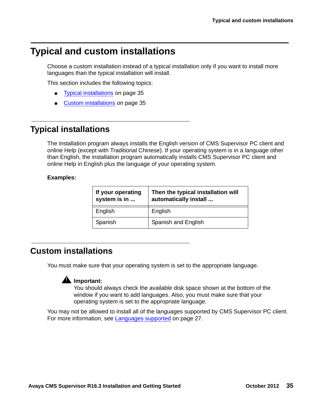# <span id="page-34-0"></span>**Typical and custom installations**

Choose a custom installation instead of a typical installation only if you want to install more languages than the typical installation will install.

This section includes the following topics:

- [Typical installations](#page-34-1) on page 35
- [Custom installations](#page-34-2) on page 35

### <span id="page-34-1"></span>**Typical installations**

The installation program always installs the English version of CMS Supervisor PC client and online Help (except with Traditional Chinese). If your operating system is in a language other than English, the installation program automatically installs CMS Supervisor PC client and online Help in English plus the language of your operating system.

#### **Examples:**

| If your operating<br>system is in | Then the typical installation will<br>automatically install |
|-----------------------------------|-------------------------------------------------------------|
| English                           | English                                                     |
| Spanish                           | Spanish and English                                         |

#### <span id="page-34-2"></span>**Custom installations**

You must make sure that your operating system is set to the appropriate language.



You should always check the available disk space shown at the bottom of the window if you want to add languages. Also, you must make sure that your operating system is set to the appropriate language.

You may not be allowed to install all of the languages supported by CMS Supervisor PC client. For more information, see [Languages supported](#page-26-3) on page 27.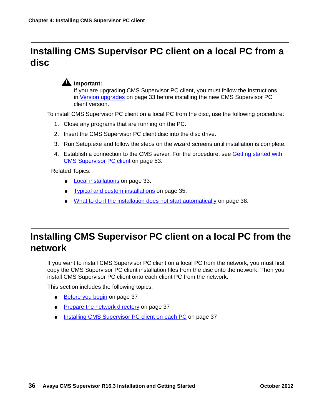# <span id="page-35-0"></span>**Installing CMS Supervisor PC client on a local PC from a disc**



#### **A** Important:

If you are upgrading CMS Supervisor PC client, you must follow the instructions in [Version upgrades](#page-32-2) on page 33 before installing the new CMS Supervisor PC client version.

To install CMS Supervisor PC client on a local PC from the disc, use the following procedure:

- 1. Close any programs that are running on the PC.
- 2. Insert the CMS Supervisor PC client disc into the disc drive.
- 3. Run Setup.exe and follow the steps on the wizard screens until installation is complete.
- 4. Establish a connection to the CMS server. For the procedure, see [Getting started with](#page-52-3)  [CMS Supervisor PC client](#page-52-3) on page 53.

Related Topics:

- [Local installations](#page-32-1) on page 33.
- [Typical and custom installations](#page-34-0) on page 35.
- [What to do if the installation does not start automatically](#page-37-0) on page 38.

# <span id="page-35-1"></span>**Installing CMS Supervisor PC client on a local PC from the network**

If you want to install CMS Supervisor PC client on a local PC from the network, you must first copy the CMS Supervisor PC client installation files from the disc onto the network. Then you install CMS Supervisor PC client onto each client PC from the network.

This section includes the following topics:

- [Before you begin](#page-36-0) on page 37
- [Prepare the network directory](#page-36-1) on page 37
- [Installing CMS Supervisor PC client on each PC](#page-36-2) on page 37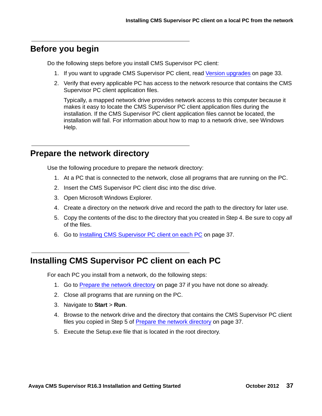## **Before you begin**

Do the following steps before you install CMS Supervisor PC client:

- 1. If you want to upgrade CMS Supervisor PC client, read [Version upgrades](#page-32-0) on page 33.
- 2. Verify that every applicable PC has access to the network resource that contains the CMS Supervisor PC client application files.

Typically, a mapped network drive provides network access to this computer because it makes it easy to locate the CMS Supervisor PC client application files during the installation. If the CMS Supervisor PC client application files cannot be located, the installation will fail. For information about how to map to a network drive, see Windows Help.

## <span id="page-36-1"></span>**Prepare the network directory**

Use the following procedure to prepare the network directory:

- 1. At a PC that is connected to the network, close all programs that are running on the PC.
- 2. Insert the CMS Supervisor PC client disc into the disc drive.
- 3. Open Microsoft Windows Explorer.
- <span id="page-36-2"></span>4. Create a directory on the network drive and record the path to the directory for later use.
- <span id="page-36-0"></span>5. Copy the contents of the disc to the directory that you created in Step [4.](#page-36-2) Be sure to copy *all* of the files.
- 6. Go to [Installing CMS Supervisor PC client on each PC](#page-36-3) on page 37.

## <span id="page-36-3"></span>**Installing CMS Supervisor PC client on each PC**

For each PC you install from a network, do the following steps:

- 1. Go to [Prepare the network directory](#page-36-1) on page 37 if you have not done so already.
- 2. Close all programs that are running on the PC.
- 3. Navigate to **Start** > **Run**.
- 4. Browse to the network drive and the directory that contains the CMS Supervisor PC client files you copied in Step [5](#page-36-0) of [Prepare the network directory](#page-36-1) on page 37.
- 5. Execute the Setup.exe file that is located in the root directory.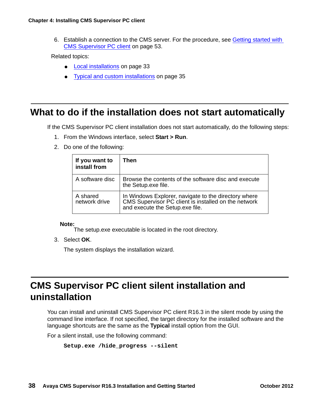6. Establish a connection to the CMS server. For the procedure, see [Getting started with](#page-52-0)  [CMS Supervisor PC client](#page-52-0) on page 53.

Related topics:

- [Local installations](#page-32-1) on page 33
- [Typical and custom installations](#page-34-0) on page 35

## **What to do if the installation does not start automatically**

If the CMS Supervisor PC client installation does not start automatically, do the following steps:

- 1. From the Windows interface, select **Start > Run**.
- 2. Do one of the following:

| If you want to<br>install from | Then                                                                                                                                            |
|--------------------------------|-------------------------------------------------------------------------------------------------------------------------------------------------|
| A software disc                | Browse the contents of the software disc and execute<br>the Setup.exe file.                                                                     |
| A shared<br>network drive      | In Windows Explorer, navigate to the directory where<br>CMS Supervisor PC client is installed on the network<br>and execute the Setup.exe file. |

#### **Note:**

The setup.exe executable is located in the root directory.

3. Select **OK**.

The system displays the installation wizard.

# <span id="page-37-0"></span>**CMS Supervisor PC client silent installation and uninstallation**

You can install and uninstall CMS Supervisor PC client R16.3 in the silent mode by using the command line interface. If not specified, the target directory for the installed software and the language shortcuts are the same as the **Typical** install option from the GUI.

For a silent install, use the following command:

**Setup.exe /hide\_progress --silent**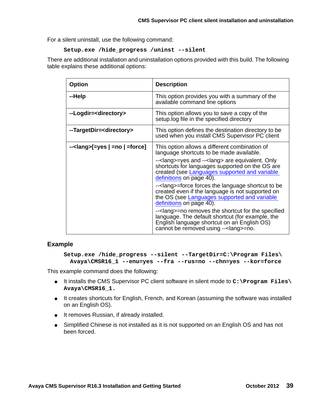For a silent uninstall, use the following command:

#### **Setup.exe /hide\_progress /uninst --silent**

There are additional installation and uninstallation options provided with this build. The following table explains these additional options:

| <b>Option</b>                         | <b>Description</b>                                                                                                                                                                                                |
|---------------------------------------|-------------------------------------------------------------------------------------------------------------------------------------------------------------------------------------------------------------------|
| --Help                                | This option provides you with a summary of the<br>available command line options                                                                                                                                  |
| --Logdir= <directory></directory>     | This option allows you to save a copy of the<br>setup log file in the specified directory                                                                                                                         |
| --TargetDir= <directory></directory>  | This option defines the destination directory to be<br>used when you install CMS Supervisor PC client                                                                                                             |
| -- <lang>[=yes   =no   =force]</lang> | This option allows a different combination of<br>language shortcuts to be made available.                                                                                                                         |
|                                       | -- <lang>=yes and --<lang> are equivalent. Only<br/>shortcuts for languages supported on the OS are<br/>created (see Languages supported and variable<br/>definitions on page 40).</lang></lang>                  |
|                                       | -- <lang>=force forces the language shortcut to be<br/>created even if the language is not supported on<br/>the OS (see Languages supported and variable<br/>definitions on page 40).</lang>                      |
|                                       | -- <lang>=no removes the shortcut for the specified<br/>language. The default shortcut (for example, the<br/>English language shortcut on an English OS)<br/>cannot be removed using --&lt; lang &gt;= no.</lang> |

#### **Example**

```
Setup.exe /hide_progress --silent --TargetDir=C:\Program Files\
Avaya\CMSR16_1 --enu=yes --fra --rus=no --chn=yes --kor=force
```
This example command does the following:

- It installs the CMS Supervisor PC client software in silent mode to **C:\Program Files\ Avaya\CMSR16\_1.**
- It creates shortcuts for English, French, and Korean (assuming the software was installed on an English OS).
- It removes Russian, if already installed.
- Simplified Chinese is not installed as it is not supported on an English OS and has not been forced.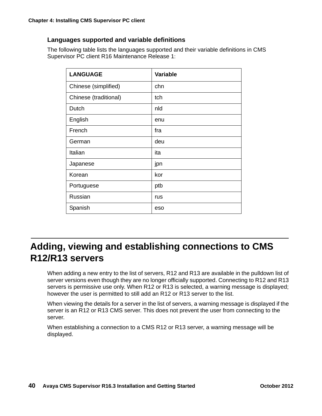#### <span id="page-39-0"></span>**Languages supported and variable definitions**

The following table lists the languages supported and their variable definitions in CMS Supervisor PC client R16 Maintenance Release 1:

| <b>LANGUAGE</b>       | <b>Variable</b> |
|-----------------------|-----------------|
| Chinese (simplified)  | chn             |
| Chinese (traditional) | tch             |
| Dutch                 | nld             |
| English               | enu             |
| French                | fra             |
| German                | deu             |
| Italian               | ita             |
| Japanese              | jpn             |
| Korean                | kor             |
| Portuguese            | ptb             |
| Russian               | rus             |
| Spanish               | eso             |

# **Adding, viewing and establishing connections to CMS R12/R13 servers**

When adding a new entry to the list of servers, R12 and R13 are available in the pulldown list of server versions even though they are no longer officially supported. Connecting to R12 and R13 servers is permissive use only. When R12 or R13 is selected, a warning message is displayed; however the user is permitted to still add an R12 or R13 server to the list.

When viewing the details for a server in the list of servers, a warning message is displayed if the server is an R12 or R13 CMS server. This does not prevent the user from connecting to the server.

When establishing a connection to a CMS R12 or R13 server, a warning message will be displayed.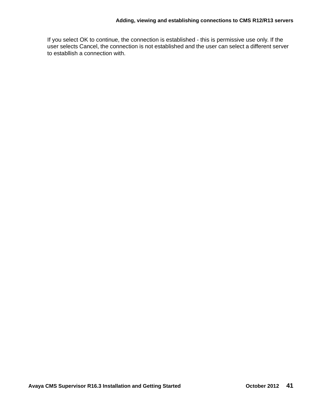If you select OK to continue, the connection is established - this is permissive use only. If the user selects Cancel, the connection is not established and the user can select a different server to establlish a connection with.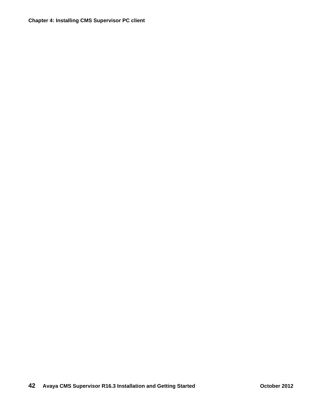**Chapter 4: Installing CMS Supervisor PC client**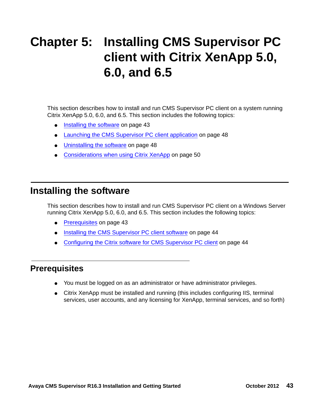# **Chapter 5: Installing CMS Supervisor PC client with Citrix XenApp 5.0, 6.0, and 6.5**

This section describes how to install and run CMS Supervisor PC client on a system running Citrix XenApp 5.0, 6.0, and 6.5. This section includes the following topics:

- [Installing the software](#page-42-0) on page 43
- [Launching the CMS Supervisor PC client application](#page-47-0) on page 48
- [Uninstalling the software](#page-47-1) on page 48
- [Considerations when using Citrix XenApp](#page-49-0) on page 50

## <span id="page-42-0"></span>**Installing the software**

This section describes how to install and run CMS Supervisor PC client on a Windows Server running Citrix XenApp 5.0, 6.0, and 6.5. This section includes the following topics:

- [Prerequisites](#page-42-1) on page 43
- [Installing the CMS Supervisor PC client software](#page-43-0) on page 44
- [Configuring the Citrix software for CMS Supervisor PC client](#page-43-1) on page 44

#### <span id="page-42-1"></span>**Prerequisites**

- You must be logged on as an administrator or have administrator privileges.
- Citrix XenApp must be installed and running (this includes configuring IIS, terminal services, user accounts, and any licensing for XenApp, terminal services, and so forth)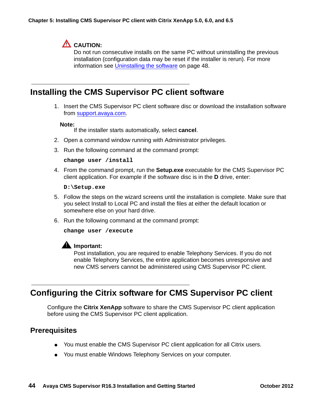## $\Delta$  CAUTION:

Do not run consecutive installs on the same PC without uninstalling the previous installation (configuration data may be reset if the installer is rerun). For more information see [Uninstalling the software](#page-47-1) on page 48.

### <span id="page-43-0"></span>**Installing the CMS Supervisor PC client software**

1. Insert the CMS Supervisor PC client software disc or download the installation software from [support.avaya.com](http://support.avaya.com).

#### **Note:**

If the installer starts automatically, select **cancel**.

- 2. Open a command window running with Administrator privileges.
- 3. Run the following command at the command prompt:

```
change user /install
```
4. From the command prompt, run the **Setup.exe** executable for the CMS Supervisor PC client application. For example if the software disc is in the **D** drive, enter:

```
D:\Setup.exe
```
- 5. Follow the steps on the wizard screens until the installation is complete. Make sure that you select Install to Local PC and install the files at either the default location or somewhere else on your hard drive.
- 6. Run the following command at the command prompt:

```
change user /execute
```
#### **A** Important:

Post installation, you are required to enable Telephony Services. If you do not enable Telephony Services, the entire application becomes unresponsive and new CMS servers cannot be administered using CMS Supervisor PC client.

## <span id="page-43-1"></span>**Configuring the Citrix software for CMS Supervisor PC client**

Configure the **Citrix XenApp** software to share the CMS Supervisor PC client application before using the CMS Supervisor PC client application.

#### **Prerequisites**

- You must enable the CMS Supervisor PC client application for all Citrix users.
- You must enable Windows Telephony Services on your computer.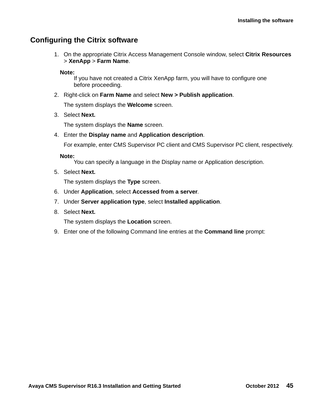#### **Configuring the Citrix software**

1. On the appropriate Citrix Access Management Console window, select **Citrix Resources** > **XenApp** > **Farm Name**.

**Note:**

If you have not created a Citrix XenApp farm, you will have to configure one before proceeding.

2. Right-click on **Farm Name** and select **New > Publish application**.

The system displays the **Welcome** screen.

3. Select **Next.**

The system displays the **Name** screen.

4. Enter the **Display name** and **Application description**.

For example, enter CMS Supervisor PC client and CMS Supervisor PC client, respectively.

**Note:**

You can specify a language in the Display name or Application description.

5. Select **Next.**

The system displays the **Type** screen.

- 6. Under **Application**, select **Accessed from a server**.
- 7. Under **Server application type**, select **Installed application**.
- 8. Select **Next.**

The system displays the **Location** screen.

9. Enter one of the following Command line entries at the **Command line** prompt: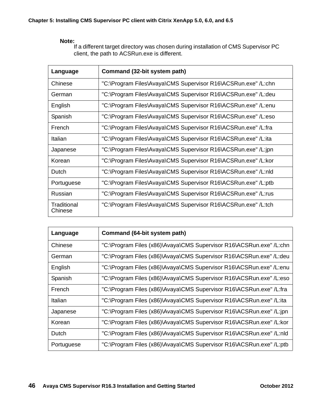#### **Note:**

If a different target directory was chosen during installation of CMS Supervisor PC client, the path to ACSRun.exe is different.

| Language               | Command (32-bit system path)                                  |
|------------------------|---------------------------------------------------------------|
| Chinese                | "C:\Program Files\Avaya\CMS Supervisor R16\ACSRun.exe" /L:chn |
| German                 | "C:\Program Files\Avaya\CMS Supervisor R16\ACSRun.exe" /L:deu |
| English                | "C:\Program Files\Avaya\CMS Supervisor R16\ACSRun.exe" /L:enu |
| Spanish                | "C:\Program Files\Avaya\CMS Supervisor R16\ACSRun.exe" /L:eso |
| French                 | "C:\Program Files\Avaya\CMS Supervisor R16\ACSRun.exe" /L:fra |
| Italian                | "C:\Program Files\Avaya\CMS Supervisor R16\ACSRun.exe" /L:ita |
| Japanese               | "C:\Program Files\Avaya\CMS Supervisor R16\ACSRun.exe" /L:jpn |
| Korean                 | "C:\Program Files\Avaya\CMS Supervisor R16\ACSRun.exe" /L:kor |
| Dutch                  | "C:\Program Files\Avaya\CMS Supervisor R16\ACSRun.exe" /L:nld |
| Portuguese             | "C:\Program Files\Avaya\CMS Supervisor R16\ACSRun.exe" /L:ptb |
| Russian                | "C:\Program Files\Avaya\CMS Supervisor R16\ACSRun.exe" /L:rus |
| Traditional<br>Chinese | "C:\Program Files\Avaya\CMS Supervisor R16\ACSRun.exe" /L:tch |

| Language      | Command (64-bit system path)                                        |
|---------------|---------------------------------------------------------------------|
| Chinese       | "C:\Program Files (x86)\Avaya\CMS Supervisor R16\ACSRun.exe" /L:chn |
| German        | "C:\Program Files (x86)\Avaya\CMS Supervisor R16\ACSRun.exe" /L:deu |
| English       | "C:\Program Files (x86)\Avaya\CMS Supervisor R16\ACSRun.exe" /L:enu |
| Spanish       | "C:\Program Files (x86)\Avaya\CMS Supervisor R16\ACSRun.exe" /L:eso |
| <b>French</b> | "C:\Program Files (x86)\Avaya\CMS Supervisor R16\ACSRun.exe" /L:fra |
| Italian       | "C:\Program Files (x86)\Avaya\CMS Supervisor R16\ACSRun.exe" /L:ita |
| Japanese      | "C:\Program Files (x86)\Avaya\CMS Supervisor R16\ACSRun.exe" /L:jpn |
| Korean        | "C:\Program Files (x86)\Avaya\CMS Supervisor R16\ACSRun.exe" /L:kor |
| Dutch         | "C:\Program Files (x86)\Avaya\CMS Supervisor R16\ACSRun.exe" /L:nld |
| Portuguese    | "C:\Program Files (x86)\Avaya\CMS Supervisor R16\ACSRun.exe" /L:ptb |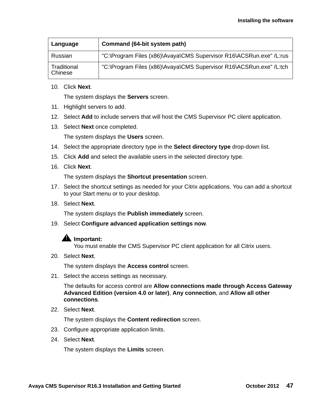| Language               | Command (64-bit system path)                                        |
|------------------------|---------------------------------------------------------------------|
| Russian                | "C:\Program Files (x86)\Avaya\CMS Supervisor R16\ACSRun.exe" /L:rus |
| Traditional<br>Chinese | "C:\Program Files (x86)\Avaya\CMS Supervisor R16\ACSRun.exe" /L:tch |

10. Click **Next**.

The system displays the **Servers** screen.

- 11. Highlight servers to add.
- 12. Select **Add** to include servers that will host the CMS Supervisor PC client application.
- 13. Select **Next** once completed.

The system displays the **Users** screen.

- 14. Select the appropriate directory type in the **Select directory type** drop-down list.
- 15. Click **Add** and select the available users in the selected directory type.
- 16. Click **Next**.

The system displays the **Shortcut presentation** screen.

- 17. Select the shortcut settings as needed for your Citrix applications. You can add a shortcut to your Start menu or to your desktop.
- 18. Select **Next**.

The system displays the **Publish immediately** screen.

19. Select **Configure advanced application settings now**.

#### $\triangle$  Important:

You must enable the CMS Supervisor PC client application for all Citrix users.

20. Select **Next**.

The system displays the **Access control** screen.

21. Select the access settings as necessary.

The defaults for access control are **Allow connections made through Access Gateway Advanced Edition (version 4.0 or later)**, **Any connection**, and **Allow all other connections**.

22. Select **Next**.

The system displays the **Content redirection** screen.

- 23. Configure appropriate application limits.
- 24. Select **Next**.

The system displays the **Limits** screen.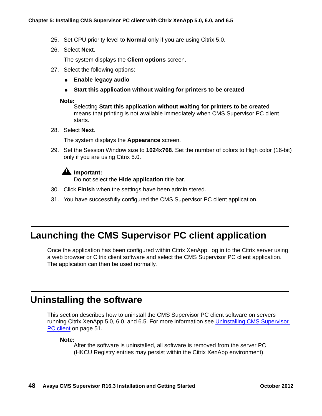- 25. Set CPU priority level to **Normal** only if you are using Citrix 5.0.
- 26. Select **Next**.

The system displays the **Client options** screen.

- 27. Select the following options:
	- **Enable legacy audio**
	- **Start this application without waiting for printers to be created**

**Note:**

Selecting Start this application without waiting for printers to be created means that printing is not available immediately when CMS Supervisor PC client starts.

28. Select **Next**.

The system displays the **Appearance** screen.

29. Set the Session Window size to **1024x768**. Set the number of colors to High color (16-bit) only if you are using Citrix 5.0.



Do not select the **Hide application** title bar.

- 30. Click **Finish** when the settings have been administered.
- 31. You have successfully configured the CMS Supervisor PC client application.

# <span id="page-47-0"></span>**Launching the CMS Supervisor PC client application**

Once the application has been configured within Citrix XenApp, log in to the Citrix server using a web browser or Citrix client software and select the CMS Supervisor PC client application. The application can then be used normally.

## <span id="page-47-1"></span>**Uninstalling the software**

This section describes how to uninstall the CMS Supervisor PC client software on servers running Citrix XenApp 5.0, 6.0, and 6.5. For more information see [Uninstalling CMS Supervisor](#page-50-0)  PC client [on page 51.](#page-50-0)

**Note:**

After the software is uninstalled, all software is removed from the server PC (HKCU Registry entries may persist within the Citrix XenApp environment).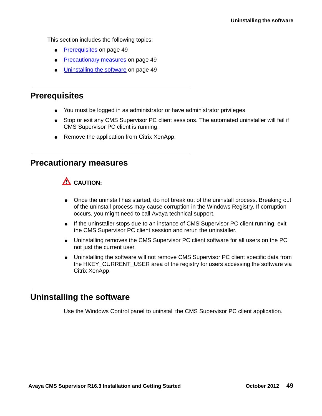This section includes the following topics:

- [Prerequisites](#page-48-0) on page 49
- [Precautionary measures](#page-48-2) on page 49
- [Uninstalling the software](#page-48-1) on page 49

#### <span id="page-48-0"></span>**Prerequisites**

- You must be logged in as administrator or have administrator privileges
- Stop or exit any CMS Supervisor PC client sessions. The automated uninstaller will fail if CMS Supervisor PC client is running.
- Remove the application from Citrix XenApp.

#### <span id="page-48-2"></span>**Precautionary measures**

# $\triangle$  CAUTION:

- Once the uninstall has started, do not break out of the uninstall process. Breaking out of the uninstall process may cause corruption in the Windows Registry. If corruption occurs, you might need to call Avaya technical support.
- If the uninstaller stops due to an instance of CMS Supervisor PC client running, exit the CMS Supervisor PC client session and rerun the uninstaller.
- Uninstalling removes the CMS Supervisor PC client software for all users on the PC not just the current user.
- Uninstalling the software will not remove CMS Supervisor PC client specific data from the HKEY\_CURRENT\_USER area of the registry for users accessing the software via Citrix XenApp.

#### <span id="page-48-1"></span>**Uninstalling the software**

Use the Windows Control panel to uninstall the CMS Supervisor PC client application.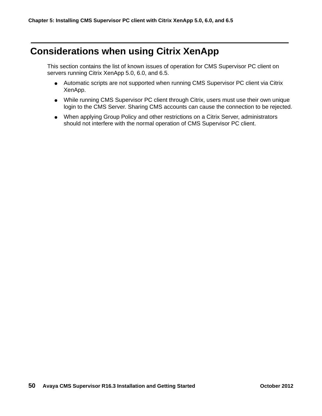# <span id="page-49-0"></span>**Considerations when using Citrix XenApp**

This section contains the list of known issues of operation for CMS Supervisor PC client on servers running Citrix XenApp 5.0, 6.0, and 6.5.

- Automatic scripts are not supported when running CMS Supervisor PC client via Citrix XenApp.
- While running CMS Supervisor PC client through Citrix, users must use their own unique login to the CMS Server. Sharing CMS accounts can cause the connection to be rejected.
- When applying Group Policy and other restrictions on a Citrix Server, administrators should not interfere with the normal operation of CMS Supervisor PC client.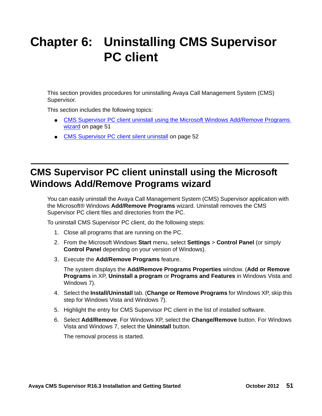# <span id="page-50-0"></span>**Chapter 6: Uninstalling CMS Supervisor PC client**

This section provides procedures for uninstalling Avaya Call Management System (CMS) Supervisor.

This section includes the following topics:

- CMS Supervisor PC client uninstall using the Microsoft Windows Add/Remove Programs wizard [on page 51](#page-50-1)
- [CMS Supervisor PC client silent uninstall](#page-51-0) on page 52

# <span id="page-50-1"></span>**CMS Supervisor PC client uninstall using the Microsoft Windows Add/Remove Programs wizard**

You can easily uninstall the Avaya Call Management System (CMS) Supervisor application with the Microsoft® Windows **Add/Remove Programs** wizard. Uninstall removes the CMS Supervisor PC client files and directories from the PC.

To uninstall CMS Supervisor PC client, do the following steps:

- 1. Close all programs that are running on the PC.
- 2. From the Microsoft Windows **Start** menu, select **Settings** > **Control Panel** (or simply **Control Panel** depending on your version of Windows).
- 3. Execute the **Add/Remove Programs** feature.

The system displays the **Add/Remove Programs Properties** window. (**Add or Remove Programs** in XP, **Uninstall a program** or **Programs and Features** in Windows Vista and Windows 7).

- 4. Select the **Install/Uninstall** tab. (**Change or Remove Programs** for Windows XP, skip this step for Windows Vista and Windows 7).
- 5. Highlight the entry for CMS Supervisor PC client in the list of installed software.
- 6. Select **Add/Remove**. For Windows XP, select the **Change/Remove** button. For Windows Vista and Windows 7, select the **Uninstall** button.

The removal process is started.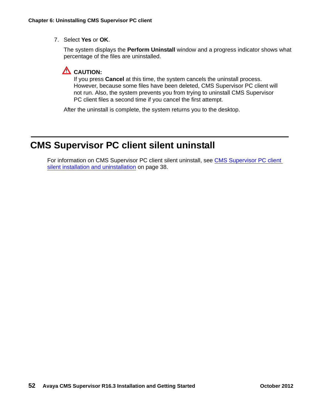7. Select **Yes** or **OK**.

The system displays the **Perform Uninstall** window and a progress indicator shows what percentage of the files are uninstalled.

#### **CAUTION:**

If you press **Cancel** at this time, the system cancels the uninstall process. However, because some files have been deleted, CMS Supervisor PC client will not run. Also, the system prevents you from trying to uninstall CMS Supervisor PC client files a second time if you cancel the first attempt.

After the uninstall is complete, the system returns you to the desktop.

# <span id="page-51-0"></span>**CMS Supervisor PC client silent uninstall**

For information on [CMS Supervisor PC client](#page-37-0) silent uninstall, see CMS Supervisor PC client [silent installation and uninstallation](#page-37-0) on page 38.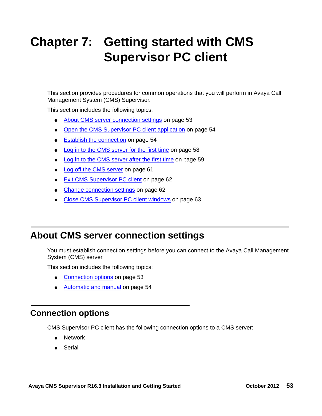# <span id="page-52-0"></span>**Chapter 7: Getting started with CMS Supervisor PC client**

This section provides procedures for common operations that you will perform in Avaya Call Management System (CMS) Supervisor.

This section includes the following topics:

- [About CMS server connection settings](#page-52-1) on page 53
- [Open the CMS Supervisor PC client application](#page-53-0) on page 54
- **[Establish the connection](#page-53-1) on page 54**
- [Log in to the CMS server for the first time](#page-57-0) on page 58
- [Log in to the CMS server after the first time](#page-58-0) on page 59
- **[Log off the CMS server](#page-60-0) on page 61**
- [Exit CMS Supervisor PC client](#page-61-0) on page 62
- **[Change connection settings](#page-61-1) on page 62**
- [Close CMS Supervisor PC client windows](#page-62-0) on page 63

## <span id="page-52-1"></span>**About CMS server connection settings**

You must establish connection settings before you can connect to the Avaya Call Management System (CMS) server.

This section includes the following topics:

- [Connection options](#page-52-2) on page 53
- [Automatic and manual](#page-53-2) on page 54

#### <span id="page-52-2"></span>**Connection options**

CMS Supervisor PC client has the following connection options to a CMS server:

- Network
- Serial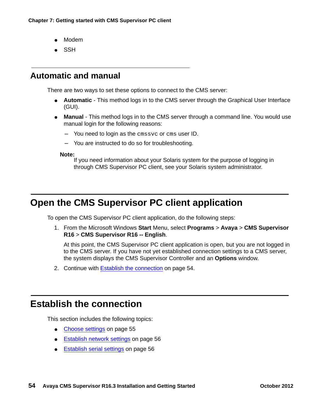- **Modem**
- **SSH**

### <span id="page-53-2"></span>**Automatic and manual**

There are two ways to set these options to connect to the CMS server:

- **Automatic** This method logs in to the CMS server through the Graphical User Interface (GUI).
- **Manual** This method logs in to the CMS server through a command line. You would use manual login for the following reasons:
	- You need to login as the cmssvc or cms user ID.
	- You are instructed to do so for troubleshooting.

**Note:**

If you need information about your Solaris system for the purpose of logging in through CMS Supervisor PC client, see your Solaris system administrator.

## <span id="page-53-0"></span>**Open the CMS Supervisor PC client application**

To open the CMS Supervisor PC client application, do the following steps:

1. From the Microsoft Windows **Start** Menu, select **Programs** > **Avaya** > **CMS Supervisor R16** > **CMS Supervisor R16 -- English**.

At this point, the CMS Supervisor PC client application is open, but you are not logged in to the CMS server. If you have not yet established connection settings to a CMS server, the system displays the CMS Supervisor Controller and an **Options** window.

2. Continue with [Establish the connection](#page-53-1) on page 54.

# <span id="page-53-1"></span>**Establish the connection**

This section includes the following topics:

- [Choose settings](#page-54-0) on page 55
- **[Establish network settings](#page-55-0) on page 56**
- **[Establish serial settings](#page-55-1) on page 56**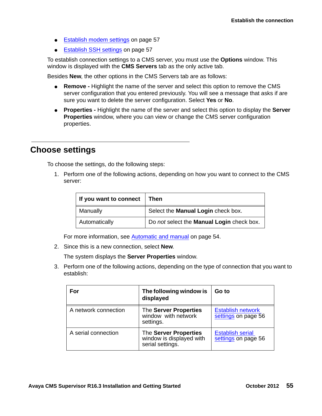- [Establish modem settings](#page-56-0) on page 57
- [Establish SSH settings](#page-56-1) on page 57

To establish connection settings to a CMS server, you must use the **Options** window. This window is displayed with the **CMS Servers** tab as the only active tab.

Besides **New**, the other options in the CMS Servers tab are as follows:

- **Remove** Highlight the name of the server and select this option to remove the CMS server configuration that you entered previously. You will see a message that asks if are sure you want to delete the server configuration. Select **Yes** or **No**.
- **Properties** Highlight the name of the server and select this option to display the **Server Properties** window, where you can view or change the CMS server configuration properties.

#### <span id="page-54-0"></span>**Choose settings**

To choose the settings, do the following steps:

1. Perform one of the following actions, depending on how you want to connect to the CMS server:

| If you want to connect | ∣ Then                                    |
|------------------------|-------------------------------------------|
| Manually               | Select the Manual Login check box.        |
| Automatically          | Do not select the Manual Login check box. |

For more information, see [Automatic and manual](#page-53-2) on page 54.

2. Since this is a new connection, select **New**.

The system displays the **Server Properties** window.

3. Perform one of the following actions, depending on the type of connection that you want to establish:

| For                  | The following window is<br>displayed                                  | Go to                                           |
|----------------------|-----------------------------------------------------------------------|-------------------------------------------------|
| A network connection | The Server Properties<br>window with network<br>settings.             | <b>Establish network</b><br>settings on page 56 |
| A serial connection  | The Server Properties<br>window is displayed with<br>serial settings. | <b>Establish serial</b><br>settings on page 56  |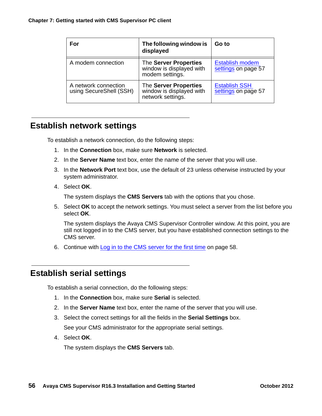| For                                             | The following window is<br>displayed                                   | Go to                                         |
|-------------------------------------------------|------------------------------------------------------------------------|-----------------------------------------------|
| A modem connection                              | The Server Properties<br>window is displayed with<br>modem settings.   | <b>Establish modem</b><br>settings on page 57 |
| A network connection<br>using SecureShell (SSH) | The Server Properties<br>window is displayed with<br>network settings. | <b>Establish SSH</b><br>settings on page 57   |

### <span id="page-55-0"></span>**Establish network settings**

To establish a network connection, do the following steps:

- 1. In the **Connection** box, make sure **Network** is selected.
- 2. In the **Server Name** text box, enter the name of the server that you will use.
- 3. In the **Network Port** text box, use the default of 23 unless otherwise instructed by your system administrator.
- 4. Select **OK**.

The system displays the **CMS Servers** tab with the options that you chose.

5. Select **OK** to accept the network settings. You must select a server from the list before you select **OK**.

The system displays the Avaya CMS Supervisor Controller window. At this point, you are still not logged in to the CMS server, but you have established connection settings to the CMS server.

6. Continue with [Log in to the CMS server for the first time](#page-57-0) on page 58.

#### <span id="page-55-1"></span>**Establish serial settings**

To establish a serial connection, do the following steps:

- 1. In the **Connection** box, make sure **Serial** is selected.
- 2. In the **Server Name** text box, enter the name of the server that you will use.
- 3. Select the correct settings for all the fields in the **Serial Settings** box. See your CMS administrator for the appropriate serial settings.
- 4. Select **OK**.

The system displays the **CMS Servers** tab.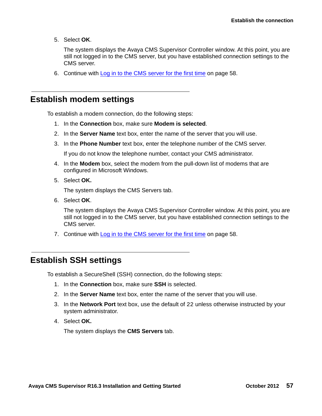5. Select **OK**.

The system displays the Avaya CMS Supervisor Controller window. At this point, you are still not logged in to the CMS server, but you have established connection settings to the CMS server.

6. Continue with [Log in to the CMS server for the first time](#page-57-0) on page 58.

#### <span id="page-56-0"></span>**Establish modem settings**

To establish a modem connection, do the following steps:

- 1. In the **Connection** box, make sure **Modem is selected**.
- 2. In the **Server Name** text box, enter the name of the server that you will use.
- 3. In the **Phone Number** text box, enter the telephone number of the CMS server.

If you do not know the telephone number, contact your CMS administrator.

- 4. In the **Modem** box, select the modem from the pull-down list of modems that are configured in Microsoft Windows.
- 5. Select **OK.**

The system displays the CMS Servers tab.

6. Select **OK**.

The system displays the Avaya CMS Supervisor Controller window. At this point, you are still not logged in to the CMS server, but you have established connection settings to the CMS server.

7. Continue with [Log in to the CMS server for the first time](#page-57-0) on page 58.

#### <span id="page-56-1"></span>**Establish SSH settings**

To establish a SecureShell (SSH) connection, do the following steps:

- 1. In the **Connection** box, make sure **SSH** is selected.
- 2. In the **Server Name** text box, enter the name of the server that you will use.
- 3. In the **Network Port** text box, use the default of 22 unless otherwise instructed by your system administrator.
- 4. Select **OK.**

The system displays the **CMS Servers** tab.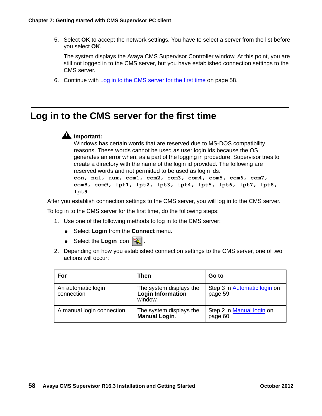5. Select **OK** to accept the network settings. You have to select a server from the list before you select **OK**.

The system displays the Avaya CMS Supervisor Controller window. At this point, you are still not logged in to the CMS server, but you have established connection settings to the CMS server.

6. Continue with [Log in to the CMS server for the first time](#page-57-0) on page 58.

## <span id="page-57-0"></span>**Log in to the CMS server for the first time**



Windows has certain words that are reserved due to MS-DOS compatibility reasons. These words cannot be used as user login ids because the OS generates an error when, as a part of the logging in procedure, Supervisor tries to create a directory with the name of the login id provided. The following are reserved words and not permitted to be used as login ids: **con, nul, aux, com1, com2, com3, com4, com5, com6, com7, com8, com9, lpt1, lpt2, lpt3, lpt4, lpt5, lpt6, lpt7, lpt8, lpt9**

After you establish connection settings to the CMS server, you will log in to the CMS server.

To log in to the CMS server for the first time, do the following steps:

- <span id="page-57-1"></span>1. Use one of the following methods to log in to the CMS server:
	- Select **Login** from the **Connect** menu.
	- $\bullet$  Select the **Login** icon  $\mathbb{R}$ .
- 2. Depending on how you established connection settings to the CMS server, one of two actions will occur:

| For                              | Then                                                    | Go to                                   |
|----------------------------------|---------------------------------------------------------|-----------------------------------------|
| An automatic login<br>connection | The system displays the<br>Login Information<br>window. | Step 3 in Automatic login on<br>page 59 |
| A manual login connection        | The system displays the<br><b>Manual Login.</b>         | Step 2 in Manual login on<br>page 60    |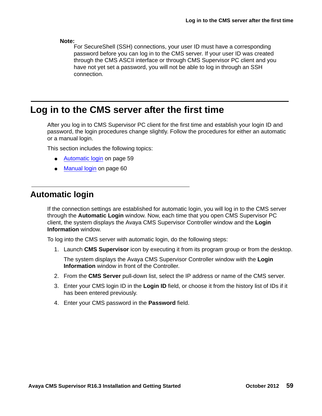**Note:**

For SecureShell (SSH) connections, your user ID must have a corresponding password before you can log in to the CMS server. If your user ID was created through the CMS ASCII interface or through CMS Supervisor PC client and you have not yet set a password, you will not be able to log in through an SSH connection.

## <span id="page-58-0"></span>**Log in to the CMS server after the first time**

After you log in to CMS Supervisor PC client for the first time and establish your login ID and password, the login procedures change slightly. Follow the procedures for either an automatic or a manual login.

This section includes the following topics:

- [Automatic login](#page-58-2) on page 59
- [Manual login](#page-59-1) on page 60

### <span id="page-58-2"></span>**Automatic login**

If the connection settings are established for automatic login, you will log in to the CMS server through the **Automatic Login** window. Now, each time that you open CMS Supervisor PC client, the system displays the Avaya CMS Supervisor Controller window and the **Login Information** window.

To log into the CMS server with automatic login, do the following steps:

1. Launch **CMS Supervisor** icon by executing it from its program group or from the desktop.

The system displays the Avaya CMS Supervisor Controller window with the **Login Information** window in front of the Controller.

- 2. From the **CMS Server** pull-down list, select the IP address or name of the CMS server.
- <span id="page-58-1"></span>3. Enter your CMS login ID in the **Login ID** field, or choose it from the history list of IDs if it has been entered previously.
- 4. Enter your CMS password in the **Password** field.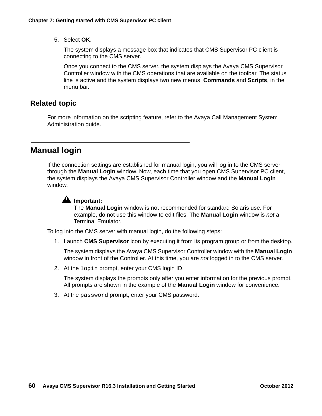5. Select **OK**.

The system displays a message box that indicates that CMS Supervisor PC client is connecting to the CMS server.

Once you connect to the CMS server, the system displays the Avaya CMS Supervisor Controller window with the CMS operations that are available on the toolbar. The status line is active and the system displays two new menus, **Commands** and **Scripts**, in the menu bar.

#### **Related topic**

For more information on the scripting feature, refer to the Avaya Call Management System Administration guide.

#### <span id="page-59-1"></span>**Manual login**

If the connection settings are established for manual login, you will log in to the CMS server through the **Manual Login** window. Now, each time that you open CMS Supervisor PC client, the system displays the Avaya CMS Supervisor Controller window and the **Manual Login** window.

#### **A** Important:

The **Manual Login** window is not recommended for standard Solaris use. For example, do not use this window to edit files. The **Manual Login** window is *not* a Terminal Emulator.

To log into the CMS server with manual login, do the following steps:

1. Launch **CMS Supervisor** icon by executing it from its program group or from the desktop.

The system displays the Avaya CMS Supervisor Controller window with the **Manual Login** window in front of the Controller. At this time, you are *not* logged in to the CMS server.

<span id="page-59-0"></span>2. At the login prompt, enter your CMS login ID.

The system displays the prompts only after you enter information for the previous prompt. All prompts are shown in the example of the **Manual Login** window for convenience.

3. At the password prompt, enter your CMS password.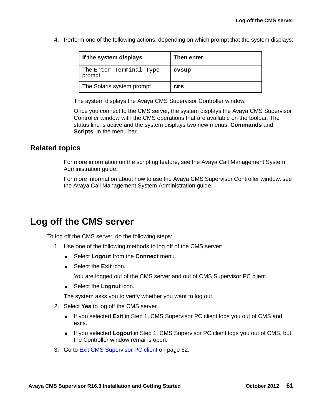4. Perform one of the following actions, depending on which prompt that the system displays:

| If the system displays            | Then enter |
|-----------------------------------|------------|
| The Enter Terminal Type<br>prompt | cvsup      |
| The Solaris system prompt         | $\rm cm s$ |

The system displays the Avaya CMS Supervisor Controller window.

Once you connect to the CMS server, the system displays the Avaya CMS Supervisor Controller window with the CMS operations that are available on the toolbar. The status line is active and the system displays two new menus, **Commands** and **Scripts**, in the menu bar.

#### **Related topics**

For more information on the scripting feature, see the Avaya Call Management System Administration guide.

For more information about how to use the Avaya CMS Supervisor Controller window, see the Avaya Call Management System Administration guide.

## <span id="page-60-0"></span>**Log off the CMS server**

To log off the CMS server, do the following steps:

- 1. Use one of the following methods to log off of the CMS server:
	- Select **Logout** from the **Connect** menu.
	- Select the **Exit** icon.

You are logged out of the CMS server and out of CMS Supervisor PC client.

● Select the **Logout** icon.

The system asks you to verify whether you want to log out.

- 2. Select **Yes** to log off the CMS server.
	- If you selected **Exit** in Step [1](#page-57-1), CMS Supervisor PC client logs you out of CMS and exits.
	- If you selected **Logout** in Step [1](#page-57-1), CMS Supervisor PC client logs you out of CMS, but the Controller window remains open.
- 3. Go to [Exit CMS Supervisor PC client](#page-61-0) on page 62.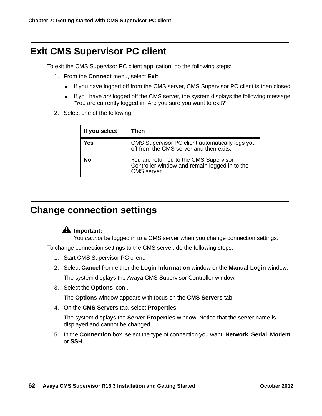# <span id="page-61-0"></span>**Exit CMS Supervisor PC client**

To exit the CMS Supervisor PC client application, do the following steps:

- 1. From the **Connect** menu, select **Exit**.
	- If you have logged off from the CMS server, CMS Supervisor PC client is then closed.
	- If you have *not* logged off the CMS server, the system displays the following message: "You are currently logged in. Are you sure you want to exit?"
- 2. Select one of the following:

| If you select | Then                                                                                                   |
|---------------|--------------------------------------------------------------------------------------------------------|
| Yes           | CMS Supervisor PC client automatically logs you<br>off from the CMS server and then exits.             |
| No            | You are returned to the CMS Supervisor<br>Controller window and remain logged in to the<br>CMS server. |

# <span id="page-61-1"></span>**Change connection settings**

## $\triangle$  Important:

You *cannot* be logged in to a CMS server when you change connection settings.

To change connection settings to the CMS server, do the following steps:

- 1. Start CMS Supervisor PC client.
- 2. Select **Cancel** from either the **Login Information** window or the **Manual Login** window. The system displays the Avaya CMS Supervisor Controller window.
- 3. Select the **Options** icon .

The **Options** window appears with focus on the **CMS Servers** tab.

4. On the **CMS Servers** tab, select **Properties**.

The system displays the **Server Properties** window. Notice that the server name is displayed and cannot be changed.

5. In the **Connection** box, select the type of connection you want: **Network**, **Serial**, **Modem**, or **SSH**.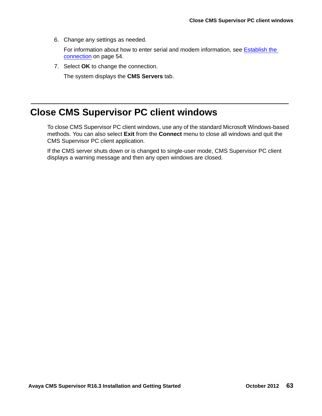6. Change any settings as needed.

For information about how to enter serial and modem information, see [Establish the](#page-53-1)  connection [on page 54](#page-53-1).

7. Select **OK** to change the connection.

The system displays the **CMS Servers** tab.

## <span id="page-62-0"></span>**Close CMS Supervisor PC client windows**

To close CMS Supervisor PC client windows, use any of the standard Microsoft Windows-based methods. You can also select **Exit** from the **Connect** menu to close all windows and quit the CMS Supervisor PC client application.

If the CMS server shuts down or is changed to single-user mode, CMS Supervisor PC client displays a warning message and then any open windows are closed.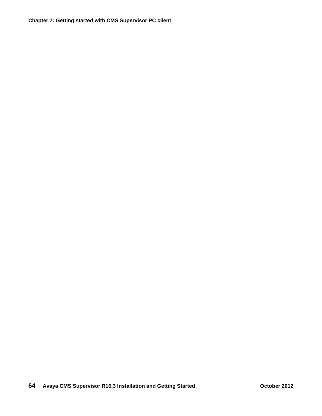**Chapter 7: Getting started with CMS Supervisor PC client**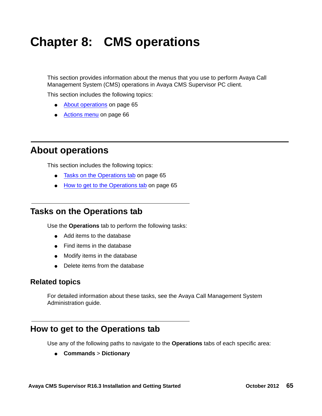# **Chapter 8: CMS operations**

This section provides information about the menus that you use to perform Avaya Call Management System (CMS) operations in Avaya CMS Supervisor PC client.

This section includes the following topics:

- [About operations](#page-64-0) on page 65
- [Actions menu](#page-65-0) on page 66

# <span id="page-64-0"></span>**About operations**

This section includes the following topics:

- [Tasks on the Operations tab](#page-64-1) on page 65
- [How to get to the Operations tab](#page-64-2) on page 65

#### <span id="page-64-1"></span>**Tasks on the Operations tab**

Use the **Operations** tab to perform the following tasks:

- Add items to the database
- Find items in the database
- Modify items in the database
- Delete items from the database

#### **Related topics**

For detailed information about these tasks, see the Avaya Call Management System Administration guide.

#### <span id="page-64-2"></span>**How to get to the Operations tab**

Use any of the following paths to navigate to the **Operations** tabs of each specific area:

● **Commands** > **Dictionary**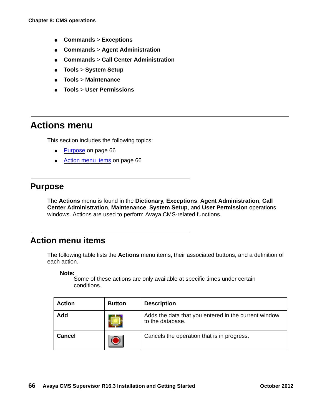- **Commands** > **Exceptions**
- **Commands** > **Agent Administration**
- **Commands** > **Call Center Administration**
- **Tools** > **System Setup**
- **Tools** > **Maintenance**
- **Tools** > **User Permissions**

## <span id="page-65-0"></span>**Actions menu**

This section includes the following topics:

- Purpose [on page 66](#page-65-1)
- [Action menu items](#page-65-2) on page 66

#### <span id="page-65-1"></span>**Purpose**

The **Actions** menu is found in the **Dictionary**, **Exceptions**, **Agent Administration**, **Call Center Administration**, **Maintenance**, **System Setup**, and **User Permission** operations windows. Actions are used to perform Avaya CMS-related functions.

## <span id="page-65-2"></span>**Action menu items**

The following table lists the **Actions** menu items, their associated buttons, and a definition of each action.

#### **Note:**

Some of these actions are only available at specific times under certain conditions.

| <b>Action</b> | <b>Button</b> | <b>Description</b>                                                       |
|---------------|---------------|--------------------------------------------------------------------------|
| <b>Add</b>    |               | Adds the data that you entered in the current window<br>to the database. |
| Cancel        |               | Cancels the operation that is in progress.                               |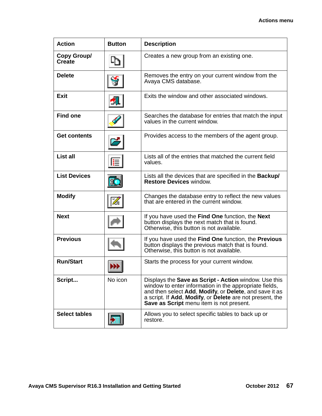| <b>Action</b>                | <b>Button</b> | <b>Description</b>                                                                                                                                                                                                                                                                |
|------------------------------|---------------|-----------------------------------------------------------------------------------------------------------------------------------------------------------------------------------------------------------------------------------------------------------------------------------|
| Copy Group/<br><b>Create</b> |               | Creates a new group from an existing one.                                                                                                                                                                                                                                         |
| <b>Delete</b>                |               | Removes the entry on your current window from the<br>Avaya CMS database.                                                                                                                                                                                                          |
| Exit                         |               | Exits the window and other associated windows.                                                                                                                                                                                                                                    |
| <b>Find one</b>              |               | Searches the database for entries that match the input<br>values in the current window.                                                                                                                                                                                           |
| <b>Get contents</b>          |               | Provides access to the members of the agent group.                                                                                                                                                                                                                                |
| List all                     |               | Lists all of the entries that matched the current field<br>values.                                                                                                                                                                                                                |
| <b>List Devices</b>          |               | Lists all the devices that are specified in the <b>Backup/</b><br><b>Restore Devices window.</b>                                                                                                                                                                                  |
| <b>Modify</b>                |               | Changes the database entry to reflect the new values<br>that are entered in the current window.                                                                                                                                                                                   |
| <b>Next</b>                  |               | If you have used the Find One function, the Next<br>button displays the next match that is found.<br>Otherwise, this button is not available.                                                                                                                                     |
| <b>Previous</b>              |               | If you have used the Find One function, the Previous<br>button displays the previous match that is found.<br>Otherwise, this button is not available.                                                                                                                             |
| <b>Run/Start</b>             |               | Starts the process for your current window.                                                                                                                                                                                                                                       |
| Script                       | No icon       | Displays the Save as Script - Action window. Use this<br>window to enter information in the appropriate fields,<br>and then select Add, Modify, or Delete, and save it as<br>a script. If Add, Modify, or Delete are not present, the<br>Save as Script menu item is not present. |
| <b>Select tables</b>         |               | Allows you to select specific tables to back up or<br>restore.                                                                                                                                                                                                                    |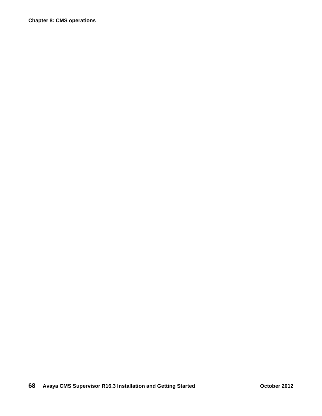**Chapter 8: CMS operations**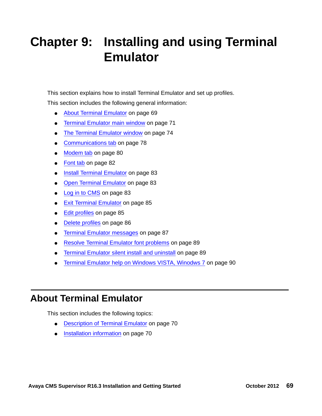# **Chapter 9: Installing and using Terminal Emulator**

This section explains how to install Terminal Emulator and set up profiles. This section includes the following general information:

- [About Terminal Emulator](#page-68-0) on page 69
- **[Terminal Emulator main window](#page-70-0) on page 71**
- [The Terminal Emulator window](#page-73-0) on page 74
- [Communications tab](#page-77-0) on page 78
- Modem tab [on page 80](#page-79-0)
- Font tab [on page 82](#page-81-0)
- [Install Terminal Emulator](#page-82-0) on page 83
- [Open Terminal Emulator](#page-82-1) on page 83
- [Log in to CMS](#page-82-2) on page 83
- [Exit Terminal Emulator](#page-84-0) on page 85
- [Edit profiles](#page-84-1) on page 85
- [Delete profiles](#page-85-0) on page 86
- **[Terminal Emulator messages](#page-86-0) on page 87**
- [Resolve Terminal Emulator font problems](#page-88-0) on page 89
- **[Terminal Emulator silent install and uninstall](#page-88-1) on page 89**
- [Terminal Emulator help on Windows VISTA, Winodws 7](#page-89-0) on page 90

## <span id="page-68-0"></span>**About Terminal Emulator**

This section includes the following topics:

- [Description of Terminal Emulator](#page-69-0) on page 70
- [Installation information](#page-69-1) on page 70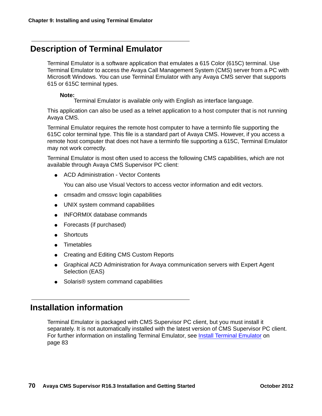## <span id="page-69-0"></span>**Description of Terminal Emulator**

Terminal Emulator is a software application that emulates a 615 Color (615C) terminal. Use Terminal Emulator to access the Avaya Call Management System (CMS) server from a PC with Microsoft Windows. You can use Terminal Emulator with any Avaya CMS server that supports 615 or 615C terminal types.

#### **Note:**

Terminal Emulator is available only with English as interface language.

This application can also be used as a telnet application to a host computer that is not running Avaya CMS.

Terminal Emulator requires the remote host computer to have a terminfo file supporting the 615C color terminal type. This file is a standard part of Avaya CMS. However, if you access a remote host computer that does not have a terminfo file supporting a 615C, Terminal Emulator may not work correctly.

Terminal Emulator is most often used to access the following CMS capabilities, which are not available through Avaya CMS Supervisor PC client:

● ACD Administration - Vector Contents

You can also use Visual Vectors to access vector information and edit vectors.

- cmsadm and cmssvc login capabilities
- UNIX system command capabilities
- INFORMIX database commands
- Forecasts (if purchased)
- Shortcuts
- **Timetables**
- Creating and Editing CMS Custom Reports
- Graphical ACD Administration for Avaya communication servers with Expert Agent Selection (EAS)
- Solaris® system command capabilities

#### <span id="page-69-1"></span>**Installation information**

Terminal Emulator is packaged with CMS Supervisor PC client, but you must install it separately. It is not automatically installed with the latest version of CMS Supervisor PC client. For further information on installing Terminal Emulator, see [Install Terminal Emulator](#page-82-0) on [page 83](#page-82-0)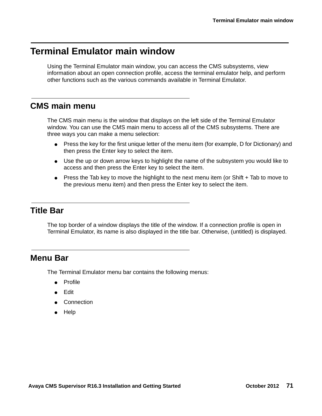# <span id="page-70-0"></span>**Terminal Emulator main window**

Using the Terminal Emulator main window, you can access the CMS subsystems, view information about an open connection profile, access the terminal emulator help, and perform other functions such as the various commands available in Terminal Emulator.

#### **CMS main menu**

The CMS main menu is the window that displays on the left side of the Terminal Emulator window. You can use the CMS main menu to access all of the CMS subsystems. There are three ways you can make a menu selection:

- Press the key for the first unique letter of the menu item (for example, D for Dictionary) and then press the Enter key to select the item.
- Use the up or down arrow keys to highlight the name of the subsystem you would like to access and then press the Enter key to select the item.
- Press the Tab key to move the highlight to the next menu item (or Shift + Tab to move to the previous menu item) and then press the Enter key to select the item.

## **Title Bar**

The top border of a window displays the title of the window. If a connection profile is open in Terminal Emulator, its name is also displayed in the title bar. Otherwise, (untitled) is displayed.

## **Menu Bar**

The Terminal Emulator menu bar contains the following menus:

- Profile
- Edit
- Connection
- Help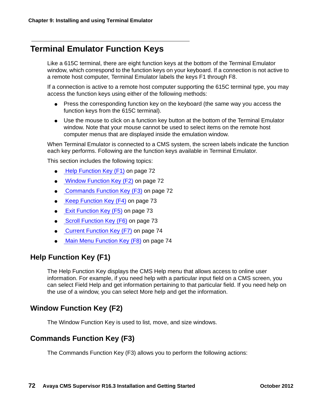## **Terminal Emulator Function Keys**

Like a 615C terminal, there are eight function keys at the bottom of the Terminal Emulator window, which correspond to the function keys on your keyboard. If a connection is not active to a remote host computer, Terminal Emulator labels the keys F1 through F8.

If a connection is active to a remote host computer supporting the 615C terminal type, you may access the function keys using either of the following methods:

- Press the corresponding function key on the keyboard (the same way you access the function keys from the 615C terminal).
- Use the mouse to click on a function key button at the bottom of the Terminal Emulator window. Note that your mouse cannot be used to select items on the remote host computer menus that are displayed inside the emulation window.

When Terminal Emulator is connected to a CMS system, the screen labels indicate the function each key performs. Following are the function keys available in Terminal Emulator.

This section includes the following topics:

- [Help Function Key \(F1\)](#page-71-0) on page 72
- [Window Function Key \(F2\)](#page-71-1) on page 72
- [Commands Function Key \(F3\)](#page-71-2) on page 72
- [Keep Function Key \(F4\)](#page-72-0) on page 73
- **[Exit Function Key \(F5\)](#page-72-1) on page 73**
- [Scroll Function Key \(F6\)](#page-72-2) on page 73
- [Current Function Key \(F7\)](#page-73-1) on page 74
- [Main Menu Function Key \(F8\)](#page-73-2) on page 74

#### <span id="page-71-0"></span>**Help Function Key (F1)**

The Help Function Key displays the CMS Help menu that allows access to online user information. For example, if you need help with a particular input field on a CMS screen, you can select Field Help and get information pertaining to that particular field. If you need help on the use of a window, you can select More help and get the information.

#### <span id="page-71-1"></span>**Window Function Key (F2)**

The Window Function Key is used to list, move, and size windows.

#### <span id="page-71-2"></span>**Commands Function Key (F3)**

The Commands Function Key (F3) allows you to perform the following actions: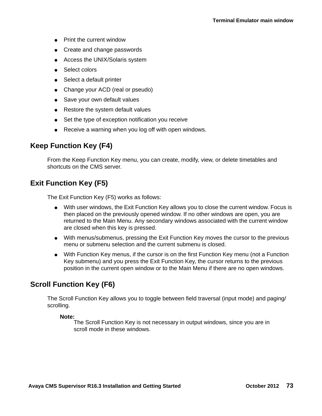- Print the current window
- Create and change passwords
- Access the UNIX/Solaris system
- Select colors
- Select a default printer
- Change your ACD (real or pseudo)
- Save your own default values
- Restore the system default values
- Set the type of exception notification you receive
- Receive a warning when you log off with open windows.

### **Keep Function Key (F4)**

From the Keep Function Key menu, you can create, modify, view, or delete timetables and shortcuts on the CMS server.

### **Exit Function Key (F5)**

The Exit Function Key (F5) works as follows:

- With user windows, the Exit Function Key allows you to close the current window. Focus is then placed on the previously opened window. If no other windows are open, you are returned to the Main Menu. Any secondary windows associated with the current window are closed when this key is pressed.
- With menus/submenus, pressing the Exit Function Key moves the cursor to the previous menu or submenu selection and the current submenu is closed.
- With Function Key menus, if the cursor is on the first Function Key menu (not a Function Key submenu) and you press the Exit Function Key, the cursor returns to the previous position in the current open window or to the Main Menu if there are no open windows.

### **Scroll Function Key (F6)**

The Scroll Function Key allows you to toggle between field traversal (input mode) and paging/ scrolling.

#### **Note:**

The Scroll Function Key is not necessary in output windows, since you are in scroll mode in these windows.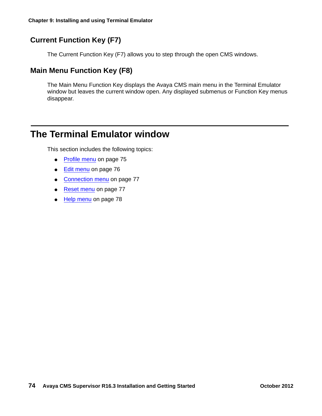### **Current Function Key (F7)**

The Current Function Key (F7) allows you to step through the open CMS windows.

### **Main Menu Function Key (F8)**

The Main Menu Function Key displays the Avaya CMS main menu in the Terminal Emulator window but leaves the current window open. Any displayed submenus or Function Key menus disappear.

# **The Terminal Emulator window**

This section includes the following topics:

- [Profile menu](#page-74-0) on page 75
- Edit menu [on page 76](#page-75-0)
- [Connection menu](#page-76-0) on page 77
- [Reset menu](#page-76-1) on page 77
- Help menu [on page 78](#page-77-0)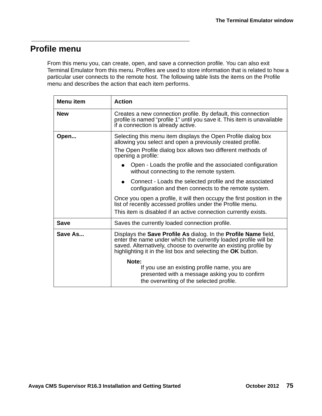### <span id="page-74-0"></span>**Profile menu**

From this menu you, can create, open, and save a connection profile. You can also exit Terminal Emulator from this menu. Profiles are used to store information that is related to how a particular user connects to the remote host. The following table lists the items on the Profile menu and describes the action that each item performs.

| <b>Action</b>                                                                                                                                                                                                                                                                                                                                                                                                                                                                                                                                                                                                                                            |
|----------------------------------------------------------------------------------------------------------------------------------------------------------------------------------------------------------------------------------------------------------------------------------------------------------------------------------------------------------------------------------------------------------------------------------------------------------------------------------------------------------------------------------------------------------------------------------------------------------------------------------------------------------|
| Creates a new connection profile. By default, this connection<br>profile is named "profile 1" until you save it. This item is unavailable<br>if a connection is already active.                                                                                                                                                                                                                                                                                                                                                                                                                                                                          |
| Selecting this menu item displays the Open Profile dialog box<br>allowing you select and open a previously created profile.<br>The Open Profile dialog box allows two different methods of<br>opening a profile:<br>Open - Loads the profile and the associated configuration<br>without connecting to the remote system.<br>Connect - Loads the selected profile and the associated<br>configuration and then connects to the remote system.<br>Once you open a profile, it will then occupy the first position in the<br>list of recently accessed profiles under the Profile menu.<br>This item is disabled if an active connection currently exists. |
| Saves the currently loaded connection profile.                                                                                                                                                                                                                                                                                                                                                                                                                                                                                                                                                                                                           |
| Displays the Save Profile As dialog. In the Profile Name field,<br>enter the name under which the currently loaded profile will be<br>saved. Alternatively, choose to overwrite an existing profile by<br>highlighting it in the list box and selecting the OK button.<br>Note:<br>If you use an existing profile name, you are<br>presented with a message asking you to confirm<br>the overwriting of the selected profile.                                                                                                                                                                                                                            |
|                                                                                                                                                                                                                                                                                                                                                                                                                                                                                                                                                                                                                                                          |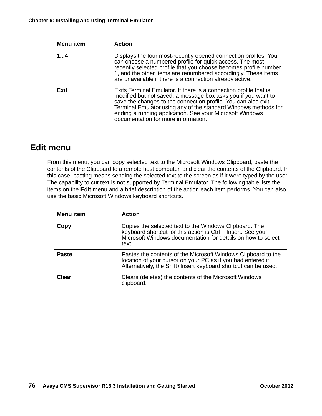| <b>Menu</b> item | <b>Action</b>                                                                                                                                                                                                                                                                                                                                                             |
|------------------|---------------------------------------------------------------------------------------------------------------------------------------------------------------------------------------------------------------------------------------------------------------------------------------------------------------------------------------------------------------------------|
| 14               | Displays the four most-recently opened connection profiles. You<br>can choose a numbered profile for quick access. The most<br>recently selected profile that you choose becomes profile number<br>1, and the other items are renumbered accordingly. These items<br>are unavailable if there is a connection already active.                                             |
| <b>Exit</b>      | Exits Terminal Emulator. If there is a connection profile that is<br>modified but not saved, a message box asks you if you want to<br>save the changes to the connection profile. You can also exit<br>Terminal Emulator using any of the standard Windows methods for<br>ending a running application. See your Microsoft Windows<br>documentation for more information. |

### <span id="page-75-0"></span>**Edit menu**

From this menu, you can copy selected text to the Microsoft Windows Clipboard, paste the contents of the Clipboard to a remote host computer, and clear the contents of the Clipboard. In this case, pasting means sending the selected text to the screen as if it were typed by the user. The capability to cut text is not supported by Terminal Emulator. The following table lists the items on the **Edit** menu and a brief description of the action each item performs. You can also use the basic Microsoft Windows keyboard shortcuts.

| <b>Menu</b> item | <b>Action</b>                                                                                                                                                                                   |
|------------------|-------------------------------------------------------------------------------------------------------------------------------------------------------------------------------------------------|
| Copy             | Copies the selected text to the Windows Clipboard. The<br>keyboard shortcut for this action is Ctrl + Insert. See your<br>Microsoft Windows documentation for details on how to select<br>text. |
| <b>Paste</b>     | Pastes the contents of the Microsoft Windows Clipboard to the<br>location of your cursor on your PC as if you had entered it.<br>Alternatively, the Shift+Insert keyboard shortcut can be used. |
| <b>Clear</b>     | Clears (deletes) the contents of the Microsoft Windows<br>clipboard.                                                                                                                            |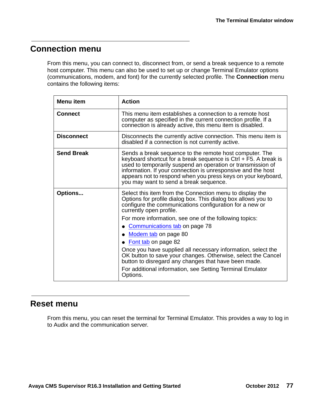### <span id="page-76-0"></span>**Connection menu**

From this menu, you can connect to, disconnect from, or send a break sequence to a remote host computer. This menu can also be used to set up or change Terminal Emulator options (communications, modem, and font) for the currently selected profile. The **Connection** menu contains the following items:

| <b>Menu</b> item  | <b>Action</b>                                                                                                                                                                                                                                                                                                                                                          |
|-------------------|------------------------------------------------------------------------------------------------------------------------------------------------------------------------------------------------------------------------------------------------------------------------------------------------------------------------------------------------------------------------|
| <b>Connect</b>    | This menu item establishes a connection to a remote host<br>computer as specified in the current connection profile. If a<br>connection is already active, this menu item is disabled.                                                                                                                                                                                 |
| <b>Disconnect</b> | Disconnects the currently active connection. This menu item is<br>disabled if a connection is not currently active.                                                                                                                                                                                                                                                    |
| <b>Send Break</b> | Sends a break sequence to the remote host computer. The<br>keyboard shortcut for a break sequence is $Ctrl + F5$ . A break is<br>used to temporarily suspend an operation or transmission of<br>information. If your connection is unresponsive and the host<br>appears not to respond when you press keys on your keyboard,<br>you may want to send a break sequence. |
| Options           | Select this item from the Connection menu to display the<br>Options for profile dialog box. This dialog box allows you to<br>configure the communications configuration for a new or<br>currently open profile.                                                                                                                                                        |
|                   | For more information, see one of the following topics:                                                                                                                                                                                                                                                                                                                 |
|                   | Communications tab on page 78                                                                                                                                                                                                                                                                                                                                          |
|                   | Modem tab on page 80                                                                                                                                                                                                                                                                                                                                                   |
|                   | Font tab on page 82                                                                                                                                                                                                                                                                                                                                                    |
|                   | Once you have supplied all necessary information, select the<br>OK button to save your changes. Otherwise, select the Cancel<br>button to disregard any changes that have been made.<br>For additional information, see Setting Terminal Emulator<br>Options.                                                                                                          |

### <span id="page-76-1"></span>**Reset menu**

From this menu, you can reset the terminal for Terminal Emulator. This provides a way to log in to Audix and the communication server.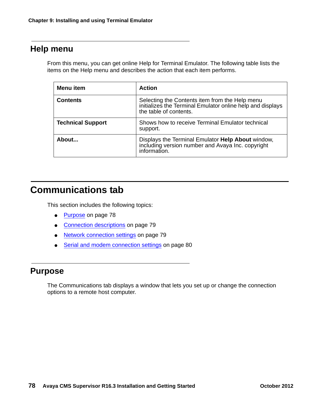### <span id="page-77-0"></span>**Help menu**

From this menu, you can get online Help for Terminal Emulator. The following table lists the items on the Help menu and describes the action that each item performs.

| <b>Menu</b> item         | <b>Action</b>                                                                                                                          |
|--------------------------|----------------------------------------------------------------------------------------------------------------------------------------|
| <b>Contents</b>          | Selecting the Contents item from the Help menu<br>initializes the Terminal Emulator online help and displays<br>the table of contents. |
| <b>Technical Support</b> | Shows how to receive Terminal Emulator technical<br>support.                                                                           |
| About                    | Displays the Terminal Emulator Help About window,<br>including version number and Avaya Inc. copyright<br>information.                 |

# <span id="page-77-1"></span>**Communications tab**

This section includes the following topics:

- Purpose [on page 78](#page-77-2)
- [Connection descriptions](#page-78-0) on page 79
- [Network connection settings](#page-78-1) on page 79
- [Serial and modem connection settings](#page-79-1) on page 80

### <span id="page-77-2"></span>**Purpose**

The Communications tab displays a window that lets you set up or change the connection options to a remote host computer.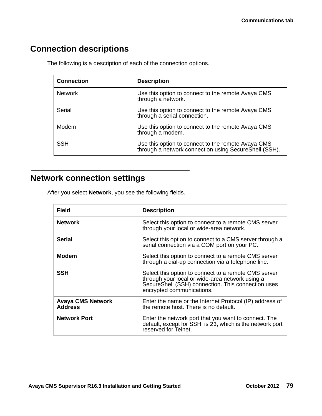# <span id="page-78-0"></span>**Connection descriptions**

The following is a description of each of the connection options.

| <b>Connection</b> | <b>Description</b>                                                                                          |
|-------------------|-------------------------------------------------------------------------------------------------------------|
| <b>Network</b>    | Use this option to connect to the remote Avaya CMS<br>through a network.                                    |
| Serial            | Use this option to connect to the remote Avaya CMS<br>through a serial connection.                          |
| Modem             | Use this option to connect to the remote Avaya CMS<br>through a modem.                                      |
| <b>SSH</b>        | Use this option to connect to the remote Avaya CMS<br>through a network connection using SecureShell (SSH). |

# <span id="page-78-1"></span>**Network connection settings**

After you select **Network**, you see the following fields.

| <b>Field</b>                               | <b>Description</b>                                                                                                                                                                         |
|--------------------------------------------|--------------------------------------------------------------------------------------------------------------------------------------------------------------------------------------------|
| <b>Network</b>                             | Select this option to connect to a remote CMS server<br>through your local or wide-area network.                                                                                           |
| <b>Serial</b>                              | Select this option to connect to a CMS server through a<br>serial connection via a COM port on your PC.                                                                                    |
| <b>Modem</b>                               | Select this option to connect to a remote CMS server<br>through a dial-up connection via a telephone line.                                                                                 |
| <b>SSH</b>                                 | Select this option to connect to a remote CMS server<br>through your local or wide-area network using a<br>SecureShell (SSH) connection. This connection uses<br>encrypted communications. |
| <b>Avaya CMS Network</b><br><b>Address</b> | Enter the name or the Internet Protocol (IP) address of<br>the remote host. There is no default.                                                                                           |
| <b>Network Port</b>                        | Enter the network port that you want to connect. The<br>default, except for $\overline{S}SH$ , is 23, which is the network port<br>reserved for Telnet.                                    |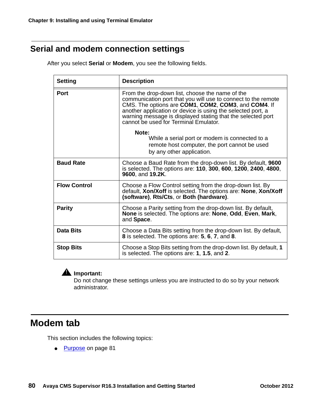# <span id="page-79-1"></span>**Serial and modem connection settings**

After you select **Serial** or **Modem**, you see the following fields.

| <b>Setting</b>      | <b>Description</b>                                                                                                                                                                                                                                                                                                                             |
|---------------------|------------------------------------------------------------------------------------------------------------------------------------------------------------------------------------------------------------------------------------------------------------------------------------------------------------------------------------------------|
| <b>Port</b>         | From the drop-down list, choose the name of the<br>communication port that you will use to connect to the remote<br>CMS. The options are COM1, COM2, COM3, and COM4. If<br>another application or device is using the selected port, a<br>warning message is displayed stating that the selected port<br>cannot be used for Terminal Emulator. |
|                     | Note:<br>While a serial port or modem is connected to a<br>remote host computer, the port cannot be used<br>by any other application.                                                                                                                                                                                                          |
| <b>Baud Rate</b>    | Choose a Baud Rate from the drop-down list. By default, 9600<br>is selected. The options are: 110, 300, 600, 1200, 2400, 4800,<br>9600, and 19.2K.                                                                                                                                                                                             |
| <b>Flow Control</b> | Choose a Flow Control setting from the drop-down list. By<br>default, Xon/Xoff is selected. The options are: None, Xon/Xoff<br>(software), Rts/Cts, or Both (hardware).                                                                                                                                                                        |
| <b>Parity</b>       | Choose a Parity setting from the drop-down list. By default,<br>None is selected. The options are: None, Odd, Even, Mark,<br>and Space.                                                                                                                                                                                                        |
| <b>Data Bits</b>    | Choose a Data Bits setting from the drop-down list. By default,<br>8 is selected. The options are: 5, 6, 7, and 8.                                                                                                                                                                                                                             |
| <b>Stop Bits</b>    | Choose a Stop Bits setting from the drop-down list. By default, 1<br>is selected. The options are: 1, 1.5, and 2.                                                                                                                                                                                                                              |

### ! **Important:**

Do not change these settings unless you are instructed to do so by your network administrator.

# <span id="page-79-0"></span>**Modem tab**

This section includes the following topics:

• Purpose [on page 81](#page-80-0)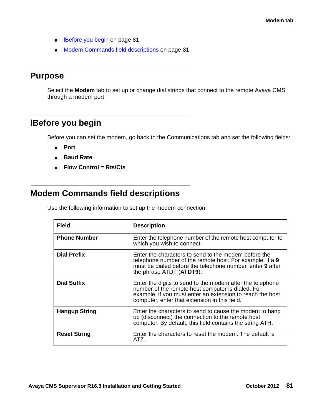- **IBefore you begin** on page 81
- [Modem Commands field descriptions](#page-80-2) on page 81

### <span id="page-80-0"></span>**Purpose**

Select the **Modem** tab to set up or change dial strings that connect to the remote Avaya CMS through a modem port.

### <span id="page-80-1"></span>**lBefore you begin**

Before you can set the modem, go back to the Communications tab and set the following fields:

- **Port**
- **Baud Rate**
- **Flow Control = Rts/Cts**

### <span id="page-80-2"></span>**Modem Commands field descriptions**

Use the following information to set up the modem connection.

| Field                | <b>Description</b>                                                                                                                                                                                                           |
|----------------------|------------------------------------------------------------------------------------------------------------------------------------------------------------------------------------------------------------------------------|
| <b>Phone Number</b>  | Enter the telephone number of the remote host computer to<br>which you wish to connect.                                                                                                                                      |
| <b>Dial Prefix</b>   | Enter the characters to send to the modem before the<br>telephone number of the remote host. For example, if a 9<br>must be dialed before the telephone number, enter 9 after<br>the phrase ATDT (ATDT9).                    |
| <b>Dial Suffix</b>   | Enter the digits to send to the modem after the telephone<br>number of the remote host computer is dialed. For<br>example, if you must enter an extension to reach the host<br>computer, enter that extension in this field. |
| <b>Hangup String</b> | Enter the characters to send to cause the modem to hang<br>up (disconnect) the connection to the remote host<br>computer. By default, this field contains the string ATH.                                                    |
| <b>Reset String</b>  | Enter the characters to reset the modem. The default is<br>ATZ.                                                                                                                                                              |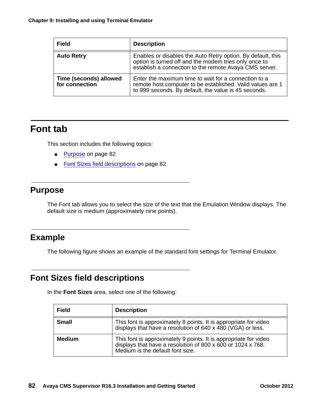| <b>Field</b>                             | <b>Description</b>                                                                                                                                                             |
|------------------------------------------|--------------------------------------------------------------------------------------------------------------------------------------------------------------------------------|
| <b>Auto Retry</b>                        | Enables or disables the Auto Retry option. By default, this<br>option is turned off and the modem tries only once to<br>establish a connection to the remote Avaya CMS server. |
| Time (seconds) allowed<br>for connection | Enter the maximum time to wait for a connection to a<br>remote host computer to be established. Valid values are 1<br>to 999 seconds. By default, the value is 45 seconds.     |

# <span id="page-81-0"></span>**Font tab**

This section includes the following topics:

- Purpose [on page 82](#page-81-1)
- [Font Sizes field descriptions](#page-81-2) on page 82

### <span id="page-81-1"></span>**Purpose**

The Font tab allows you to select the size of the text that the Emulation Window displays. The default size is medium (approximately nine points).

### **Example**

The following figure shows an example of the standard font settings for Terminal Emulator.

### <span id="page-81-2"></span>**Font Sizes field descriptions**

In the **Font Sizes** area, select one of the following:

| <b>Field</b>  | <b>Description</b>                                                                                                                                                  |
|---------------|---------------------------------------------------------------------------------------------------------------------------------------------------------------------|
| <b>Small</b>  | This font is approximately 8 points. It is appropriate for video displays that have a resolution of 640 x 480 (VGA) or less.                                        |
| <b>Medium</b> | This font is approximately 9 points. It is appropriate for video<br>displays that have a resolution of 800 x 600 or 1024 x 768.<br>Medium is the default font size. |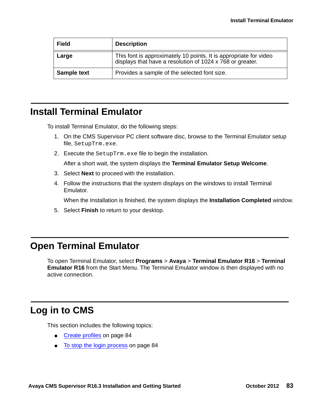| <b>Field</b>       | <b>Description</b>                                                                                                             |
|--------------------|--------------------------------------------------------------------------------------------------------------------------------|
| Large              | This font is approximately 10 points. It is appropriate for video<br>displays that have a resolution of 1024 x 768 or greater. |
| <b>Sample text</b> | Provides a sample of the selected font size.                                                                                   |

# **Install Terminal Emulator**

To install Terminal Emulator, do the following steps:

- 1. On the CMS Supervisor PC client software disc, browse to the Terminal Emulator setup file, SetupTrm.exe.
- 2. Execute the SetupTrm.exe file to begin the installation.

After a short wait, the system displays the **Terminal Emulator Setup Welcome**.

- 3. Select **Next** to proceed with the installation.
- 4. Follow the instructions that the system displays on the windows to install Terminal Emulator.

When the Installation is finished, the system displays the **Installation Completed** window.

5. Select **Finish** to return to your desktop.

# **Open Terminal Emulator**

To open Terminal Emulator, select **Programs** > **Avaya** > **Terminal Emulator R16** > **Terminal Emulator R16** from the Start Menu. The Terminal Emulator window is then displayed with no active connection.

# **Log in to CMS**

This section includes the following topics:

- [Create profiles](#page-83-0) on page 84
- [To stop the login process](#page-83-1) on page 84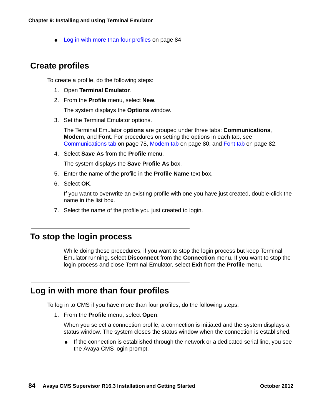[Log in with more than four profiles](#page-83-2) on page 84

### <span id="page-83-0"></span>**Create profiles**

To create a profile, do the following steps:

- 1. Open **Terminal Emulator**.
- 2. From the **Profile** menu, select **New**.

The system displays the **Options** window.

3. Set the Terminal Emulator options.

The Terminal Emulator o**ptions** are grouped under three tabs: **Communications**, **Modem**, and **Font**. For procedures on setting the options in each tab, see [Communications tab](#page-77-1) on page 78, Modem tab [on page 80,](#page-79-0) and Font tab [on page 82](#page-81-0).

4. Select **Save As** from the **Profile** menu.

The system displays the **Save Profile As** box.

- 5. Enter the name of the profile in the **Profile Name** text box.
- 6. Select **OK**.

If you want to overwrite an existing profile with one you have just created, double-click the name in the list box.

7. Select the name of the profile you just created to login.

### <span id="page-83-1"></span>**To stop the login process**

While doing these procedures, if you want to stop the login process but keep Terminal Emulator running, select **Disconnect** from the **Connection** menu. If you want to stop the login process and close Terminal Emulator, select **Exit** from the **Profile** menu.

### <span id="page-83-2"></span>**Log in with more than four profiles**

To log in to CMS if you have more than four profiles, do the following steps:

1. From the **Profile** menu, select **Open**.

When you select a connection profile, a connection is initiated and the system displays a status window. The system closes the status window when the connection is established.

If the connection is established through the network or a dedicated serial line, you see the Avaya CMS login prompt.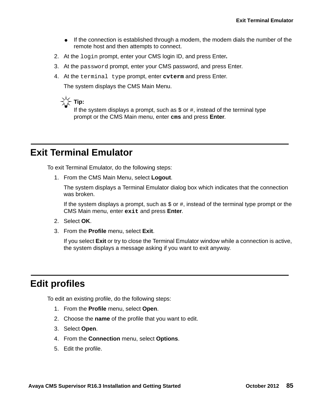- If the connection is established through a modem, the modem dials the number of the remote host and then attempts to connect.
- 2. At the login prompt, enter your CMS login ID, and press Enter**.**
- 3. At the password prompt, enter your CMS password, and press Enter.
- 4. At the terminal type prompt, enter **cvterm** and press Enter.

The system displays the CMS Main Menu.



If the system displays a prompt, such as  $\zeta$  or  $\#$ , instead of the terminal type prompt or the CMS Main menu, enter **cms** and press **Enter**.

# **Exit Terminal Emulator**

To exit Terminal Emulator, do the following steps:

1. From the CMS Main Menu, select **Logout**.

The system displays a Terminal Emulator dialog box which indicates that the connection was broken.

If the system displays a prompt, such as  $$$  or  $$$ , instead of the terminal type prompt or the CMS Main menu, enter **exit** and press **Enter**.

- 2. Select **OK**.
- 3. From the **Profile** menu, select **Exit**.

If you select **Exit** or try to close the Terminal Emulator window while a connection is active, the system displays a message asking if you want to exit anyway.

# **Edit profiles**

To edit an existing profile, do the following steps:

- 1. From the **Profile** menu, select **Open**.
- 2. Choose the **name** of the profile that you want to edit.
- 3. Select **Open**.
- 4. From the **Connection** menu, select **Options**.
- 5. Edit the profile.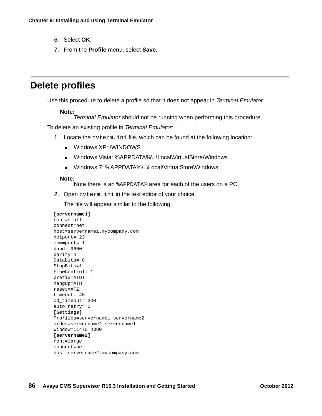- 6. Select **OK**.
- 7. From the **Profile** menu, select **Save.**

# **Delete profiles**

Use this procedure to delete a profile so that it does not appear in *Terminal Emulator*.

#### **Note:**

Terminal Emulator should not be running when performing this procedure.

To delete an existing profile in *Terminal Emulator*:

- 1. Locate the  $\text{criterion.}$  ini file, which can be found at the following location:
	- Windows XP: \WINDOWS
	- Windows Vista: %APPDATA%\..\Local\VirtualStore\Windows
	- Windows 7: %APPDATA%\..\Local\VirtualStore\Windows

#### **Note:**

Note there is an  $\epsilon$  APPDATA area for each of the users on a PC.

2. Open cvterm.ini in the text editor of your choice.

The file will appear similar to the following:

#### **[servername1]** font=small connect=net host=servername1.mycompany.com netport= 23 commport= 1 baud= 9600 parity=n Databits= 8 StopBits=1 FlowControl= 1 prefix=ATDT hangup=ATH reset=ATZ timeout= 45 cd\_timeout= 300 auto\_retry= 0 **[Settings]** Profiles=servername1 servername2 order=servername2 servername1 Window=11475 4380 **[servername2]** font=large connect=net host=servername2.mycompany.com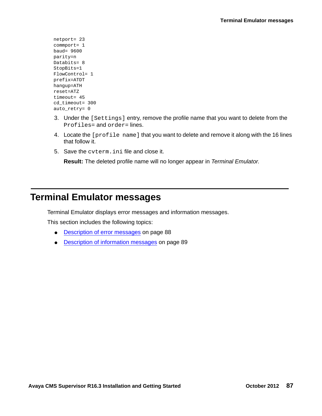```
netport= 23
commport= 1
baud= 9600
parity=n
Databits= 8
StopBits=1
FlowControl= 1
prefix=ATDT
hangup=ATH
reset=ATZ
timeout= 45
cd_timeout= 300
auto_retry= 0
```
- 3. Under the [Settings] entry, remove the profile name that you want to delete from the Profiles= and order= lines.
- 4. Locate the [profile name] that you want to delete and remove it along with the 16 lines that follow it.
- 5. Save the cvterm.ini file and close it.

**Result:** The deleted profile name will no longer appear in *Terminal Emulator*.

# **Terminal Emulator messages**

Terminal Emulator displays error messages and information messages.

This section includes the following topics:

- [Description of error messages](#page-87-0) on page 88
- [Description of information messages](#page-88-0) on page 89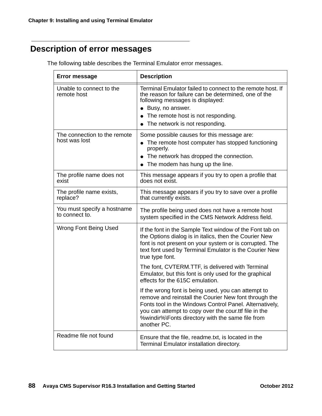# <span id="page-87-0"></span>**Description of error messages**

| <b>Error message</b>                          | <b>Description</b>                                                                                                                                                                                                                                                                                  |
|-----------------------------------------------|-----------------------------------------------------------------------------------------------------------------------------------------------------------------------------------------------------------------------------------------------------------------------------------------------------|
| Unable to connect to the<br>remote host       | Terminal Emulator failed to connect to the remote host. If<br>the reason for failure can be determined, one of the<br>following messages is displayed:                                                                                                                                              |
|                                               | • Busy, no answer.                                                                                                                                                                                                                                                                                  |
|                                               | The remote host is not responding.                                                                                                                                                                                                                                                                  |
|                                               | The network is not responding.                                                                                                                                                                                                                                                                      |
| The connection to the remote<br>host was lost | Some possible causes for this message are:<br>• The remote host computer has stopped functioning<br>properly.                                                                                                                                                                                       |
|                                               | The network has dropped the connection.<br>The modem has hung up the line.<br>$\bullet$                                                                                                                                                                                                             |
| The profile name does not<br>exist            | This message appears if you try to open a profile that<br>does not exist.                                                                                                                                                                                                                           |
| The profile name exists,<br>replace?          | This message appears if you try to save over a profile<br>that currently exists.                                                                                                                                                                                                                    |
| You must specify a hostname<br>to connect to. | The profile being used does not have a remote host<br>system specified in the CMS Network Address field.                                                                                                                                                                                            |
| Wrong Font Being Used                         | If the font in the Sample Text window of the Font tab on<br>the Options dialog is in italics, then the Courier New<br>font is not present on your system or is corrupted. The<br>text font used by Terminal Emulator is the Courier New<br>true type font.                                          |
|                                               | The font, CVTERM.TTF, is delivered with Terminal<br>Emulator, but this font is only used for the graphical<br>effects for the 615C emulation.                                                                                                                                                       |
|                                               | If the wrong font is being used, you can attempt to<br>remove and reinstall the Courier New font through the<br>Fonts tool in the Windows Control Panel. Alternatively,<br>you can attempt to copy over the cour.ttf file in the<br>%windir%\Fonts directory with the same file from<br>another PC. |
| Readme file not found                         | Ensure that the file, readme.txt, is located in the<br>Terminal Emulator installation directory.                                                                                                                                                                                                    |

The following table describes the Terminal Emulator error messages.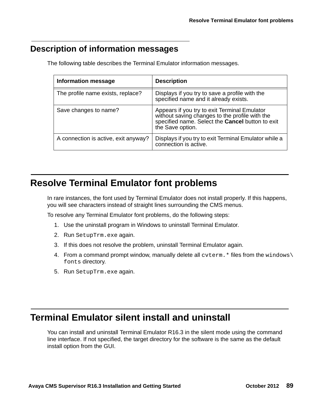# <span id="page-88-0"></span>**Description of information messages**

| <b>Information message</b>           | <b>Description</b>                                                                                                                                                     |
|--------------------------------------|------------------------------------------------------------------------------------------------------------------------------------------------------------------------|
| The profile name exists, replace?    | Displays if you try to save a profile with the<br>specified name and it already exists.                                                                                |
| Save changes to name?                | Appears if you try to exit Terminal Emulator<br>without saving changes to the profile with the<br>specified name. Select the Cancel button to exit<br>the Save option. |
| A connection is active, exit anyway? | Displays if you try to exit Terminal Emulator while a<br>connection is active.                                                                                         |

The following table describes the Terminal Emulator information messages.

# **Resolve Terminal Emulator font problems**

In rare instances, the font used by Terminal Emulator does not install properly. If this happens, you will see characters instead of straight lines surrounding the CMS menus.

To resolve any Terminal Emulator font problems, do the following steps:

- 1. Use the uninstall program in Windows to uninstall Terminal Emulator.
- 2. Run SetupTrm.exe again.
- 3. If this does not resolve the problem, uninstall Terminal Emulator again.
- 4. From a command prompt window, manually delete all  $\text{c}\text{vterm}$ .  $\star$  files from the windows \ fonts directory.
- 5. Run SetupTrm.exe again.

# **Terminal Emulator silent install and uninstall**

You can install and uninstall Terminal Emulator R16.3 in the silent mode using the command line interface. If not specified, the target directory for the software is the same as the default install option from the GUI.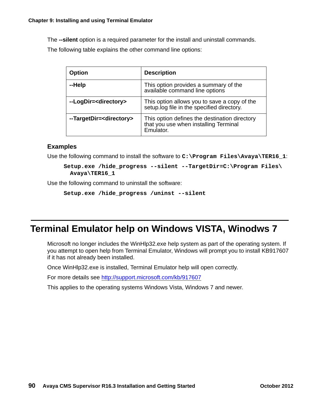The **--silent** option is a required parameter for the install and uninstall commands. The following table explains the other command line options:

| <b>Option</b>                        | <b>Description</b>                                                                                  |
|--------------------------------------|-----------------------------------------------------------------------------------------------------|
| --Help                               | This option provides a summary of the<br>available command line options                             |
| --LogDir= <directory></directory>    | This option allows you to save a copy of the<br>setup log file in the specified directory.          |
| --TargetDir= <directory></directory> | This option defines the destination directory<br>that you use when installing Terminal<br>Emulator. |

#### **Examples**

Use the following command to install the software to  $C:$  Program Files\Avaya\TER16 1:

```
Setup.exe /hide_progress --silent --TargetDir=C:\Program Files\
 Avaya\TER16_1
```
Use the following command to uninstall the software:

```
Setup.exe /hide_progress /uninst --silent
```
# **Terminal Emulator help on Windows VISTA, Winodws 7**

Microsoft no longer includes the WinHlp32.exe help system as part of the operating system. If you attempt to open help from Terminal Emulator, Windows will prompt you to install KB917607 if it has not already been installed.

Once WinHlp32.exe is installed, Terminal Emulator help will open correctly.

For more details see [http://support.microsoft.com/kb/917607](
http://support.microsoft.com/kb/917607
)

[This applies to the operating systems Windows Vista, Windows 7 and newer.](
http://support.microsoft.com/kb/917607)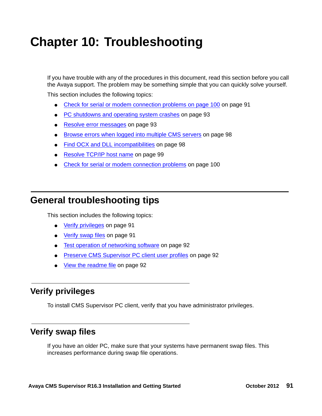# **Chapter 10: Troubleshooting**

If you have trouble with any of the procedures in this document, read this section before you call the Avaya support. The problem may be something simple that you can quickly solve yourself.

This section includes the following topics:

- [Check for serial or modem connection problems on page 100](#page-90-0) on page 91
- [PC shutdowns and operating system crashes](#page-92-0) on page 93
- [Resolve error messages](#page-92-1) on page 93
- [Browse errors when logged into multiple CMS servers](#page-97-0) on page 98
- [Find OCX and DLL incompatibilities](#page-97-1) on page 98
- [Resolve TCP/IP host name](#page-98-0) on page 99
- <span id="page-90-0"></span>• [Check for serial or modem connection problems](#page-99-0) on page 100

# **General troubleshooting tips**

This section includes the following topics:

- [Verify privileges](#page-90-1) on page 91
- [Verify swap files](#page-90-2) on page 91
- [Test operation of networking software](#page-91-0) on page 92
- [Preserve CMS Supervisor PC client user profiles](#page-91-1) on page 92
- [View the readme file](#page-91-2) on page 92

### <span id="page-90-1"></span>**Verify privileges**

To install CMS Supervisor PC client, verify that you have administrator privileges.

### <span id="page-90-2"></span>**Verify swap files**

If you have an older PC, make sure that your systems have permanent swap files. This increases performance during swap file operations.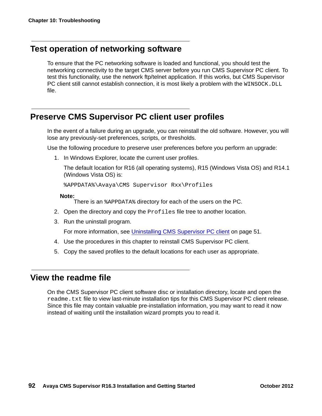### <span id="page-91-0"></span>**Test operation of networking software**

To ensure that the PC networking software is loaded and functional, you should test the networking connectivity to the target CMS server before you run CMS Supervisor PC client. To test this functionality, use the network ftp/telnet application. If this works, but CMS Supervisor PC client still cannot establish connection, it is most likely a problem with the WINSOCK. DLL file.

### <span id="page-91-1"></span>**Preserve CMS Supervisor PC client user profiles**

In the event of a failure during an upgrade, you can reinstall the old software. However, you will lose any previously-set preferences, scripts, or thresholds.

Use the following procedure to preserve user preferences before you perform an upgrade:

1. In Windows Explorer, locate the current user profiles.

The default location for R16 (all operating systems), R15 (Windows Vista OS) and R14.1 (Windows Vista OS) is:

%APPDATA%\Avaya\CMS Supervisor Rxx\Profiles

#### **Note:**

There is an &APPDATA & directory for each of the users on the PC.

- 2. Open the directory and copy the  $Proofile$  file tree to another location.
- 3. Run the uninstall program.

For more information, see [Uninstalling CMS Supervisor PC client](#page-50-0) on page 51.

- 4. Use the procedures in this chapter to reinstall CMS Supervisor PC client.
- 5. Copy the saved profiles to the default locations for each user as appropriate.

### <span id="page-91-2"></span>**View the readme file**

On the CMS Supervisor PC client software disc or installation directory, locate and open the readme.txt file to view last-minute installation tips for this CMS Supervisor PC client release. Since this file may contain valuable pre-installation information, you may want to read it now instead of waiting until the installation wizard prompts you to read it.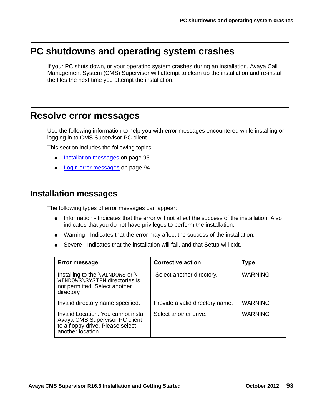# <span id="page-92-0"></span>**PC shutdowns and operating system crashes**

If your PC shuts down, or your operating system crashes during an installation, Avaya Call Management System (CMS) Supervisor will attempt to clean up the installation and re-install the files the next time you attempt the installation.

### <span id="page-92-1"></span>**Resolve error messages**

Use the following information to help you with error messages encountered while installing or logging in to CMS Supervisor PC client.

This section includes the following topics:

- [Installation messages](#page-92-2) on page 93
- [Login error messages](#page-93-0) on page 94

### <span id="page-92-2"></span>**Installation messages**

The following types of error messages can appear:

- Information Indicates that the error will not affect the success of the installation. Also indicates that you do not have privileges to perform the installation.
- Warning Indicates that the error may affect the success of the installation.
- Severe Indicates that the installation will fail, and that Setup will exit.

| <b>Error message</b>                                                                                                               | <b>Corrective action</b>        | Type           |
|------------------------------------------------------------------------------------------------------------------------------------|---------------------------------|----------------|
| Installing to the $\Upsilon$ windows or $\Upsilon$<br>WINDOWS\SYSTEM directories is<br>not permitted. Select another<br>directory. | Select another directory.       | WARNING        |
| Invalid directory name specified.                                                                                                  | Provide a valid directory name. | WARNING        |
| Invalid Location. You cannot install<br>Avaya CMS Supervisor PC client<br>to a floppy drive. Please select<br>another location.    | Select another drive.           | <b>WARNING</b> |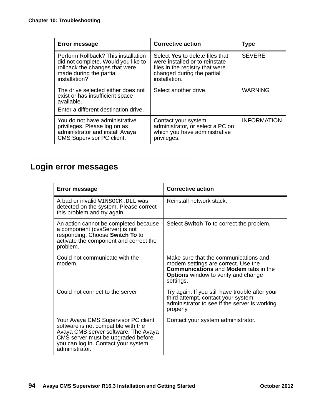| <b>Error message</b>                                                                                                                                     | <b>Corrective action</b>                                                                                                                            | <b>Type</b>        |
|----------------------------------------------------------------------------------------------------------------------------------------------------------|-----------------------------------------------------------------------------------------------------------------------------------------------------|--------------------|
| Perform Rollback? This installation<br>did not complete. Would you like to<br>rollback the changes that were<br>made during the partial<br>installation? | Select Yes to delete files that<br>were installed or to reinstate<br>files in the registry that were<br>changed during the partial<br>installation. | <b>SEVERE</b>      |
| The drive selected either does not<br>exist or has insufficient space<br>available.<br>Enter a different destination drive.                              | Select another drive.                                                                                                                               | <b>WARNING</b>     |
| You do not have administrative<br>privileges. Please log on as<br>administrator and install Avaya<br><b>CMS Supervisor PC client.</b>                    | Contact your system<br>administrator, or select a PC on<br>which you have administrative<br>privileges.                                             | <b>INFORMATION</b> |

# <span id="page-93-0"></span>**Login error messages**

| Error message                                                                                                                                                                                                     | <b>Corrective action</b>                                                                                                                                                               |
|-------------------------------------------------------------------------------------------------------------------------------------------------------------------------------------------------------------------|----------------------------------------------------------------------------------------------------------------------------------------------------------------------------------------|
| A bad or invalid wTNSOCK, DLL was<br>detected on the system. Please correct<br>this problem and try again.                                                                                                        | Reinstall network stack.                                                                                                                                                               |
| An action cannot be completed because<br>a component (cvsServer) is not<br>responding. Choose Switch To to<br>activate the component and correct the<br>problem.                                                  | Select Switch To to correct the problem.                                                                                                                                               |
| Could not communicate with the<br>modem.                                                                                                                                                                          | Make sure that the communications and<br>modem settings are correct. Use the<br><b>Communications and Modem tabs in the</b><br><b>Options</b> window to verify and change<br>settings. |
| Could not connect to the server                                                                                                                                                                                   | Try again. If you still have trouble after your<br>third attempt, contact your system<br>administrator to see if the server is working<br>properly.                                    |
| Your Avaya CMS Supervisor PC client<br>software is not compatible with the<br>Avaya CMS server software. The Avaya<br>CMS server must be upgraded before<br>you can log in. Contact your system<br>administrator. | Contact your system administrator.                                                                                                                                                     |

 $\overline{\phantom{a}}$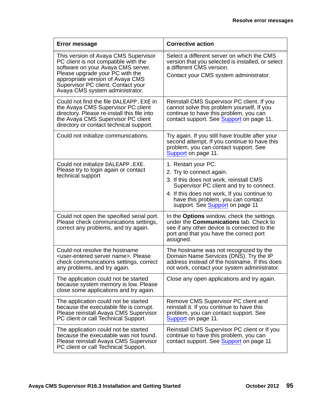| <b>Error message</b>                                                                                                                                                                                                                                               | <b>Corrective action</b>                                                                                                                                                                                                                                        |
|--------------------------------------------------------------------------------------------------------------------------------------------------------------------------------------------------------------------------------------------------------------------|-----------------------------------------------------------------------------------------------------------------------------------------------------------------------------------------------------------------------------------------------------------------|
| This version of Avaya CMS Supervisor<br>PC client is not compatible with the<br>software on your Avaya CMS server.<br>Please upgrade your PC with the<br>appropriate version of Avaya CMS<br>Supervisor PC client. Contact your<br>Avaya CMS system administrator. | Select a different server on which the CMS<br>version that you selected is installed, or select<br>a different CMS version.<br>Contact your CMS system administrator.                                                                                           |
| Could not find the file DALEAPP, EXE in<br>the Avaya CMS Supervisor PC client<br>directory. Please re-install this file into<br>the Avaya CMS Supervisor PC client<br>directory or contact technical support.                                                      | Reinstall CMS Supervisor PC client. If you<br>cannot solve this problem yourself, If you<br>continue to have this problem, you can<br>contact support. See Support on page 11.                                                                                  |
| Could not initialize communications.                                                                                                                                                                                                                               | Try again. If you still have trouble after your<br>second attempt, If you continue to have this<br>problem, you can contact support. See<br>Support on page 11.                                                                                                 |
| Could not initialize DALEAPP. EXE.<br>Please try to login again or contact<br>technical support                                                                                                                                                                    | 1. Restart your PC.<br>2. Try to connect again.<br>3. If this does not work, reinstall CMS<br>Supervisor PC client and try to connect.<br>4. If this does not work, If you continue to<br>have this problem, you can contact<br>support. See Support on page 11 |
| Could not open the specified serial port.<br>Please check communications settings,<br>correct any problems, and try again.                                                                                                                                         | In the Options window, check the settings<br>under the <b>Communications</b> tab. Check to<br>see if any other device is connected to the<br>port and that you have the correct port<br>assigned.                                                               |
| Could not resolve the hostname<br><user-entered name="" server="">. Please<br/>check communications settings, correct<br/>any problems, and try again.</user-entered>                                                                                              | The hostname was not recognized by the<br>Domain Name Services (DNS). Try the IP<br>address instead of the hostname. If this does<br>not work, contact your system administrator.                                                                               |
| The application could not be started<br>because system memory is low. Please<br>close some applications and try again.                                                                                                                                             | Close any open applications and try again.                                                                                                                                                                                                                      |
| The application could not be started<br>because the executable file is corrupt.<br>Please reinstall Avaya CMS Supervisor<br>PC client or call Technical Support.                                                                                                   | Remove CMS Supervisor PC client and<br>reinstall it. If you continue to have this<br>problem, you can contact support. See<br>Support on page 11.                                                                                                               |
| The application could not be started<br>because the executable was not found.<br>Please reinstall Avaya CMS Supervisor<br>PC client or call Technical Support.                                                                                                     | Reinstall CMS Supervisor PC client or If you<br>continue to have this problem, you can<br>contact support. See Support on page 11                                                                                                                               |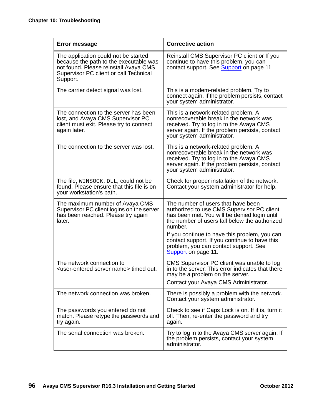| <b>Error message</b>                                                                                                                                                          | <b>Corrective action</b>                                                                                                                                                                                    |
|-------------------------------------------------------------------------------------------------------------------------------------------------------------------------------|-------------------------------------------------------------------------------------------------------------------------------------------------------------------------------------------------------------|
| The application could not be started<br>because the path to the executable was<br>not found. Please reinstall Avaya CMS<br>Supervisor PC client or call Technical<br>Support. | Reinstall CMS Supervisor PC client or If you<br>continue to have this problem, you can<br>contact support. See Support on page 11                                                                           |
| The carrier detect signal was lost.                                                                                                                                           | This is a modem-related problem. Try to<br>connect again. If the problem persists, contact<br>your system administrator.                                                                                    |
| The connection to the server has been<br>lost, and Avaya CMS Supervisor PC<br>client must exit. Please try to connect<br>again later.                                         | This is a network-related problem. A<br>nonrecoverable break in the network was<br>received. Try to log in to the Avaya CMS<br>server again. If the problem persists, contact<br>your system administrator. |
| The connection to the server was lost.                                                                                                                                        | This is a network-related problem. A<br>nonrecoverable break in the network was<br>received. Try to log in to the Avaya CMS<br>server again. If the problem persists, contact<br>your system administrator. |
| The file, WINSOCK. DLL, could not be<br>found. Please ensure that this file is on<br>your workstation's path.                                                                 | Check for proper installation of the network.<br>Contact your system administrator for help.                                                                                                                |
| The maximum number of Avaya CMS<br>Supervisor PC client logins on the server<br>has been reached. Please try again<br>later.                                                  | The number of users that have been<br>authorized to use CMS Supervisor PC client<br>has been met. You will be denied login until<br>the number of users fall below the authorized<br>number.                |
|                                                                                                                                                                               | If you continue to have this problem, you can<br>contact support. If you continue to have this<br>problem, you can contact support. See<br>Support on page 11.                                              |
| The network connection to<br><user-entered name="" server=""> timed out.</user-entered>                                                                                       | CMS Supervisor PC client was unable to log<br>in to the server. This error indicates that there<br>may be a problem on the server.<br>Contact your Avaya CMS Administrator.                                 |
| The network connection was broken.                                                                                                                                            | There is possibly a problem with the network.<br>Contact your system administrator.                                                                                                                         |
| The passwords you entered do not<br>match. Please retype the passwords and<br>try again.                                                                                      | Check to see if Caps Lock is on. If it is, turn it<br>off. Then, re-enter the password and try<br>again.                                                                                                    |
| The serial connection was broken.                                                                                                                                             | Try to log in to the Avaya CMS server again. If<br>the problem persists, contact your system<br>administrator.                                                                                              |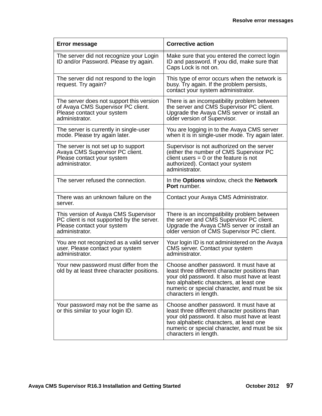| <b>Error message</b>                                                                                                              | <b>Corrective action</b>                                                                                                                                                                                                                                         |
|-----------------------------------------------------------------------------------------------------------------------------------|------------------------------------------------------------------------------------------------------------------------------------------------------------------------------------------------------------------------------------------------------------------|
| The server did not recognize your Login<br>ID and/or Password. Please try again.                                                  | Make sure that you entered the correct login<br>ID and password. If you did, make sure that<br>Caps Lock is not on.                                                                                                                                              |
| The server did not respond to the login<br>request. Try again?                                                                    | This type of error occurs when the network is<br>busy. Try again. If the problem persists,<br>contact your system administrator.                                                                                                                                 |
| The server does not support this version<br>of Avaya CMS Supervisor PC client.<br>Please contact your system<br>administrator.    | There is an incompatibility problem between<br>the server and CMS Supervisor PC client.<br>Upgrade the Avaya CMS server or install an<br>older version of Supervisor.                                                                                            |
| The server is currently in single-user<br>mode. Please try again later.                                                           | You are logging in to the Avaya CMS server<br>when it is in single-user mode. Try again later.                                                                                                                                                                   |
| The server is not set up to support<br>Avaya CMS Supervisor PC client.<br>Please contact your system<br>administrator.            | Supervisor is not authorized on the server<br>(either the number of CMS Supervisor PC<br>client users $= 0$ or the feature is not<br>authorized). Contact your system<br>administrator.                                                                          |
| The server refused the connection.                                                                                                | In the Options window, check the Network<br>Port number.                                                                                                                                                                                                         |
| There was an unknown failure on the<br>server.                                                                                    | Contact your Avaya CMS Administrator.                                                                                                                                                                                                                            |
| This version of Avaya CMS Supervisor<br>PC client is not supported by the server.<br>Please contact your system<br>administrator. | There is an incompatibility problem between<br>the server and CMS Supervisor PC client.<br>Upgrade the Avaya CMS server or install an<br>older version of CMS Supervisor PC client.                                                                              |
| You are not recognized as a valid server<br>user. Please contact your system<br>administrator.                                    | Your login ID is not administered on the Avaya<br>CMS server. Contact your system<br>administrator.                                                                                                                                                              |
| Your new password must differ from the<br>old by at least three character positions.                                              | Choose another password. It must have at<br>least three different character positions than<br>your old password. It also must have at least<br>two alphabetic characters, at least one<br>numeric or special character, and must be six<br>characters in length. |
| Your password may not be the same as<br>or this similar to your login ID.                                                         | Choose another password. It must have at<br>least three different character positions than<br>your old password. It also must have at least<br>two alphabetic characters, at least one<br>numeric or special character, and must be six<br>characters in length. |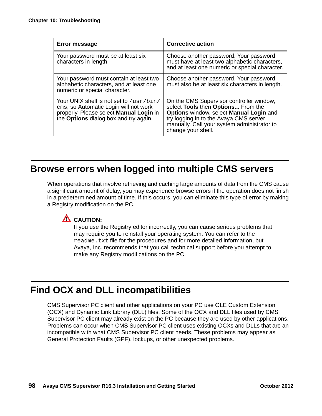| <b>Error message</b>                                                                                                                                                        | <b>Corrective action</b>                                                                                                                                                                                                                 |
|-----------------------------------------------------------------------------------------------------------------------------------------------------------------------------|------------------------------------------------------------------------------------------------------------------------------------------------------------------------------------------------------------------------------------------|
| Your password must be at least six<br>characters in length.                                                                                                                 | Choose another password. Your password<br>must have at least two alphabetic characters,<br>and at least one numeric or special character.                                                                                                |
| Your password must contain at least two<br>alphabetic characters, and at least one<br>numeric or special character.                                                         | Choose another password. Your password<br>must also be at least six characters in length.                                                                                                                                                |
| Your UNIX shell is not set to /usr/bin/<br>cms, so Automatic Login will not work<br>properly. Please select Manual Login in<br>the <b>Options</b> dialog box and try again. | On the CMS Supervisor controller window,<br>select Tools then Options From the<br>Options window, select Manual Login and<br>try logging in to the Avaya CMS server<br>manually. Call your system administrator to<br>change your shell. |

# <span id="page-97-0"></span>**Browse errors when logged into multiple CMS servers**

When operations that involve retrieving and caching large amounts of data from the CMS cause a significant amount of delay, you may experience browse errors if the operation does not finish in a predetermined amount of time. If this occurs, you can eliminate this type of error by making a Registry modification on the PC.

# $\Delta$  CAUTION:

If you use the Registry editor incorrectly, you can cause serious problems that may require you to reinstall your operating system. You can refer to the readme.txt file for the procedures and for more detailed information, but Avaya, Inc. recommends that you call technical support before you attempt to make any Registry modifications on the PC.

# <span id="page-97-1"></span>**Find OCX and DLL incompatibilities**

CMS Supervisor PC client and other applications on your PC use OLE Custom Extension (OCX) and Dynamic Link Library (DLL) files. Some of the OCX and DLL files used by CMS Supervisor PC client may already exist on the PC because they are used by other applications. Problems can occur when CMS Supervisor PC client uses existing OCXs and DLLs that are an incompatible with what CMS Supervisor PC client needs. These problems may appear as General Protection Faults (GPF), lockups, or other unexpected problems.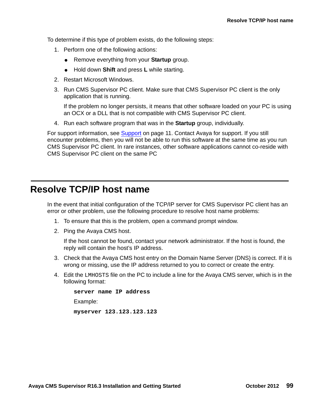To determine if this type of problem exists, do the following steps:

- 1. Perform one of the following actions:
	- Remove everything from your **Startup** group.
	- Hold down **Shift** and press **L** while starting.
- 2. Restart Microsoft Windows.
- 3. Run CMS Supervisor PC client. Make sure that CMS Supervisor PC client is the only application that is running.

If the problem no longer persists, it means that other software loaded on your PC is using an OCX or a DLL that is not compatible with CMS Supervisor PC client.

4. Run each software program that was in the **Startup** group, individually.

For support information, see Support [on page 11.](#page-10-0) Contact Avaya for support. If you still encounter problems, then you will not be able to run this software at the same time as you run CMS Supervisor PC client. In rare instances, other software applications cannot co-reside with CMS Supervisor PC client on the same PC

### <span id="page-98-0"></span>**Resolve TCP/IP host name**

In the event that initial configuration of the TCP/IP server for CMS Supervisor PC client has an error or other problem, use the following procedure to resolve host name problems:

- 1. To ensure that this is the problem, open a command prompt window.
- 2. Ping the Avaya CMS host.

If the host cannot be found, contact your network administrator. If the host is found, the reply will contain the host's IP address.

- 3. Check that the Avaya CMS host entry on the Domain Name Server (DNS) is correct. If it is wrong or missing, use the IP address returned to you to correct or create the entry.
- 4. Edit the LMHOSTS file on the PC to include a line for the Avaya CMS server, which is in the following format:

**server name IP address** Example: **myserver 123.123.123.123**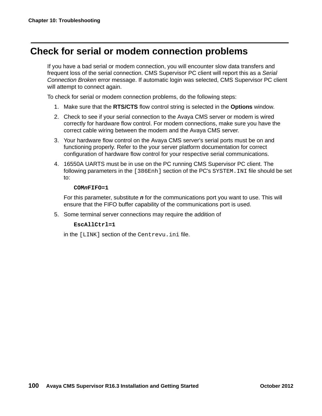# <span id="page-99-0"></span>**Check for serial or modem connection problems**

If you have a bad serial or modem connection, you will encounter slow data transfers and frequent loss of the serial connection. CMS Supervisor PC client will report this as a *Serial Connection Broken* error message. If automatic login was selected, CMS Supervisor PC client will attempt to connect again.

To check for serial or modem connection problems, do the following steps:

- 1. Make sure that the **RTS/CTS** flow control string is selected in the **Options** window.
- 2. Check to see if your serial connection to the Avaya CMS server or modem is wired correctly for hardware flow control. For modem connections, make sure you have the correct cable wiring between the modem and the Avaya CMS server.
- 3. Your hardware flow control on the Avaya CMS server's serial ports must be on and functioning properly. Refer to the your server platform documentation for correct configuration of hardware flow control for your respective serial communications.
- 4. 16550A UARTS must be in use on the PC running CMS Supervisor PC client. The following parameters in the [386Enh] section of the PC's SYSTEM.INI file should be set to:

#### **COM***n***FIFO=1**

For this parameter, substitute *n* for the communications port you want to use. This will ensure that the FIFO buffer capability of the communications port is used.

5. Some terminal server connections may require the addition of

#### **EscAllCtrl=1**

in the [LINK] section of the Centrevu.ini file.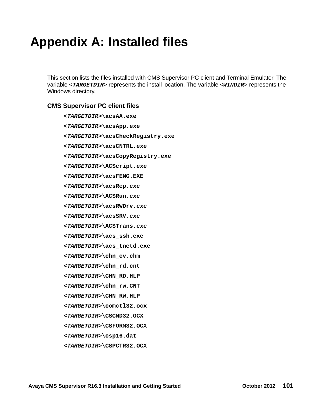# **Appendix A: Installed files**

This section lists the files installed with CMS Supervisor PC client and Terminal Emulator. The variable <*TARGETDIR*> represents the install location. The variable <*WINDIR*> represents the Windows directory.

#### **CMS Supervisor PC client files**

*<TARGETDIR>***\acsAA.exe** *<TARGETDIR>***\acsApp.exe** *<TARGETDIR>***\acsCheckRegistry.exe** *<TARGETDIR>***\acsCNTRL.exe** *<TARGETDIR>***\acsCopyRegistry.exe** *<TARGETDIR>***\ACScript.exe** *<TARGETDIR>***\acsFENG.EXE** *<TARGETDIR>***\acsRep.exe** *<TARGETDIR>***\ACSRun.exe** *<TARGETDIR>***\acsRWDrv.exe** *<TARGETDIR>***\acsSRV.exe** *<TARGETDIR>***\ACSTrans.exe** *<TARGETDIR>***\acs\_ssh.exe** *<TARGETDIR>***\acs\_tnetd.exe** *<TARGETDIR>***\chn\_cv.chm** *<TARGETDIR>***\chn\_rd.cnt** *<TARGETDIR>***\CHN\_RD.HLP** *<TARGETDIR>***\chn\_rw.CNT** *<TARGETDIR>***\CHN\_RW.HLP** *<TARGETDIR>***\comctl32.ocx** *<TARGETDIR>***\CSCMD32.OCX** *<TARGETDIR>***\CSFORM32.OCX** *<TARGETDIR>***\csp16.dat** *<TARGETDIR>***\CSPCTR32.OCX**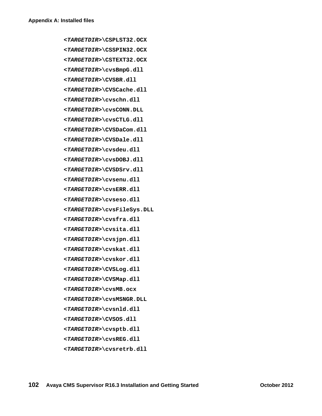```
<TARGETDIR>\CSPLST32.OCX
<TARGETDIR>\CSSPIN32.OCX
<TARGETDIR>\CSTEXT32.OCX
<TARGETDIR>\cvsBmpG.dll
<TARGETDIR>\CVSBR.dll
<TARGETDIR>\CVSCache.dll
<TARGETDIR>\cvschn.dll
<TARGETDIR>\cvsCONN.DLL
<TARGETDIR>\cvsCTLG.dll
<TARGETDIR>\CVSDaCom.dll
<TARGETDIR>\CVSDale.dll
<TARGETDIR>\cvsdeu.dll
<TARGETDIR>\cvsDOBJ.dll
<TARGETDIR>\CVSDSrv.dll
<TARGETDIR>\cvsenu.dll
<TARGETDIR>\cvsERR.dll
<TARGETDIR>\cvseso.dll
<TARGETDIR>\cvsFileSys.DLL
<TARGETDIR>\cvsfra.dll
<TARGETDIR>\cvsita.dll
<TARGETDIR>\cvsjpn.dll
<TARGETDIR>\cvskat.dll
<TARGETDIR>\cvskor.dll
<TARGETDIR>\CVSLog.dll
<TARGETDIR>\CVSMap.dll
<TARGETDIR>\cvsMB.ocx
<TARGETDIR>\cvsMSNGR.DLL
<TARGETDIR>\cvsnld.dll
<TARGETDIR>\CVSOS.dll
<TARGETDIR>\cvsptb.dll
<TARGETDIR>\cvsREG.dll
<TARGETDIR>\cvsretrb.dll
```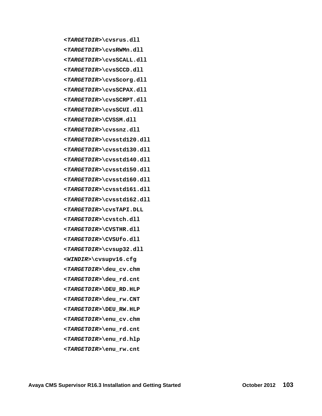```
<TARGETDIR>\cvsrus.dll
<TARGETDIR>\cvsRWMn.dll
<TARGETDIR>\cvsSCALL.dll
<TARGETDIR>\cvsSCCD.dll
<TARGETDIR>\cvsScorg.dll
<TARGETDIR>\cvsSCPAX.dll
<TARGETDIR>\cvsSCRPT.dll
<TARGETDIR>\cvsSCUI.dll
<TARGETDIR>\CVSSM.dll
<TARGETDIR>\cvssnz.dll
<TARGETDIR>\cvsstd120.dll
<TARGETDIR>\cvsstd130.dll
<TARGETDIR>\cvsstd140.dll
<TARGETDIR>\cvsstd150.dll
<TARGETDIR>\cvsstd160.dll
<TARGETDIR>\cvsstd161.dll
<TARGETDIR>\cvsstd162.dll
<TARGETDIR>\cvsTAPI.DLL
<TARGETDIR>\cvstch.dll
<TARGETDIR>\CVSTHR.dll
<TARGETDIR>\CVSUfo.dll
<TARGETDIR>\cvsup32.dll
<WINDIR>\cvsupv16.cfg
<TARGETDIR>\deu_cv.chm
<TARGETDIR>\deu_rd.cnt
<TARGETDIR>\DEU_RD.HLP
<TARGETDIR>\deu_rw.CNT
<TARGETDIR>\DEU_RW.HLP
<TARGETDIR>\enu_cv.chm
<TARGETDIR>\enu_rd.cnt
<TARGETDIR>\enu_rd.hlp
<TARGETDIR>\enu_rw.cnt
```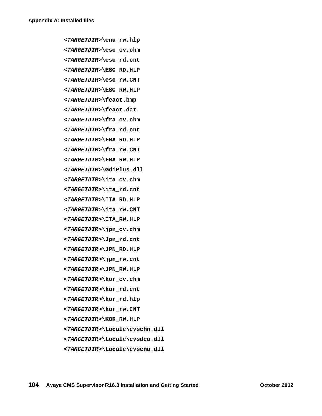*<TARGETDIR>***\enu\_rw.hlp** *<TARGETDIR>***\eso\_cv.chm** *<TARGETDIR>***\eso\_rd.cnt** *<TARGETDIR>***\ESO\_RD.HLP** *<TARGETDIR>***\eso\_rw.CNT** *<TARGETDIR>***\ESO\_RW.HLP** *<TARGETDIR>***\feact.bmp** *<TARGETDIR>***\feact.dat** *<TARGETDIR>***\fra\_cv.chm** *<TARGETDIR>***\fra\_rd.cnt** *<TARGETDIR>***\FRA\_RD.HLP** *<TARGETDIR>***\fra\_rw.CNT** *<TARGETDIR>***\FRA\_RW.HLP** *<TARGETDIR>***\GdiPlus.dll** *<TARGETDIR>***\ita\_cv.chm** *<TARGETDIR>***\ita\_rd.cnt** *<TARGETDIR>***\ITA\_RD.HLP** *<TARGETDIR>***\ita\_rw.CNT** *<TARGETDIR>***\ITA\_RW.HLP** *<TARGETDIR>***\jpn\_cv.chm** *<TARGETDIR>***\Jpn\_rd.cnt** *<TARGETDIR>***\JPN\_RD.HLP** *<TARGETDIR>***\jpn\_rw.cnt** *<TARGETDIR>***\JPN\_RW.HLP** *<TARGETDIR>***\kor\_cv.chm** *<TARGETDIR>***\kor\_rd.cnt** *<TARGETDIR>***\kor\_rd.hlp** *<TARGETDIR>***\kor\_rw.CNT** *<TARGETDIR>***\KOR\_RW.HLP** *<TARGETDIR>***\Locale\cvschn.dll** *<TARGETDIR>***\Locale\cvsdeu.dll** *<TARGETDIR>***\Locale\cvsenu.dll**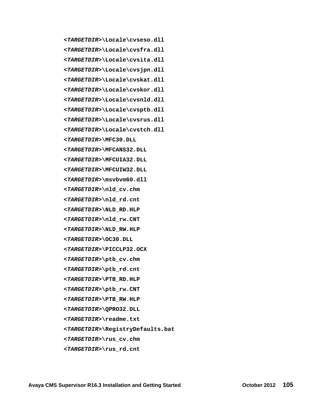```
<TARGETDIR>\Locale\cvseso.dll
<TARGETDIR>\Locale\cvsfra.dll
<TARGETDIR>\Locale\cvsita.dll
<TARGETDIR>\Locale\cvsjpn.dll
<TARGETDIR>\Locale\cvskat.dll
<TARGETDIR>\Locale\cvskor.dll
<TARGETDIR>\Locale\cvsnld.dll
<TARGETDIR>\Locale\cvsptb.dll
<TARGETDIR>\Locale\cvsrus.dll
<TARGETDIR>\Locale\cvstch.dll
<TARGETDIR>\MFC30.DLL
<TARGETDIR>\MFCANS32.DLL
<TARGETDIR>\MFCUIA32.DLL
<TARGETDIR>\MFCUIW32.DLL
<TARGETDIR>\msvbvm60.dll
<TARGETDIR>\nld_cv.chm
<TARGETDIR>\nld_rd.cnt
<TARGETDIR>\NLD_RD.HLP
<TARGETDIR>\nld_rw.CNT
<TARGETDIR>\NLD_RW.HLP
<TARGETDIR>\OC30.DLL
<TARGETDIR>\PICCLP32.OCX
<TARGETDIR>\ptb_cv.chm
<TARGETDIR>\ptb_rd.cnt
<TARGETDIR>\PTB_RD.HLP
<TARGETDIR>\ptb_rw.CNT
<TARGETDIR>\PTB_RW.HLP
<TARGETDIR>\QPRO32.DLL
<TARGETDIR>\readme.txt
<TARGETDIR>\RegistryDefaults.bat
<TARGETDIR>\rus_cv.chm
<TARGETDIR>\rus_rd.cnt
```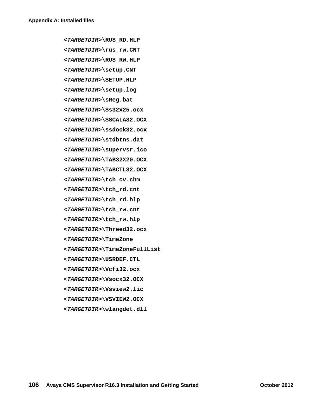*<TARGETDIR>***\RUS\_RD.HLP** *<TARGETDIR>***\rus\_rw.CNT** *<TARGETDIR>***\RUS\_RW.HLP** *<TARGETDIR>***\setup.CNT** *<TARGETDIR>***\SETUP.HLP** *<TARGETDIR>***\setup.log** *<TARGETDIR>***\sReg.bat** *<TARGETDIR>***\Ss32x25.ocx** *<TARGETDIR>***\SSCALA32.OCX** *<TARGETDIR>***\ssdock32.ocx** *<TARGETDIR>***\stdbtns.dat** *<TARGETDIR>***\supervsr.ico** *<TARGETDIR>***\TAB32X20.OCX** *<TARGETDIR>***\TABCTL32.OCX** *<TARGETDIR>***\tch\_cv.chm** *<TARGETDIR>***\tch\_rd.cnt** *<TARGETDIR>***\tch\_rd.hlp** *<TARGETDIR>***\tch\_rw.cnt** *<TARGETDIR>***\tch\_rw.hlp** *<TARGETDIR>***\Threed32.ocx** *<TARGETDIR>***\TimeZone** *<TARGETDIR>***\TimeZoneFullList** *<TARGETDIR>***\USRDEF.CTL** *<TARGETDIR>***\Vcfi32.ocx** *<TARGETDIR>***\Vsocx32.OCX** *<TARGETDIR>***\Vsview2.lic** *<TARGETDIR>***\VSVIEW2.OCX** *<TARGETDIR>***\wlangdet.dll**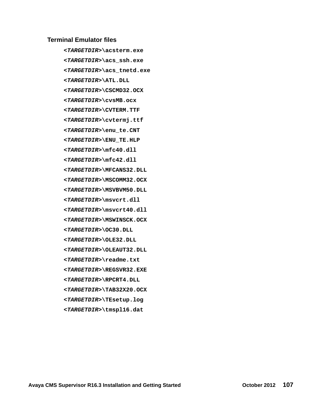#### **Terminal Emulator files**

*<TARGETDIR>***\acsterm.exe** *<TARGETDIR>***\acs\_ssh.exe** *<TARGETDIR>***\acs\_tnetd.exe** *<TARGETDIR>***\ATL.DLL** *<TARGETDIR>***\CSCMD32.OCX** *<TARGETDIR>***\cvsMB.ocx** *<TARGETDIR>***\CVTERM.TTF** *<TARGETDIR>***\cvtermj.ttf** *<TARGETDIR>***\enu\_te.CNT** *<TARGETDIR>***\ENU\_TE.HLP** *<TARGETDIR>***\mfc40.dll** *<TARGETDIR>***\mfc42.dll** *<TARGETDIR>***\MFCANS32.DLL** *<TARGETDIR>***\MSCOMM32.OCX** *<TARGETDIR>***\MSVBVM50.DLL** *<TARGETDIR>***\msvcrt.dll** *<TARGETDIR>***\msvcrt40.dll** *<TARGETDIR>***\MSWINSCK.OCX** *<TARGETDIR>***\OC30.DLL** *<TARGETDIR>***\OLE32.DLL** *<TARGETDIR>***\OLEAUT32.DLL** *<TARGETDIR>***\readme.txt** *<TARGETDIR>***\REGSVR32.EXE** *<TARGETDIR>***\RPCRT4.DLL** *<TARGETDIR>***\TAB32X20.OCX** *<TARGETDIR>***\TEsetup.log** *<TARGETDIR>***\tmspl16.dat**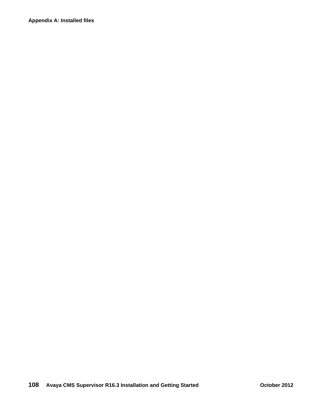**Appendix A: Installed files**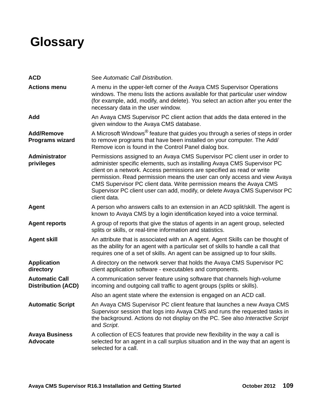# <span id="page-108-0"></span>**Glossary**

| <b>ACD</b>                                         | See Automatic Call Distribution.                                                                                                                                                                                                                                                                                                                                                                                                                                                     |
|----------------------------------------------------|--------------------------------------------------------------------------------------------------------------------------------------------------------------------------------------------------------------------------------------------------------------------------------------------------------------------------------------------------------------------------------------------------------------------------------------------------------------------------------------|
| <b>Actions menu</b>                                | A menu in the upper-left corner of the Avaya CMS Supervisor Operations<br>windows. The menu lists the actions available for that particular user window<br>(for example, add, modify, and delete). You select an action after you enter the<br>necessary data in the user window.                                                                                                                                                                                                    |
| Add                                                | An Avaya CMS Supervisor PC client action that adds the data entered in the<br>given window to the Avaya CMS database.                                                                                                                                                                                                                                                                                                                                                                |
| <b>Add/Remove</b><br><b>Programs wizard</b>        | A Microsoft Windows <sup>®</sup> feature that guides you through a series of steps in order<br>to remove programs that have been installed on your computer. The Add/<br>Remove icon is found in the Control Panel dialog box.                                                                                                                                                                                                                                                       |
| <b>Administrator</b><br>privileges                 | Permissions assigned to an Avaya CMS Supervisor PC client user in order to<br>administer specific elements, such as installing Avaya CMS Supervisor PC<br>client on a network. Access permissions are specified as read or write<br>permission. Read permission means the user can only access and view Avaya<br>CMS Supervisor PC client data. Write permission means the Avaya CMS<br>Supervisor PC client user can add, modify, or delete Avaya CMS Supervisor PC<br>client data. |
| <b>Agent</b>                                       | A person who answers calls to an extension in an ACD split/skill. The agent is<br>known to Avaya CMS by a login identification keyed into a voice terminal.                                                                                                                                                                                                                                                                                                                          |
| <b>Agent reports</b>                               | A group of reports that give the status of agents in an agent group, selected<br>splits or skills, or real-time information and statistics.                                                                                                                                                                                                                                                                                                                                          |
| <b>Agent skill</b>                                 | An attribute that is associated with an A agent. Agent Skills can be thought of<br>as the ability for an agent with a particular set of skills to handle a call that<br>requires one of a set of skills. An agent can be assigned up to four skills.                                                                                                                                                                                                                                 |
| <b>Application</b><br>directory                    | A directory on the network server that holds the Avaya CMS Supervisor PC<br>client application software - executables and components.                                                                                                                                                                                                                                                                                                                                                |
| <b>Automatic Call</b><br><b>Distribution (ACD)</b> | A communication server feature using software that channels high-volume<br>incoming and outgoing call traffic to agent groups (splits or skills).                                                                                                                                                                                                                                                                                                                                    |
|                                                    | Also an agent state where the extension is engaged on an ACD call.                                                                                                                                                                                                                                                                                                                                                                                                                   |
| <b>Automatic Script</b>                            | An Avaya CMS Supervisor PC client feature that launches a new Avaya CMS<br>Supervisor session that logs into Avaya CMS and runs the requested tasks in<br>the background. Actions do not display on the PC. See also Interactive Script<br>and Script.                                                                                                                                                                                                                               |
| <b>Avaya Business</b><br><b>Advocate</b>           | A collection of ECS features that provide new flexibility in the way a call is<br>selected for an agent in a call surplus situation and in the way that an agent is<br>selected for a call.                                                                                                                                                                                                                                                                                          |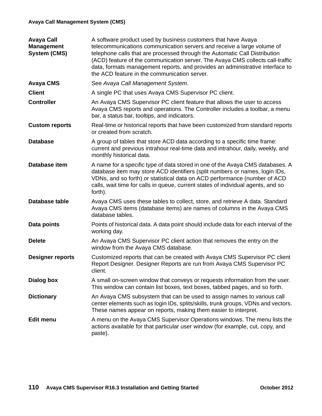#### **Avaya Call Management System (CMS)**

| <b>Avaya Call</b><br><b>Management</b><br><b>System (CMS)</b> | A software product used by business customers that have Avaya<br>telecommunications communication servers and receive a large volume of<br>telephone calls that are processed through the Automatic Call Distribution<br>(ACD) feature of the communication server. The Avaya CMS collects call-traffic<br>data, formats management reports, and provides an administrative interface to<br>the ACD feature in the communication server. |
|---------------------------------------------------------------|------------------------------------------------------------------------------------------------------------------------------------------------------------------------------------------------------------------------------------------------------------------------------------------------------------------------------------------------------------------------------------------------------------------------------------------|
| <b>Avaya CMS</b>                                              | See Avaya Call Management System.                                                                                                                                                                                                                                                                                                                                                                                                        |
| <b>Client</b>                                                 | A single PC that uses Avaya CMS Supervisor PC client.                                                                                                                                                                                                                                                                                                                                                                                    |
| <b>Controller</b>                                             | An Avaya CMS Supervisor PC client feature that allows the user to access<br>Avaya CMS reports and operations. The Controller includes a toolbar, a menu<br>bar, a status bar, tooltips, and indicators.                                                                                                                                                                                                                                  |
| <b>Custom reports</b>                                         | Real-time or historical reports that have been customized from standard reports<br>or created from scratch.                                                                                                                                                                                                                                                                                                                              |
| <b>Database</b>                                               | A group of tables that store ACD data according to a specific time frame:<br>current and previous intrahour real-time data and intrahour, daily, weekly, and<br>monthly historical data.                                                                                                                                                                                                                                                 |
| Database item                                                 | A name for a specific type of data stored in one of the Avaya CMS databases. A<br>database item may store ACD identifiers (split numbers or names, login IDs,<br>VDNs, and so forth) or statistical data on ACD performance (number of ACD<br>calls, wait time for calls in queue, current states of individual agents, and so<br>forth).                                                                                                |
| Database table                                                | Avaya CMS uses these tables to collect, store, and retrieve A data. Standard<br>Avaya CMS items (database items) are names of columns in the Avaya CMS<br>database tables.                                                                                                                                                                                                                                                               |
| Data points                                                   | Points of historical data. A data point should include data for each interval of the<br>working day.                                                                                                                                                                                                                                                                                                                                     |
| <b>Delete</b>                                                 | An Avaya CMS Supervisor PC client action that removes the entry on the<br>window from the Avaya CMS database.                                                                                                                                                                                                                                                                                                                            |
| <b>Designer reports</b>                                       | Customized reports that can be created with Avaya CMS Supervisor PC client<br>Report Designer. Designer Reports are run from Avaya CMS Supervisor PC<br>client.                                                                                                                                                                                                                                                                          |
| Dialog box                                                    | A small on-screen window that conveys or requests information from the user.<br>This window can contain list boxes, text boxes, tabbed pages, and so forth.                                                                                                                                                                                                                                                                              |
| <b>Dictionary</b>                                             | An Avaya CMS subsystem that can be used to assign names to various call<br>center elements such as login IDs, splits/skills, trunk groups, VDNs and vectors.<br>These names appear on reports, making them easier to interpret.                                                                                                                                                                                                          |
| <b>Edit menu</b>                                              | A menu on the Avaya CMS Supervisor Operations windows. The menu lists the<br>actions available for that particular user window (for example, cut, copy, and<br>paste).                                                                                                                                                                                                                                                                   |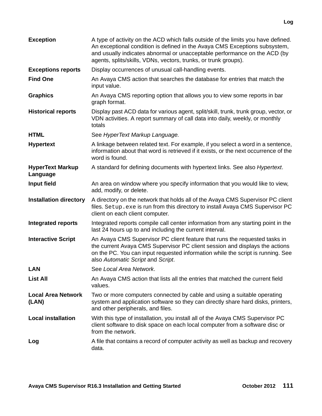| <b>Exception</b>                    | A type of activity on the ACD which falls outside of the limits you have defined.<br>An exceptional condition is defined in the Avaya CMS Exceptions subsystem,<br>and usually indicates abnormal or unacceptable performance on the ACD (by<br>agents, splits/skills, VDNs, vectors, trunks, or trunk groups). |
|-------------------------------------|-----------------------------------------------------------------------------------------------------------------------------------------------------------------------------------------------------------------------------------------------------------------------------------------------------------------|
| <b>Exceptions reports</b>           | Display occurrences of unusual call-handling events.                                                                                                                                                                                                                                                            |
| <b>Find One</b>                     | An Avaya CMS action that searches the database for entries that match the<br>input value.                                                                                                                                                                                                                       |
| <b>Graphics</b>                     | An Avaya CMS reporting option that allows you to view some reports in bar<br>graph format.                                                                                                                                                                                                                      |
| <b>Historical reports</b>           | Display past ACD data for various agent, split/skill, trunk, trunk group, vector, or<br>VDN activities. A report summary of call data into daily, weekly, or monthly<br>totals                                                                                                                                  |
| <b>HTML</b>                         | See HyperText Markup Language.                                                                                                                                                                                                                                                                                  |
| <b>Hypertext</b>                    | A linkage between related text. For example, if you select a word in a sentence,<br>information about that word is retrieved if it exists, or the next occurrence of the<br>word is found.                                                                                                                      |
| <b>HyperText Markup</b><br>Language | A standard for defining documents with hypertext links. See also Hypertext.                                                                                                                                                                                                                                     |
| Input field                         | An area on window where you specify information that you would like to view,<br>add, modify, or delete.                                                                                                                                                                                                         |
| <b>Installation directory</b>       | A directory on the network that holds all of the Avaya CMS Supervisor PC client<br>files. Setup. exe is run from this directory to install Avaya CMS Supervisor PC<br>client on each client computer.                                                                                                           |
| <b>Integrated reports</b>           | Integrated reports compile call center information from any starting point in the<br>last 24 hours up to and including the current interval.                                                                                                                                                                    |
| <b>Interactive Script</b>           | An Avaya CMS Supervisor PC client feature that runs the requested tasks in<br>the current Avaya CMS Supervisor PC client session and displays the actions<br>on the PC. You can input requested information while the script is running. See<br>also Automatic Script and Script.                               |
| <b>LAN</b>                          | See Local Area Network.                                                                                                                                                                                                                                                                                         |
| <b>List All</b>                     | An Avaya CMS action that lists all the entries that matched the current field<br>values.                                                                                                                                                                                                                        |
| <b>Local Area Network</b><br>(LAN)  | Two or more computers connected by cable and using a suitable operating<br>system and application software so they can directly share hard disks, printers,<br>and other peripherals, and files.                                                                                                                |
| <b>Local installation</b>           | With this type of installation, you install all of the Avaya CMS Supervisor PC<br>client software to disk space on each local computer from a software disc or<br>from the network.                                                                                                                             |
| Log                                 | A file that contains a record of computer activity as well as backup and recovery<br>data.                                                                                                                                                                                                                      |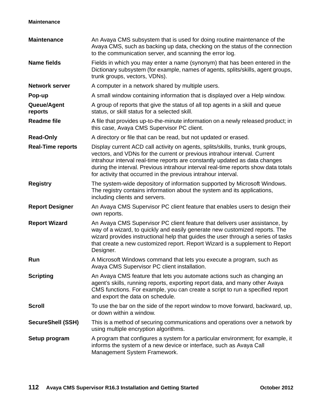#### **Maintenance**

| <b>Maintenance</b>       | An Avaya CMS subsystem that is used for doing routine maintenance of the<br>Avaya CMS, such as backing up data, checking on the status of the connection<br>to the communication server, and scanning the error log.                                                                                                                                                                                   |
|--------------------------|--------------------------------------------------------------------------------------------------------------------------------------------------------------------------------------------------------------------------------------------------------------------------------------------------------------------------------------------------------------------------------------------------------|
| <b>Name fields</b>       | Fields in which you may enter a name (synonym) that has been entered in the<br>Dictionary subsystem (for example, names of agents, splits/skills, agent groups,<br>trunk groups, vectors, VDNs).                                                                                                                                                                                                       |
| <b>Network server</b>    | A computer in a network shared by multiple users.                                                                                                                                                                                                                                                                                                                                                      |
| Pop-up                   | A small window containing information that is displayed over a Help window.                                                                                                                                                                                                                                                                                                                            |
| Queue/Agent<br>reports   | A group of reports that give the status of all top agents in a skill and queue<br>status, or skill status for a selected skill.                                                                                                                                                                                                                                                                        |
| <b>Readme file</b>       | A file that provides up-to-the-minute information on a newly released product; in<br>this case, Avaya CMS Supervisor PC client.                                                                                                                                                                                                                                                                        |
| <b>Read-Only</b>         | A directory or file that can be read, but not updated or erased.                                                                                                                                                                                                                                                                                                                                       |
| <b>Real-Time reports</b> | Display current ACD call activity on agents, splits/skills, trunks, trunk groups,<br>vectors, and VDNs for the current or previous intrahour interval. Current<br>intrahour interval real-time reports are constantly updated as data changes<br>during the interval. Previous intrahour interval real-time reports show data totals<br>for activity that occurred in the previous intrahour interval. |
| <b>Registry</b>          | The system-wide depository of information supported by Microsoft Windows.<br>The registry contains information about the system and its applications,<br>including clients and servers.                                                                                                                                                                                                                |
| <b>Report Designer</b>   | An Avaya CMS Supervisor PC client feature that enables users to design their<br>own reports.                                                                                                                                                                                                                                                                                                           |
| <b>Report Wizard</b>     | An Avaya CMS Supervisor PC client feature that delivers user assistance, by<br>way of a wizard, to quickly and easily generate new customized reports. The<br>wizard provides instructional help that guides the user through a series of tasks<br>that create a new customized report. Report Wizard is a supplement to Report<br>Designer.                                                           |
| Run                      | A Microsoft Windows command that lets you execute a program, such as<br>Avaya CMS Supervisor PC client installation.                                                                                                                                                                                                                                                                                   |
| <b>Scripting</b>         | An Avaya CMS feature that lets you automate actions such as changing an<br>agent's skills, running reports, exporting report data, and many other Avaya<br>CMS functions. For example, you can create a script to run a specified report<br>and export the data on schedule.                                                                                                                           |
| <b>Scroll</b>            | To use the bar on the side of the report window to move forward, backward, up,<br>or down within a window.                                                                                                                                                                                                                                                                                             |
| <b>SecureShell (SSH)</b> | This is a method of securing communications and operations over a network by<br>using multiple encryption algorithms.                                                                                                                                                                                                                                                                                  |
| Setup program            | A program that configures a system for a particular environment; for example, it<br>informs the system of a new device or interface, such as Avaya Call<br>Management System Framework.                                                                                                                                                                                                                |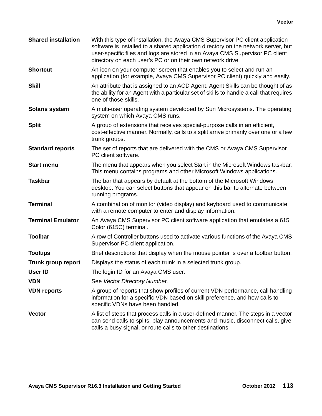| <b>Shared installation</b> | With this type of installation, the Avaya CMS Supervisor PC client application<br>software is installed to a shared application directory on the network server, but<br>user-specific files and logs are stored in an Avaya CMS Supervisor PC client<br>directory on each user's PC or on their own network drive. |
|----------------------------|--------------------------------------------------------------------------------------------------------------------------------------------------------------------------------------------------------------------------------------------------------------------------------------------------------------------|
| <b>Shortcut</b>            | An icon on your computer screen that enables you to select and run an<br>application (for example, Avaya CMS Supervisor PC client) quickly and easily.                                                                                                                                                             |
| <b>Skill</b>               | An attribute that is assigned to an ACD Agent. Agent Skills can be thought of as<br>the ability for an Agent with a particular set of skills to handle a call that requires<br>one of those skills.                                                                                                                |
| Solaris system             | A multi-user operating system developed by Sun Microsystems. The operating<br>system on which Avaya CMS runs.                                                                                                                                                                                                      |
| <b>Split</b>               | A group of extensions that receives special-purpose calls in an efficient,<br>cost-effective manner. Normally, calls to a split arrive primarily over one or a few<br>trunk groups.                                                                                                                                |
| <b>Standard reports</b>    | The set of reports that are delivered with the CMS or Avaya CMS Supervisor<br>PC client software.                                                                                                                                                                                                                  |
| <b>Start menu</b>          | The menu that appears when you select Start in the Microsoft Windows taskbar.<br>This menu contains programs and other Microsoft Windows applications.                                                                                                                                                             |
| <b>Taskbar</b>             | The bar that appears by default at the bottom of the Microsoft Windows<br>desktop. You can select buttons that appear on this bar to alternate between<br>running programs.                                                                                                                                        |
| <b>Terminal</b>            | A combination of monitor (video display) and keyboard used to communicate<br>with a remote computer to enter and display information.                                                                                                                                                                              |
| <b>Terminal Emulator</b>   | An Avaya CMS Supervisor PC client software application that emulates a 615<br>Color (615C) terminal.                                                                                                                                                                                                               |
| <b>Toolbar</b>             | A row of Controller buttons used to activate various functions of the Avaya CMS<br>Supervisor PC client application.                                                                                                                                                                                               |
| <b>Tooltips</b>            | Brief descriptions that display when the mouse pointer is over a toolbar button.                                                                                                                                                                                                                                   |
| Trunk group report         | Displays the status of each trunk in a selected trunk group.                                                                                                                                                                                                                                                       |
| <b>User ID</b>             | The login ID for an Avaya CMS user.                                                                                                                                                                                                                                                                                |
| <b>VDN</b>                 | See Vector Directory Number.                                                                                                                                                                                                                                                                                       |
| <b>VDN reports</b>         | A group of reports that show profiles of current VDN performance, call handling<br>information for a specific VDN based on skill preference, and how calls to<br>specific VDNs have been handled.                                                                                                                  |
| <b>Vector</b>              | A list of steps that process calls in a user-defined manner. The steps in a vector<br>can send calls to splits, play announcements and music, disconnect calls, give<br>calls a busy signal, or route calls to other destinations.                                                                                 |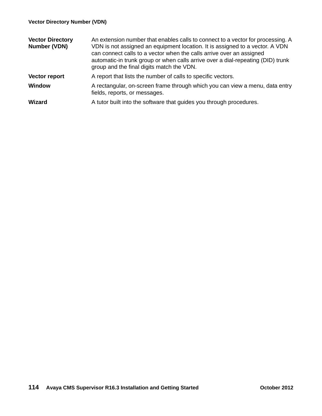| <b>Vector Directory</b><br><b>Number (VDN)</b> | An extension number that enables calls to connect to a vector for processing. A<br>VDN is not assigned an equipment location. It is assigned to a vector. A VDN<br>can connect calls to a vector when the calls arrive over an assigned<br>automatic-in trunk group or when calls arrive over a dial-repeating (DID) trunk<br>group and the final digits match the VDN. |
|------------------------------------------------|-------------------------------------------------------------------------------------------------------------------------------------------------------------------------------------------------------------------------------------------------------------------------------------------------------------------------------------------------------------------------|
| <b>Vector report</b>                           | A report that lists the number of calls to specific vectors.                                                                                                                                                                                                                                                                                                            |
| <b>Window</b>                                  | A rectangular, on-screen frame through which you can view a menu, data entry<br>fields, reports, or messages.                                                                                                                                                                                                                                                           |
| <b>Wizard</b>                                  | A tutor built into the software that guides you through procedures.                                                                                                                                                                                                                                                                                                     |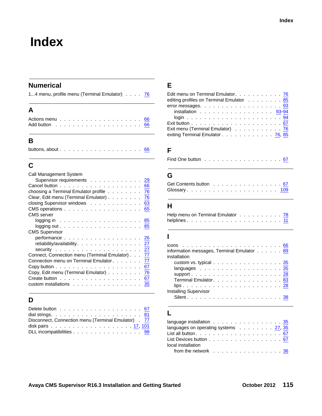# **Index**

#### **Numerical**

1...4 menu, profile menu (Terminal Emulator) . . . . [76](#page-75-0)

#### **A**

| Actions menu $\ldots$ 66                                      |  |  |  |  |  |  |  |  |  |  |  |
|---------------------------------------------------------------|--|--|--|--|--|--|--|--|--|--|--|
| Add button $\ldots \ldots \ldots \ldots \ldots \ldots \ldots$ |  |  |  |  |  |  |  |  |  |  |  |

#### **B**

|--|--|--|--|--|--|--|--|--|--|--|--|--|--|--|--|--|--|--|--|--|

## **C**

| Call Management System                                                          |    |
|---------------------------------------------------------------------------------|----|
| Supervisor requirements                                                         | 29 |
|                                                                                 |    |
| choosing a Terminal Emulator profile 76                                         |    |
| Clear, Edit menu (Terminal Emulator) 76                                         |    |
| closing Supervisor windows 63                                                   |    |
| $CMS$ operations $\ldots$ $\ldots$ $\ldots$ $\ldots$ $\ldots$ $\ldots$ $\ldots$ | 65 |
| CMS server                                                                      |    |
|                                                                                 |    |
| $\log$ ging out. 85                                                             |    |
| <b>CMS Supervisor</b>                                                           |    |
| performance 26                                                                  |    |
| reliability/availability. 27                                                    |    |
|                                                                                 |    |
| Connect, Connection menu (Terminal Emulator) 77                                 |    |
| Connection menu on Terminal Emulator. 77                                        |    |
|                                                                                 |    |
| Copy, Edit menu (Terminal Emulator) 76                                          |    |
|                                                                                 |    |
| custom installations                                                            | 35 |
|                                                                                 |    |

#### **D**

| Delete button $\ldots$ $\ldots$ $\ldots$ $\ldots$ $\ldots$ $\ldots$ $\ldots$ 67 |  |  |  |  |  |  |  |  |  |  |
|---------------------------------------------------------------------------------|--|--|--|--|--|--|--|--|--|--|
| dial strings. $\ldots$ 81                                                       |  |  |  |  |  |  |  |  |  |  |
| Disconnect, Connection menu (Terminal Emulator) 77                              |  |  |  |  |  |  |  |  |  |  |
|                                                                                 |  |  |  |  |  |  |  |  |  |  |
| DLL incompatibilities 98                                                        |  |  |  |  |  |  |  |  |  |  |

#### **E**

| Edit menu on Terminal Emulator. 76<br>editing profiles on Terminal Emulator 85         |
|----------------------------------------------------------------------------------------|
|                                                                                        |
| error messages. $\ldots$ 93                                                            |
| installation $\ldots \ldots \ldots \ldots \ldots \ldots$                               |
|                                                                                        |
| Exit button $\ldots$ $\ldots$ $\ldots$ $\ldots$ $\ldots$ $\ldots$ $\ldots$ $\ldots$ 67 |
| Exit menu (Terminal Emulator) 76                                                       |
| exiting Terminal Emulator 76, 85                                                       |

#### **F**

| Find One button $\ldots$ , $\ldots$ , $\ldots$ , $\ldots$ , $\ldots$ , 67 |  |  |  |  |  |  |  |  |  |  |
|---------------------------------------------------------------------------|--|--|--|--|--|--|--|--|--|--|
|                                                                           |  |  |  |  |  |  |  |  |  |  |

#### **G**

| Get Contents button 67 |  |  |  |  |  |  |  |  |
|------------------------|--|--|--|--|--|--|--|--|
| Glossary 109           |  |  |  |  |  |  |  |  |

## **H**

| Help menu on Terminal Emulator 78 |  |  |  |  |  |  |  |  |  |  |  |
|-----------------------------------|--|--|--|--|--|--|--|--|--|--|--|
|                                   |  |  |  |  |  |  |  |  |  |  |  |

#### **I**

| information messages, Terminal Emulator 89 |  |  |  |  |
|--------------------------------------------|--|--|--|--|
| installation                               |  |  |  |  |
| custom vs. typical $\ldots$ 35             |  |  |  |  |
| languages $\ldots$ , 35                    |  |  |  |  |
|                                            |  |  |  |  |
| Terminal Emulator. 83                      |  |  |  |  |
| <b>Installing Supervisor</b>               |  |  |  |  |
|                                            |  |  |  |  |

### **L**

| language installation 35                       |  |  |  |  |  |
|------------------------------------------------|--|--|--|--|--|
| languages on operating systems $\ldots$ 27, 35 |  |  |  |  |  |
|                                                |  |  |  |  |  |
| List Devices button 67                         |  |  |  |  |  |
| local installation                             |  |  |  |  |  |
| from the network $\ldots$ , 36                 |  |  |  |  |  |